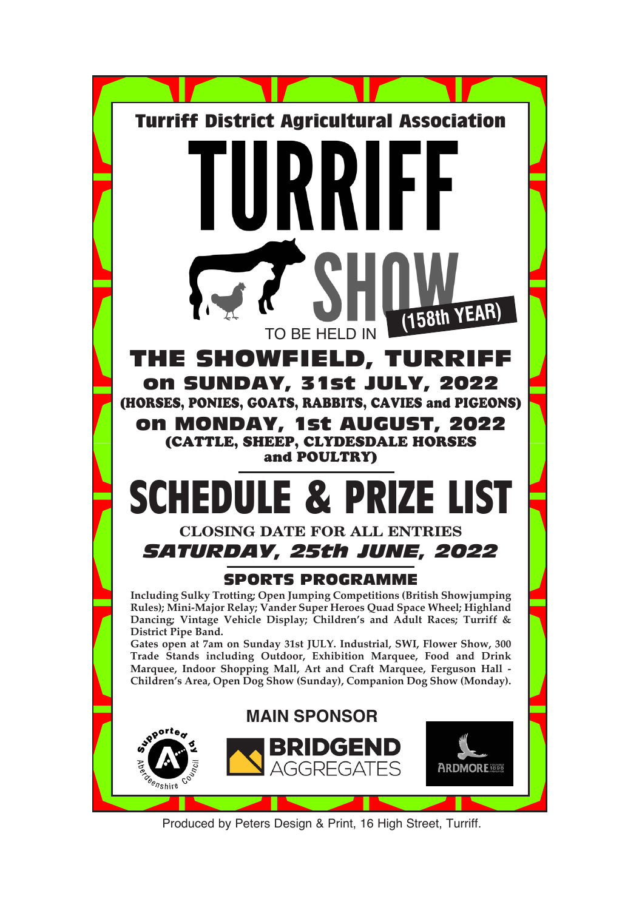

Produced by Peters Design & Print, 16 High Street, Turriff.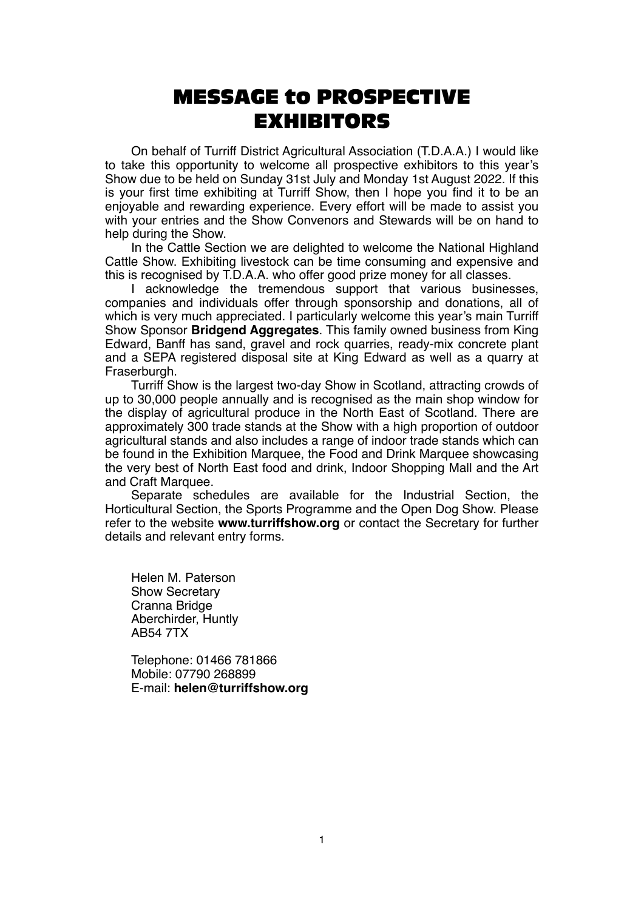# MESSAGE to PROSPECTIVE EXHIBITORS

On behalf of Turriff District Agricultural Association (T.D.A.A.) I would like to take this opportunity to welcome all prospective exhibitors to this year's Show due to be held on Sunday 31st July and Monday 1st August 2022. If this is your first time exhibiting at Turriff Show, then I hope you find it to be an enjoyable and rewarding experience. Every effort will be made to assist you with your entries and the Show Convenors and Stewards will be on hand to help during the Show.

In the Cattle Section we are delighted to welcome the National Highland Cattle Show. Exhibiting livestock can be time consuming and expensive and this is recognised by T.D.A.A. who offer good prize money for all classes.

I acknowledge the tremendous support that various businesses, companies and individuals offer through sponsorship and donations, all of which is very much appreciated. I particularly welcome this year's main Turriff Show Sponsor **Bridgend Aggregates**. This family owned business from King Edward, Banff has sand, gravel and rock quarries, ready-mix concrete plant and a SEPA registered disposal site at King Edward as well as a quarry at Fraserburgh.

Turriff Show is the largest two-day Show in Scotland, attracting crowds of up to 30,000 people annually and is recognised as the main shop window for the display of agricultural produce in the North East of Scotland. There are approximately 300 trade stands at the Show with a high proportion of outdoor agricultural stands and also includes a range of indoor trade stands which can be found in the Exhibition Marquee, the Food and Drink Marquee showcasing the very best of North East food and drink, Indoor Shopping Mall and the Art and Craft Marquee.

Separate schedules are available for the Industrial Section, the Horticultural Section, the Sports Programme and the Open Dog Show. Please refer to the website **www.turriffshow.org** or contact the Secretary for further details and relevant entry forms.

Helen M. Paterson Show Secretary Cranna Bridge Aberchirder, Huntly AB54 7TX

Telephone: 01466 781866 Mobile: 07790 268899 E-mail: **helen@turriffshow.org**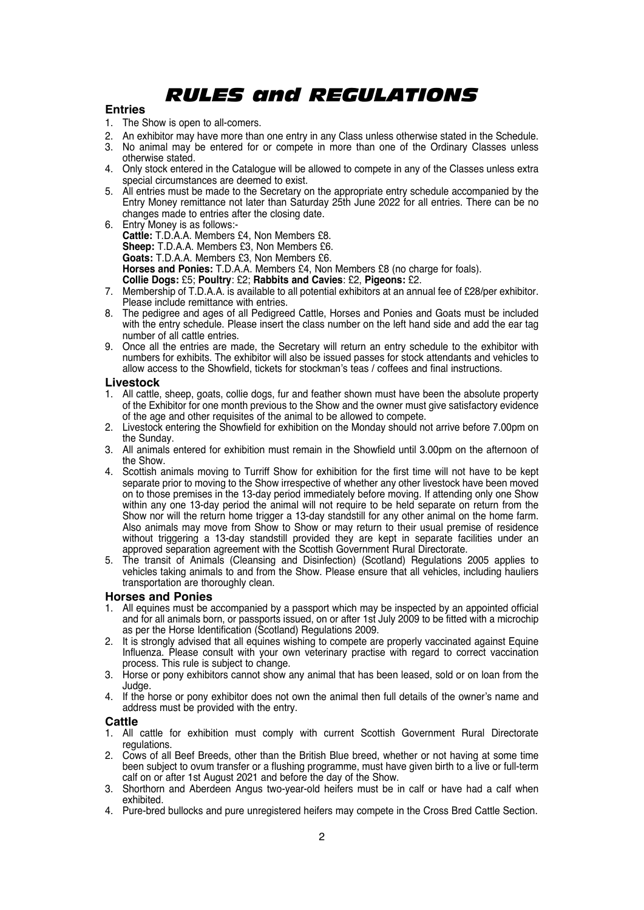# *RULES and REGULATIONS*

#### **Entries**

- 1. The Show is open to all-comers.
- 2. An exhibitor may have more than one entry in any Class unless otherwise stated in the Schedule.
- 3. No animal may be entered for or compete in more than one of the Ordinary Classes unless otherwise stated.
- 4. Only stock entered in the Catalogue will be allowed to compete in any of the Classes unless extra special circumstances are deemed to exist.
- 5. All entries must be made to the Secretary on the appropriate entry schedule accompanied by the Entry Money remittance not later than Saturday 25th June 2022 for all entries. There can be no changes made to entries after the closing date.
- 6. Entry Money is as follows:- **Cattle:** T.D.A.A. Members £4, Non Members £8. **Sheep:** T.D.A.A. Members £3, Non Members £6. **Goats:** T.D.A.A. Members £3, Non Members £6. **Horses and Ponies:** T.D.A.A. Members £4, Non Members £8 (no charge for foals).

- **Collie Dogs:** £5; **Poultry**: £2; **Rabbits and Cavies**: £2, **Pigeons:** £2.
- 7. Membership of T.D.A.A. is available to all potential exhibitors at an annual fee of £28/per exhibitor. Please include remittance with entries.
- 8. The pedigree and ages of all Pedigreed Cattle, Horses and Ponies and Goats must be included with the entry schedule. Please insert the class number on the left hand side and add the ear tag number of all cattle entries.
- 9. Once all the entries are made, the Secretary will return an entry schedule to the exhibitor with numbers for exhibits. The exhibitor will also be issued passes for stock attendants and vehicles to allow access to the Showfield, tickets for stockman's teas / coffees and final instructions.

#### **Livestock**

- 1. All cattle, sheep, goats, collie dogs, fur and feather shown must have been the absolute property of the Exhibitor for one month previous to the Show and the owner must give satisfactory evidence of the age and other requisites of the animal to be allowed to compete.
- 2. Livestock entering the Showfield for exhibition on the Monday should not arrive before 7.00pm on the Sunday.
- 3. All animals entered for exhibition must remain in the Showfield until 3.00pm on the afternoon of the Show.
- 4. Scottish animals moving to Turriff Show for exhibition for the first time will not have to be kept separate prior to moving to the Show irrespective of whether any other livestock have been moved on to those premises in the 13-day period immediately before moving. If attending only one Show within any one 13-day period the animal will not require to be held separate on return from the Show nor will the return home trigger a 13-day standstill for any other animal on the home farm. Also animals may move from Show to Show or may return to their usual premise of residence without triggering a 13-day standstill provided they are kept in separate facilities under an approved separation agreement with the Scottish Government Rural Directorate.
- 5. The transit of Animals (Cleansing and Disinfection) (Scotland) Regulations 2005 applies to vehicles taking animals to and from the Show. Please ensure that all vehicles, including hauliers transportation are thoroughly clean.

#### **Horses and Ponies**

- 1. All equines must be accompanied by a passport which may be inspected by an appointed official and for all animals born, or passports issued, on or after 1st July 2009 to be fitted with a microchip as per the Horse Identification (Scotland) Regulations 2009.
- 2. It is strongly advised that all equines wishing to compete are properly vaccinated against Equine Influenza. Please consult with your own veterinary practise with regard to correct vaccination process. This rule is subject to change.
- 3. Horse or pony exhibitors cannot show any animal that has been leased, sold or on loan from the Judge.
- 4. If the horse or pony exhibitor does not own the animal then full details of the owner's name and address must be provided with the entry.

#### **Cattle**

- 1. All cattle for exhibition must comply with current Scottish Government Rural Directorate regulations.
- 2. Cows of all Beef Breeds, other than the British Blue breed, whether or not having at some time been subject to ovum transfer or a flushing programme, must have given birth to a live or full-term calf on or after 1st August 2021 and before the day of the Show.
- 3. Shorthorn and Aberdeen Angus two-year-old heifers must be in calf or have had a calf when exhibited.
- 4. Pure-bred bullocks and pure unregistered heifers may compete in the Cross Bred Cattle Section.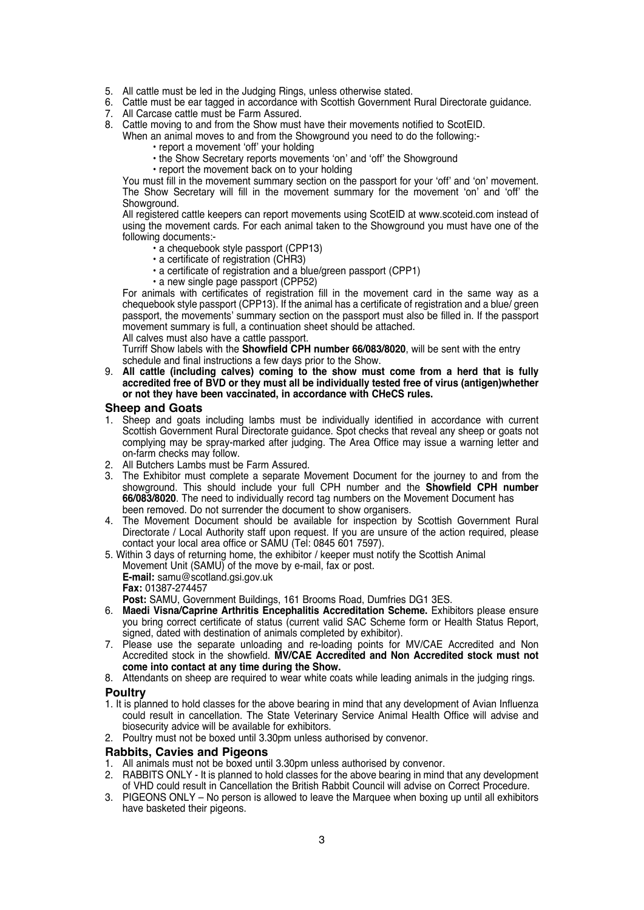- 
- 5. All cattle must be led in the Judging Rings, unless otherwise stated. 6. Cattle must be ear tagged in accordance with Scottish Government Rural Directorate guidance.
- 7. All Carcase cattle must be Farm Assured.
- 8. Cattle moving to and from the Show must have their movements notified to ScotEID.

When an animal moves to and from the Showground you need to do the following:-

- report a movement 'off' your holding
	- the Show Secretary reports movements 'on' and 'off' the Showground
- report the movement back on to your holding

You must fill in the movement summary section on the passport for your 'off' and 'on' movement. The Show Secretary will fill in the movement summary for the movement 'on' and 'off' the Showground.

All registered cattle keepers can report movements using ScotEID at www.scoteid.com instead of using the movement cards. For each animal taken to the Showground you must have one of the following documents:-

- a chequebook style passport (CPP13)
- a certificate of registration (CHR3)
- a certificate of registration and a blue/green passport (CPP1)
- a new single page passport (CPP52)

For animals with certificates of registration fill in the movement card in the same way as a chequebook style passport (CPP13). If the animal has a certificate of registration and a blue/ green passport, the movements' summary section on the passport must also be filled in. If the passport movement summary is full, a continuation sheet should be attached.

All calves must also have a cattle passport.

Turriff Show labels with the **Showfield CPH number 66/083/8020**, will be sent with the entry schedule and final instructions a few days prior to the Show.

9. **All cattle (including calves) coming to the show must come from a herd that is fully accredited free of BVD or they must all be individually tested free of virus (antigen)whether or not they have been vaccinated, in accordance with CHeCS rules.**

#### **Sheep and Goats**

- 1. Sheep and goats including lambs must be individually identified in accordance with current Scottish Government Rural Directorate guidance. Spot checks that reveal any sheep or goats not complying may be spray-marked after judging. The Area Office may issue a warning letter and on-farm checks may follow.
- 2. All Butchers Lambs must be Farm Assured.
- 3. The Exhibitor must complete a separate Movement Document for the journey to and from the showground. This should include your full CPH number and the **Showfield CPH number 66/083/8020**. The need to individually record tag numbers on the Movement Document has been removed. Do not surrender the document to show organisers.
- 4. The Movement Document should be available for inspection by Scottish Government Rural Directorate / Local Authority staff upon request. If you are unsure of the action required, please contact your local area office or SAMU (Tel: 0845 601 7597).
- 5. Within 3 days of returning home, the exhibitor / keeper must notify the Scottish Animal Movement Unit (SAMU) of the move by e-mail, fax or post. **E-mail:** samu@scotland.gsi.gov.uk **Fax:** 01387-274457 **Post:** SAMU, Government Buildings, 161 Brooms Road, Dumfries DG1 3ES.
- 6. **Maedi Visna/Caprine Arthritis Encephalitis Accreditation Scheme.** Exhibitors please ensure you bring correct certificate of status (current valid SAC Scheme form or Health Status Report, signed, dated with destination of animals completed by exhibitor).
- 7. Please use the separate unloading and re-loading points for MV/CAE Accredited and Non Accredited stock in the showfield. **MV/CAE Accredited and Non Accredited stock must not come into contact at any time during the Show.**
- 8. Attendants on sheep are required to wear white coats while leading animals in the judging rings.

#### **Poultry**

- 1. It is planned to hold classes for the above bearing in mind that any development of Avian Influenza could result in cancellation. The State Veterinary Service Animal Health Office will advise and biosecurity advice will be available for exhibitors.
- 2. Poultry must not be boxed until 3.30pm unless authorised by convenor.

#### **Rabbits, Cavies and Pigeons**

- 1. All animals must not be boxed until 3.30pm unless authorised by convenor.
- 2. RABBITS ONLY It is planned to hold classes for the above bearing in mind that any development of VHD could result in Cancellation the British Rabbit Council will advise on Correct Procedure.
- 3. PIGEONS ONLY No person is allowed to leave the Marquee when boxing up until all exhibitors have basketed their pigeons.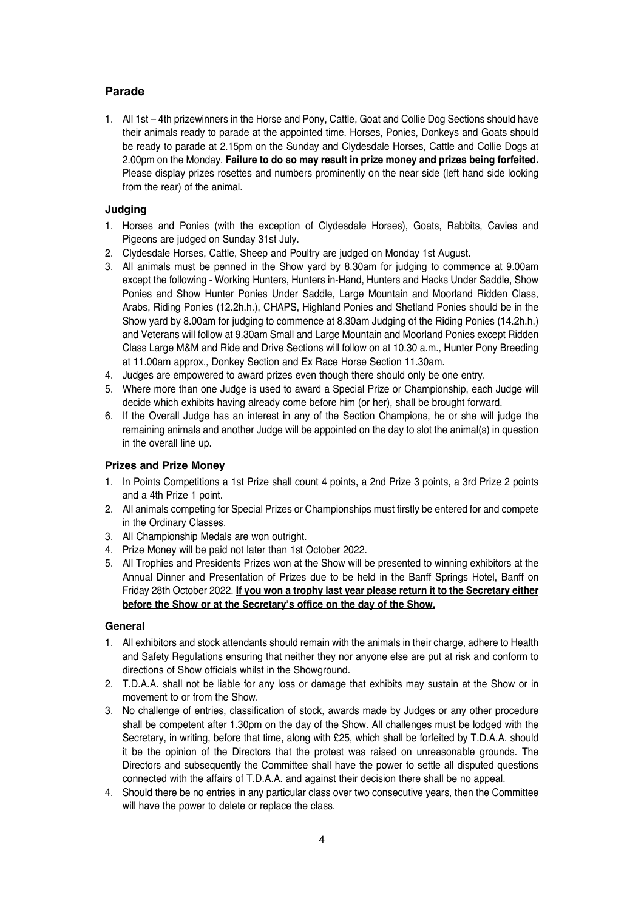#### **Parade**

1. All 1st – 4th prizewinners in the Horse and Pony, Cattle, Goat and Collie Dog Sections should have their animals ready to parade at the appointed time. Horses, Ponies, Donkeys and Goats should be ready to parade at 2.15pm on the Sunday and Clydesdale Horses, Cattle and Collie Dogs at 2.00pm on the Monday. **Failure to do so may result in prize money and prizes being forfeited.** Please display prizes rosettes and numbers prominently on the near side (left hand side looking from the rear) of the animal.

#### **Judging**

- 1. Horses and Ponies (with the exception of Clydesdale Horses), Goats, Rabbits, Cavies and Pigeons are judged on Sunday 31st July.
- 2. Clydesdale Horses, Cattle, Sheep and Poultry are judged on Monday 1st August.
- 3. All animals must be penned in the Show yard by 8.30am for judging to commence at 9.00am except the following - Working Hunters, Hunters in-Hand, Hunters and Hacks Under Saddle, Show Ponies and Show Hunter Ponies Under Saddle, Large Mountain and Moorland Ridden Class, Arabs, Riding Ponies (12.2h.h.), CHAPS, Highland Ponies and Shetland Ponies should be in the Show yard by 8.00am for judging to commence at 8.30am Judging of the Riding Ponies (14.2h.h.) and Veterans will follow at 9.30am Small and Large Mountain and Moorland Ponies except Ridden Class Large M&M and Ride and Drive Sections will follow on at 10.30 a.m., Hunter Pony Breeding at 11.00am approx., Donkey Section and Ex Race Horse Section 11.30am.
- 4. Judges are empowered to award prizes even though there should only be one entry.
- 5. Where more than one Judge is used to award a Special Prize or Championship, each Judge will decide which exhibits having already come before him (or her), shall be brought forward.
- 6. If the Overall Judge has an interest in any of the Section Champions, he or she will judge the remaining animals and another Judge will be appointed on the day to slot the animal(s) in question in the overall line up.

#### **Prizes and Prize Money**

- 1. In Points Competitions a 1st Prize shall count 4 points, a 2nd Prize 3 points, a 3rd Prize 2 points and a 4th Prize 1 point.
- 2. All animals competing for Special Prizes or Championships must firstly be entered for and compete in the Ordinary Classes.
- 3. All Championship Medals are won outright.
- 4. Prize Money will be paid not later than 1st October 2022.
- 5. All Trophies and Presidents Prizes won at the Show will be presented to winning exhibitors at the Annual Dinner and Presentation of Prizes due to be held in the Banff Springs Hotel, Banff on Friday 28th October 2022. **If you won a trophy last year please return it to the Secretary either before the Show or at the Secretary's office on the day of the Show.**

#### **General**

- 1. All exhibitors and stock attendants should remain with the animals in their charge, adhere to Health and Safety Regulations ensuring that neither they nor anyone else are put at risk and conform to directions of Show officials whilst in the Showground.
- 2. T.D.A.A. shall not be liable for any loss or damage that exhibits may sustain at the Show or in movement to or from the Show.
- 3. No challenge of entries, classification of stock, awards made by Judges or any other procedure shall be competent after 1.30pm on the day of the Show. All challenges must be lodged with the Secretary, in writing, before that time, along with £25, which shall be forfeited by T.D.A.A. should it be the opinion of the Directors that the protest was raised on unreasonable grounds. The Directors and subsequently the Committee shall have the power to settle all disputed questions connected with the affairs of T.D.A.A. and against their decision there shall be no appeal.
- 4. Should there be no entries in any particular class over two consecutive years, then the Committee will have the power to delete or replace the class.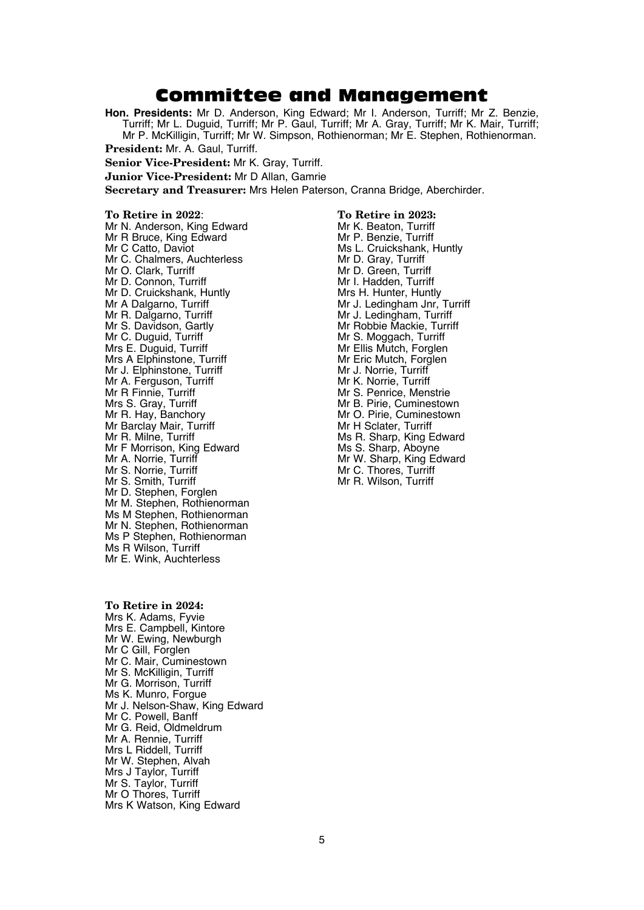### Committee and Management

**Hon. Presidents:** Mr D. Anderson, King Edward; Mr I. Anderson, Turriff; Mr Z. Benzie, Turriff; Mr L. Duguid, Turriff; Mr P. Gaul, Turriff; Mr A. Gray, Turriff; Mr K. Mair, Turriff; Mr P. McKilligin, Turriff; Mr W. Simpson, Rothienorman; Mr E. Stephen, Rothienorman.

**President:** Mr. A. Gaul, Turriff.

**Senior Vice-President:** Mr K. Gray, Turriff.

**Junior Vice-President:** Mr D Allan, Gamrie

**Secretary and Treasurer:** Mrs Helen Paterson, Cranna Bridge, Aberchirder.

**To Retire in 2022**: **To Retire in 2023:** Mr N. Anderson, King Edward<br>Mr R Bruce, King Edward Mr N. Anderson, King Edward Mr K. Beaton, Turriff<br>Mr R Bruce, King Edward Mr Benzie, Turriff<br>Mr C. Catto. Daviot Mr C. Chalmers, Auchterless Mr D. Gray, Turriff<br>Mr O. Clark, Turriff Mr D. Green, Turriff Mr D. Connon, Turriff Mr J. Hadden, Turriff Mr D. Cruickshank, Huntly Mr Shang Mr Sh. Hunter, Hunt Mr D. Cruickshank, Huntly Mrs H. Hunter, Huntly<br>Mr A Dalgarno, Turriff Mr Mr J. Ledingham Jnr, Turriff Mr R. Dalgarno, Turriff **Mr J. Ledingham, Turriff** Mr S. Davidson, Gartly<br>Mr S. Davidson, Gartly Mr Robbie Mackie, Turriff Mr S. Davidson, Gartly<br>Mr C. Duguid, Turriff Mr C. Duguid, Turriff Mr S. Moggach, Turriff Mrs E. Duguid, Turriff Mrs E. Duguid, Turriff Mrs E. Duguid, Turriff Mrs A Elphinstone, Turriff Mr Eric Mutch, Forg<br>Mr J. Flohinstone, Turriff Mr J. Norrie, Turriff Mr J. Elphinstone, Turriff Mr J. Norrie, Turriff Mr J. Norrie, Turriff Mr A. Ferauson. Turriff Mr A. Ferguson, Turriff<br>Mr R Finnie, Turriff Mr R Finnie, Turriff Mr S. Penrice, Menstrie<br>Mr S. Gray Turriff Mr S. Pirie Cuminestow Mr R. Hay, Banchory **Mr O. Pirie, Cumine**<br>
Mr Barclav Mair, Turriff **Mr H** Sclater, Turriff Mr Barclay Mair, Turriff<br>Mr R. Milne, Turriff Mr F Morrison, King Edward<br>Mr A. Norrie, Turriff Mr A. Norrie, Turriff Mr Matter of Mr W. Sharp, King Edward<br>Mr S. Norrie, Turriff Mr Mr W. Thores, Turriff Mr S. Norrie, Turriff Mr S. Smith, Turriff Mr S. Smith, Turriff Mr S. Smith, Turriff Mr S. Smith, Turriff Mr S Mr D. Stephen, Forglen Mr M. Stephen, Rothienorman Ms M Stephen, Rothienorman Mr N. Stephen, Rothienorman Ms P Stephen, Rothienorman Ms R Wilson, Turriff Mr E. Wink, Auchterless

Ms L. Cruickshank, Huntly<br>Mr D. Gray, Turriff Mr Ellis Mutch, Forglen<br>Mr Eric Mutch, Forglen Mr B. Pirie, Cuminestown<br>Mr O. Pirie, Cuminestown Ms R. Sharp, King Edward<br>Ms S. Sharp, Aboyne Mr R. Wilson, Turriff

**To Retire in 2024:** Mrs K. Adams, Fyvie Mrs E. Campbell, Kintore Mr W. Ewing, Newburgh Mr C Gill, Forglen Mr C. Mair, Cuminestown Mr S. McKilligin, Turriff Mr G. Morrison, Turriff Ms K. Munro, Forgue Mr J. Nelson-Shaw, King Edward Mr C. Powell, Banff Mr G. Reid, Oldmeldrum Mr A. Rennie, Turriff Mrs L Riddell, Turriff Mr W. Stephen, Alvah Mrs J Taylor, Turriff Mr S. Taylor, Turriff Mr O Thores, Turriff Mrs K Watson, King Edward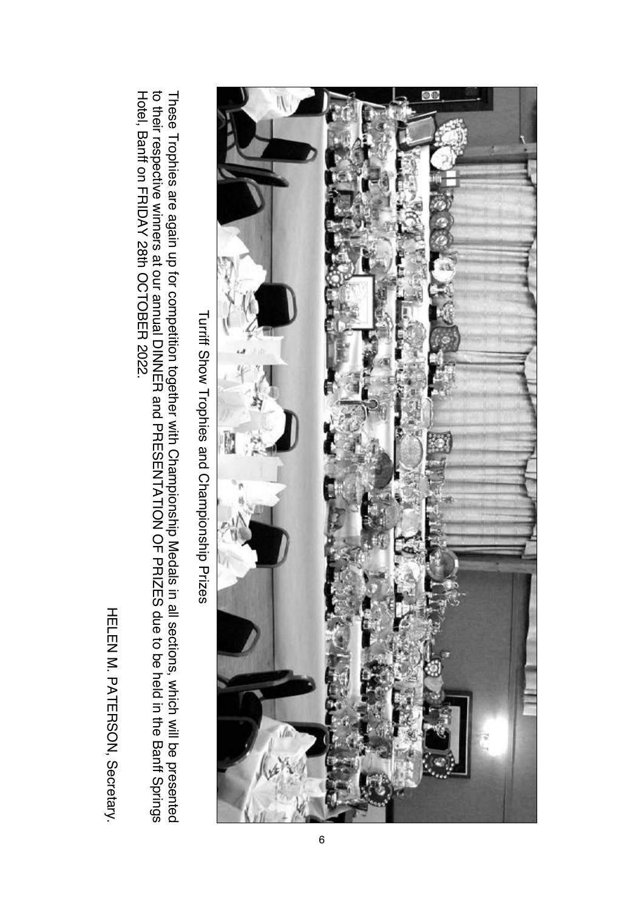

HELEN M. PATERSON, Secretary.

HELEN M. PATERSON, Secretary.

Turriff Show Trophies and Championship Prizes Turriff Show Trophies and Championship Prizes

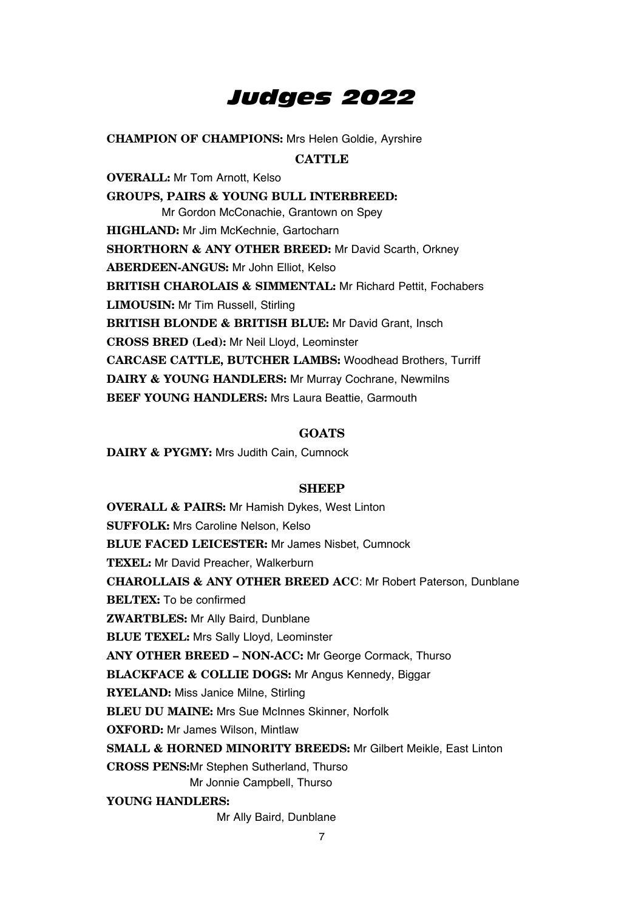# *Judges 2022*

**CHAMPION OF CHAMPIONS:** Mrs Helen Goldie, Ayrshire

#### **CATTLE**

**OVERALL:** Mr Tom Arnott, Kelso **GROUPS, PAIRS & YOUNG BULL INTERBREED:** Mr Gordon McConachie, Grantown on Spey **HIGHLAND:** Mr Jim McKechnie, Gartocharn **SHORTHORN & ANY OTHER BREED:** Mr David Scarth, Orkney **ABERDEEN-ANGUS:** Mr John Elliot, Kelso **BRITISH CHAROLAIS & SIMMENTAL:** Mr Richard Pettit, Fochabers **LIMOUSIN:** Mr Tim Russell, Stirling **BRITISH BLONDE & BRITISH BLUE:** Mr David Grant, Insch **CROSS BRED (Led):** Mr Neil Lloyd, Leominster **CARCASE CATTLE, BUTCHER LAMBS:** Woodhead Brothers, Turriff **DAIRY & YOUNG HANDLERS:** Mr Murray Cochrane, Newmilns **BEEF YOUNG HANDLERS: Mrs Laura Beattie, Garmouth** 

#### **GOATS**

**DAIRY & PYGMY:** Mrs Judith Cain, Cumnock

#### **SHEEP**

**OVERALL & PAIRS:** Mr Hamish Dykes, West Linton **SUFFOLK:** Mrs Caroline Nelson, Kelso **BLUE FACED LEICESTER:** Mr James Nisbet, Cumnock **TEXEL:** Mr David Preacher, Walkerburn **CHAROLLAIS & ANY OTHER BREED ACC**: Mr Robert Paterson, Dunblane **BELTEX:** To be confirmed **ZWARTBLES:** Mr Ally Baird, Dunblane **BLUE TEXEL:** Mrs Sally Lloyd, Leominster **ANY OTHER BREED – NON-ACC:** Mr George Cormack, Thurso **BLACKFACE & COLLIE DOGS:** Mr Angus Kennedy, Biggar **RYELAND:** Miss Janice Milne, Stirling **BLEU DU MAINE:** Mrs Sue McInnes Skinner, Norfolk **OXFORD:** Mr James Wilson, Mintlaw **SMALL & HORNED MINORITY BREEDS:** Mr Gilbert Meikle, East Linton **CROSS PENS:**Mr Stephen Sutherland, Thurso Mr Jonnie Campbell, Thurso **YOUNG HANDLERS:**  Mr Ally Baird, Dunblane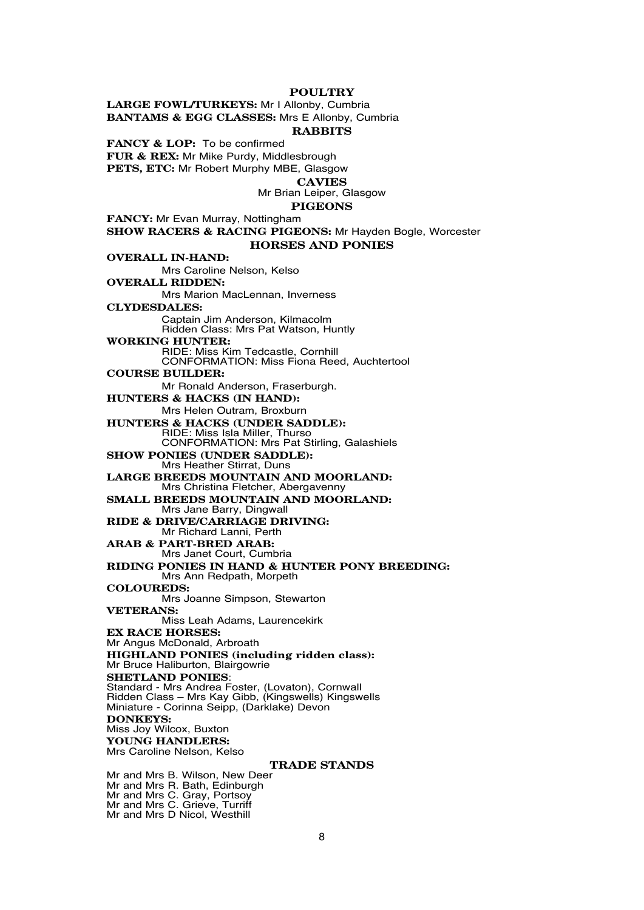#### **POULTRY**

**LARGE FOWL/TURKEYS:** Mr I Allonby, Cumbria **BANTAMS & EGG CLASSES:** Mrs E Allonby, Cumbria

#### **RABBITS**

**FANCY & LOP:** To be confirmed **FUR & REX:** Mr Mike Purdy, Middlesbrough **PETS, ETC:** Mr Robert Murphy MBE, Glasgow

**CAVIES**

Mr Brian Leiper, Glasgow

#### **PIGEONS**

**FANCY:** Mr Evan Murray, Nottingham

**SHOW RACERS & RACING PIGEONS:** Mr Hayden Bogle, Worcester **HORSES AND PONIES**

**OVERALL IN-HAND:** Mrs Caroline Nelson, Kelso **OVERALL RIDDEN:** Mrs Marion MacLennan, Inverness **CLYDESDALES:**  Captain Jim Anderson, Kilmacolm Ridden Class: Mrs Pat Watson, Huntly **WORKING HUNTER:**  RIDE: Miss Kim Tedcastle, Cornhill CONFORMATION: Miss Fiona Reed, Auchtertool **COURSE BUILDER:** Mr Ronald Anderson, Fraserburgh. **HUNTERS & HACKS (IN HAND):** Mrs Helen Outram, Broxburn **HUNTERS & HACKS (UNDER SADDLE):** RIDE: Miss Isla Miller, Thurso CONFORMATION: Mrs Pat Stirling, Galashiels **SHOW PONIES (UNDER SADDLE):** Mrs Heather Stirrat, Duns **LARGE BREEDS MOUNTAIN AND MOORLAND:** Mrs Christina Fletcher, Abergavenny **SMALL BREEDS MOUNTAIN AND MOORLAND:** Mrs Jane Barry, Dingwall **RIDE & DRIVE/CARRIAGE DRIVING:** Mr Richard Lanni, Perth **ARAB & PART-BRED ARAB:** Mrs Janet Court, Cumbria **RIDING PONIES IN HAND & HUNTER PONY BREEDING:** Mrs Ann Redpath, Morpeth **COLOUREDS:** Mrs Joanne Simpson, Stewarton **VETERANS:** Miss Leah Adams, Laurencekirk **EX RACE HORSES:** Mr Angus McDonald, Arbroath **HIGHLAND PONIES (including ridden class):** Mr Bruce Haliburton, Blairgowrie **SHETLAND PONIES**: Standard - Mrs Andrea Foster, (Lovaton), Cornwall Ridden Class – Mrs Kay Gibb, (Kingswells) Kingswells Miniature - Corinna Seipp, (Darklake) Devon **DONKEYS:**  Miss Joy Wilcox, Buxton **YOUNG HANDLERS:** Mrs Caroline Nelson, Kelso **TRADE STANDS** Mr and Mrs B. Wilson, New Deer Mr and Mrs R. Bath, Edinburgh Mr and Mrs C. Gray, Portsoy Mr and Mrs C. Grieve, Turriff

Mr and Mrs D Nicol, Westhill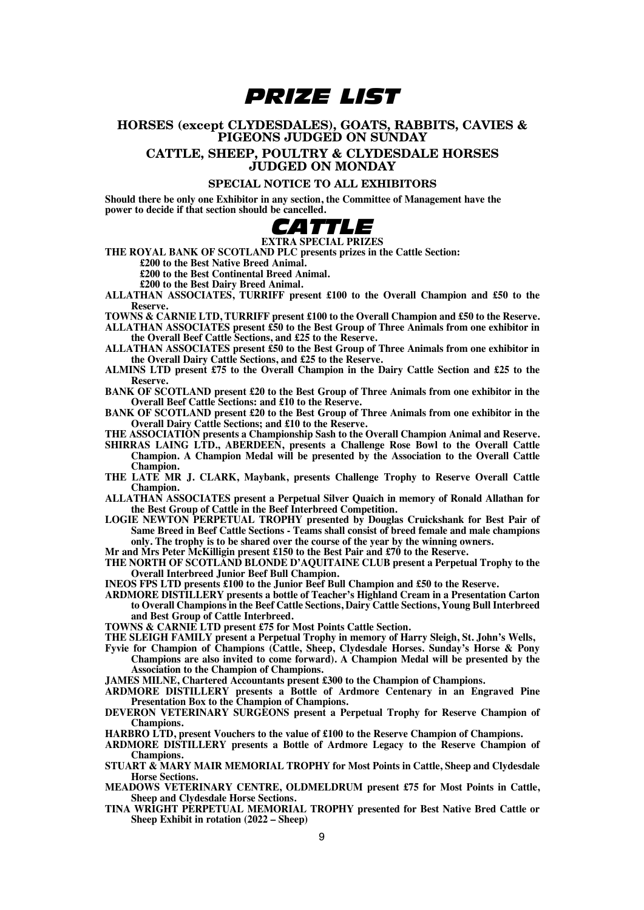# *PRIZE LIST*

#### **HORSES (except CLYDESDALES), GOATS, RABBITS, CAVIES & PIGEONS JUDGED ON SUNDAY CATTLE, SHEEP, POULTRY & CLYDESDALE HORSES JUDGED ON MONDAY**

#### **SPECIAL NOTICE TO ALL EXHIBITORS**

**Should there be only one Exhibitor in any section, the Committee of Management have the power to decide if that section should be cancelled.**



**THE ROYAL BANK OF SCOTLAND PLC presents prizes in the Cattle Section:**

**£200 to the Best Native Breed Animal.**

**£200 to the Best Continental Breed Animal.**

**£200 to the Best Dairy Breed Animal.**

**ALLATHAN ASSOCIATES, TURRIFF present £100 to the Overall Champion and £50 to the Reserve.**

- **TOWNS & CARNIE LTD, TURRIFF present £100 to the Overall Champion and £50 to the Reserve. ALLATHAN ASSOCIATES present £50 to the Best Group of Three Animals from one exhibitor in**
- **the Overall Beef Cattle Sections, and £25 to the Reserve.**
- **ALLATHAN ASSOCIATES present £50 to the Best Group of Three Animals from one exhibitor in the Overall Dairy Cattle Sections, and £25 to the Reserve.**
- **ALMINS LTD present £75 to the Overall Champion in the Dairy Cattle Section and £25 to the Reserve.**
- **BANK OF SCOTLAND present £20 to the Best Group of Three Animals from one exhibitor in the Overall Beef Cattle Sections: and £10 to the Reserve.**
- **BANK OF SCOTLAND present £20 to the Best Group of Three Animals from one exhibitor in the Overall Dairy Cattle Sections; and £10 to the Reserve.**
- 
- **THE ASSOCIATION presents a Championship Sash to the Overall Champion Animal and Reserve. SHIRRAS LAING LTD., ABERDEEN, presents a Challenge Rose Bowl to the Overall Cattle Champion. A Champion Medal will be presented by the Association to the Overall Cattle Champion.**
- **THE LATE MR J. CLARK, Maybank, presents Challenge Trophy to Reserve Overall Cattle Champion.**
- **ALLATHAN ASSOCIATES present a Perpetual Silver Quaich in memory of Ronald Allathan for the Best Group of Cattle in the Beef Interbreed Competition.**
- **LOGIE NEWTON PERPETUAL TROPHY presented by Douglas Cruickshank for Best Pair of Same Breed in Beef Cattle Sections - Teams shall consist of breed female and male champions only. The trophy is to be shared over the course of the year by the winning owners.**

**Mr and Mrs Peter McKilligin present £150 to the Best Pair and £70 to the Reserve. THE NORTH OF SCOTLAND BLONDE D'AQUITAINE CLUB present a Perpetual Trophy to the Overall Interbreed Junior Beef Bull Champion.**

**INEOS FPS LTD presents £100 to the Junior Beef Bull Champion and £50 to the Reserve.**

**ARDMORE DISTILLERY presents a bottle of Teacher's Highland Cream in a Presentation Carton to Overall Champions in the Beef Cattle Sections, Dairy Cattle Sections, Young Bull Interbreed and Best Group of Cattle Interbreed.**

**TOWNS & CARNIE LTD present £75 for Most Points Cattle Section.**

- **THE SLEIGH FAMILY present a Perpetual Trophy in memory of Harry Sleigh, St. John's Wells,**
- **Fyvie for Champion of Champions (Cattle, Sheep, Clydesdale Horses. Sunday's Horse & Pony Champions are also invited to come forward). A Champion Medal will be presented by the Association to the Champion of Champions.**

**JAMES MILNE, Chartered Accountants present £300 to the Champion of Champions.**

- **ARDMORE DISTILLERY presents a Bottle of Ardmore Centenary in an Engraved Pine Presentation Box to the Champion of Champions.**
- **DEVERON VETERINARY SURGEONS present a Perpetual Trophy for Reserve Champion of Champions.**

**HARBRO LTD, present Vouchers to the value of £100 to the Reserve Champion of Champions.**

- **ARDMORE DISTILLERY presents a Bottle of Ardmore Legacy to the Reserve Champion of Champions.**
- **STUART & MARY MAIR MEMORIAL TROPHY for Most Points in Cattle, Sheep and Clydesdale Horse Sections.**

**MEADOWS VETERINARY CENTRE, OLDMELDRUM present £75 for Most Points in Cattle, Sheep and Clydesdale Horse Sections.**

**TINA WRIGHT PERPETUAL MEMORIAL TROPHY presented for Best Native Bred Cattle or Sheep Exhibit in rotation (2022 – Sheep)**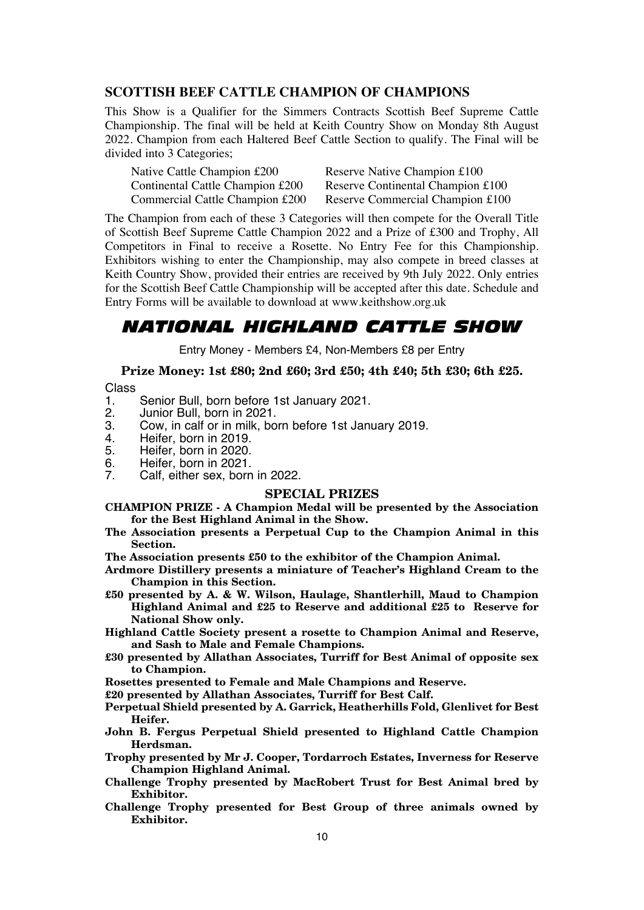#### **SCOTTISH BEEF CATTLE CHAMPION OF CHAMPIONS**

This Show is a Qualifier for the Simmers Contracts Scottish Beef Supreme Cattle Championship. The final will be held at Keith Country Show on Monday 8th August 2022. Champion from each Haltered Beef Cattle Section to qualify. The Final will be divided into 3 Categories;

| Native Cattle Champion £200      | Reserve Native Champion £100      |
|----------------------------------|-----------------------------------|
| Continental Cattle Champion £200 | Reserve Continental Champion £100 |
| Commercial Cattle Champion £200  | Reserve Commercial Champion £100  |

The Champion from each of these 3 Categories will then compete for the Overall Title of Scottish Beef Supreme Cattle Champion 2022 and a Prize of £300 and Trophy, All Competitors in Final to receive a Rosette. No Entry Fee for this Championship. Exhibitors wishing to enter the Championship, may also compete in breed classes at Keith Country Show, provided their entries are received by 9th July 2022. Only entries for the Scottish Beef Cattle Championship will be accepted after this date. Schedule and Entry Forms will be available to download at www.keithshow.org.uk

### *NATIONAL HIGHLAND CATTLE SHOW*

Entry Money - Members £4, Non-Members £8 per Entry

### **Prize Money: 1st £80; 2nd £60; 3rd £50; 4th £40; 5th £30; 6th £25.**

Class<br>1.

- 1. Senior Bull, born before 1st January 2021.
- 2. Junior Bull, born in 2021.<br>3. Cow in calf or in milk bo
- 3. Cow, in calf or in milk, born before 1st January 2019.
- 4. Heifer, born in 2019.
- 5. Heifer, born in 2020.
- 6. Heifer, born in 2021.
- Calf, either sex, born in 2022.

#### **SPECIAL PRIZES**

**CHAMPION PRIZE - A Champion Medal will be presented by the Association for the Best Highland Animal in the Show.**

- **The Association presents a Perpetual Cup to the Champion Animal in this Section.**
- **The Association presents £50 to the exhibitor of the Champion Animal.**
- **Ardmore Distillery presents a miniature of Teacher's Highland Cream to the Champion in this Section.**
- **£50 presented by A. & W. Wilson, Haulage, Shantlerhill, Maud to Champion Highland Animal and £25 to Reserve and additional £25 to Reserve for National Show only.**

**Highland Cattle Society present a rosette to Champion Animal and Reserve, and Sash to Male and Female Champions.**

**£30 presented by Allathan Associates, Turriff for Best Animal of opposite sex to Champion.**

**Rosettes presented to Female and Male Champions and Reserve.**

**£20 presented by Allathan Associates, Turriff for Best Calf.**

- **Perpetual Shield presented by A. Garrick, Heatherhills Fold, Glenlivet for Best Heifer.**
- **John B. Fergus Perpetual Shield presented to Highland Cattle Champion Herdsman.**
- **Trophy presented by Mr J. Cooper, Tordarroch Estates, Inverness for Reserve Champion Highland Animal.**
- **Challenge Trophy presented by MacRobert Trust for Best Animal bred by Exhibitor.**
- **Challenge Trophy presented for Best Group of three animals owned by Exhibitor.**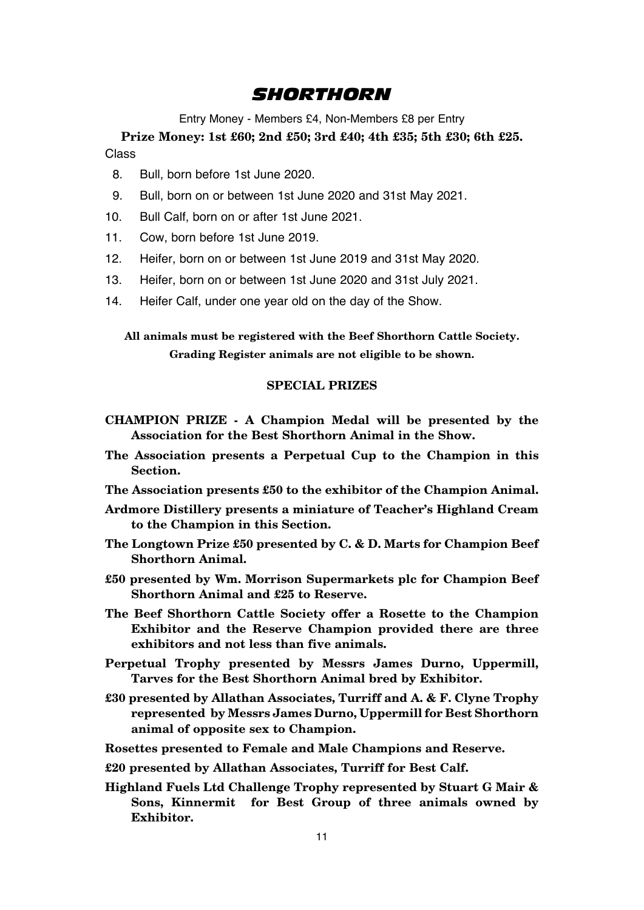### *SHORTHORN*

Entry Money - Members £4, Non-Members £8 per Entry

**Prize Money: 1st £60; 2nd £50; 3rd £40; 4th £35; 5th £30; 6th £25.** Class

- 8. Bull, born before 1st June 2020.
- 9. Bull, born on or between 1st June 2020 and 31st May 2021.
- 10. Bull Calf, born on or after 1st June 2021.
- 11. Cow, born before 1st June 2019.
- 12. Heifer, born on or between 1st June 2019 and 31st May 2020.
- 13. Heifer, born on or between 1st June 2020 and 31st July 2021.
- 14. Heifer Calf, under one year old on the day of the Show.

**All animals must be registered with the Beef Shorthorn Cattle Society. Grading Register animals are not eligible to be shown.**

- **CHAMPION PRIZE A Champion Medal will be presented by the Association for the Best Shorthorn Animal in the Show.**
- **The Association presents a Perpetual Cup to the Champion in this Section.**
- **The Association presents £50 to the exhibitor of the Champion Animal.**
- **Ardmore Distillery presents a miniature of Teacher's Highland Cream to the Champion in this Section.**
- **The Longtown Prize £50 presented by C. & D. Marts for Champion Beef Shorthorn Animal.**
- **£50 presented by Wm. Morrison Supermarkets plc for Champion Beef Shorthorn Animal and £25 to Reserve.**
- **The Beef Shorthorn Cattle Society offer a Rosette to the Champion Exhibitor and the Reserve Champion provided there are three exhibitors and not less than five animals.**
- **Perpetual Trophy presented by Messrs James Durno, Uppermill, Tarves for the Best Shorthorn Animal bred by Exhibitor.**
- **£30 presented by Allathan Associates, Turriff and A. & F. Clyne Trophy represented by Messrs James Durno, Uppermill for Best Shorthorn animal of opposite sex to Champion.**
- **Rosettes presented to Female and Male Champions and Reserve.**
- **£20 presented by Allathan Associates, Turriff for Best Calf.**
- **Highland Fuels Ltd Challenge Trophy represented by Stuart G Mair & Sons, Kinnermit for Best Group of three animals owned by Exhibitor.**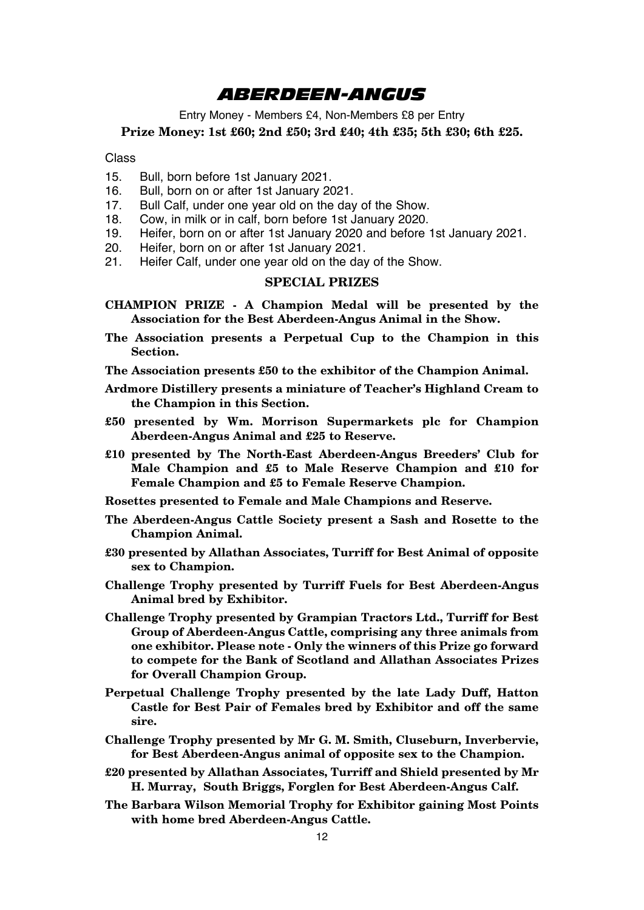### *ABERDEEN-ANGUS*

Entry Money - Members £4, Non-Members £8 per Entry

**Prize Money: 1st £60; 2nd £50; 3rd £40; 4th £35; 5th £30; 6th £25.**

Class

- 15. Bull, born before 1st January 2021.
- 16. Bull, born on or after 1st January 2021.<br>17. Bull Calf, under one year old on the day
- 17. Bull Calf, under one year old on the day of the Show.<br>18. Cow in milk or in calf, born before 1st January 2020.
- 18. Cow, in milk or in calf, born before 1st January 2020.<br>19. Heifer, born on or after 1st January 2020 and before
- 19. Heifer, born on or after 1st January 2020 and before 1st January 2021.
- 20. Heifer, born on or after 1st January 2021.<br>21 Heifer Calf Junder one year old on the day
- Heifer Calf, under one year old on the day of the Show.

#### **SPECIAL PRIZES**

- **CHAMPION PRIZE A Champion Medal will be presented by the Association for the Best Aberdeen-Angus Animal in the Show.**
- **The Association presents a Perpetual Cup to the Champion in this Section.**

**The Association presents £50 to the exhibitor of the Champion Animal.**

- **Ardmore Distillery presents a miniature of Teacher's Highland Cream to the Champion in this Section.**
- **£50 presented by Wm. Morrison Supermarkets plc for Champion Aberdeen-Angus Animal and £25 to Reserve.**
- **£10 presented by The North-East Aberdeen-Angus Breeders' Club for Male Champion and £5 to Male Reserve Champion and £10 for Female Champion and £5 to Female Reserve Champion.**
- **Rosettes presented to Female and Male Champions and Reserve.**
- **The Aberdeen-Angus Cattle Society present a Sash and Rosette to the Champion Animal.**
- **£30 presented by Allathan Associates, Turriff for Best Animal of opposite sex to Champion.**
- **Challenge Trophy presented by Turriff Fuels for Best Aberdeen-Angus Animal bred by Exhibitor.**
- **Challenge Trophy presented by Grampian Tractors Ltd., Turriff for Best Group of Aberdeen-Angus Cattle, comprising any three animals from one exhibitor. Please note - Only the winners of this Prize go forward to compete for the Bank of Scotland and Allathan Associates Prizes for Overall Champion Group.**
- **Perpetual Challenge Trophy presented by the late Lady Duff, Hatton Castle for Best Pair of Females bred by Exhibitor and off the same sire.**
- **Challenge Trophy presented by Mr G. M. Smith, Cluseburn, Inverbervie, for Best Aberdeen-Angus animal of opposite sex to the Champion.**
- **£20 presented by Allathan Associates, Turriff and Shield presented by Mr H. Murray, South Briggs, Forglen for Best Aberdeen-Angus Calf.**
- **The Barbara Wilson Memorial Trophy for Exhibitor gaining Most Points with home bred Aberdeen-Angus Cattle.**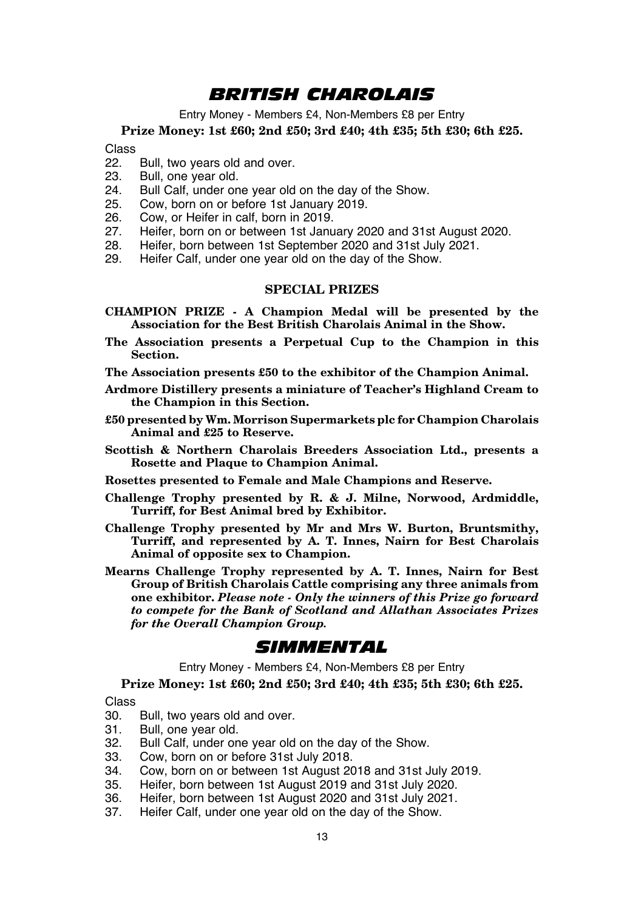### *BRITISH CHAROLAIS*

Entry Money - Members £4, Non-Members £8 per Entry

**Prize Money: 1st £60; 2nd £50; 3rd £40; 4th £35; 5th £30; 6th £25.**

Class<br>22.

- 22. Bull, two years old and over.<br>23. Bull one year old
- 23. Bull, one year old.<br>24. Bull Calf, under on
- 24. Bull Calf, under one year old on the day of the Show.<br>25. Cow, born on or before 1st January 2019.
- 25. Cow, born on or before 1st January 2019.<br>26. Cow, or Heifer in calf, born in 2019.
- 26. Cow, or Heifer in calf, born in 2019.<br>27. Heifer, born on or between 1st Janu
- 27. Heifer, born on or between 1st January 2020 and 31st August 2020.<br>28. Heifer, born between 1st September 2020 and 31st July 2021.
- 28. Heifer, born between 1st September 2020 and 31st July 2021.
- Heifer Calf, under one year old on the day of the Show.

#### **SPECIAL PRIZES**

- **CHAMPION PRIZE A Champion Medal will be presented by the Association for the Best British Charolais Animal in the Show.**
- **The Association presents a Perpetual Cup to the Champion in this Section.**

**The Association presents £50 to the exhibitor of the Champion Animal.**

- **Ardmore Distillery presents a miniature of Teacher's Highland Cream to the Champion in this Section.**
- **£50 presented by Wm. Morrison Supermarkets plc for Champion Charolais Animal and £25 to Reserve.**
- **Scottish & Northern Charolais Breeders Association Ltd., presents a Rosette and Plaque to Champion Animal.**
- **Rosettes presented to Female and Male Champions and Reserve.**
- **Challenge Trophy presented by R. & J. Milne, Norwood, Ardmiddle, Turriff, for Best Animal bred by Exhibitor.**
- **Challenge Trophy presented by Mr and Mrs W. Burton, Bruntsmithy, Turriff, and represented by A. T. Innes, Nairn for Best Charolais Animal of opposite sex to Champion.**
- **Mearns Challenge Trophy represented by A. T. Innes, Nairn for Best Group of British Charolais Cattle comprising any three animals from one exhibitor.** *Please note - Only the winners of this Prize go forward to compete for the Bank of Scotland and Allathan Associates Prizes for the Overall Champion Group.*

### *SIMMENTAL*

Entry Money - Members £4, Non-Members £8 per Entry

**Prize Money: 1st £60; 2nd £50; 3rd £40; 4th £35; 5th £30; 6th £25.**

Class<br>30

- 30. Bull, two years old and over.<br>31 Bull one year old
- 31. Bull, one year old.<br>32. Bull Calf, under on
- 32. Bull Calf, under one year old on the day of the Show.
- 33. Cow, born on or before 31st July 2018.
- 34. Cow, born on or between 1st August 2018 and 31st July 2019.
- 35. Heifer, born between 1st August 2019 and 31st July 2020.
- 36. Heifer, born between 1st August 2020 and 31st July 2021.
- Heifer Calf, under one year old on the day of the Show.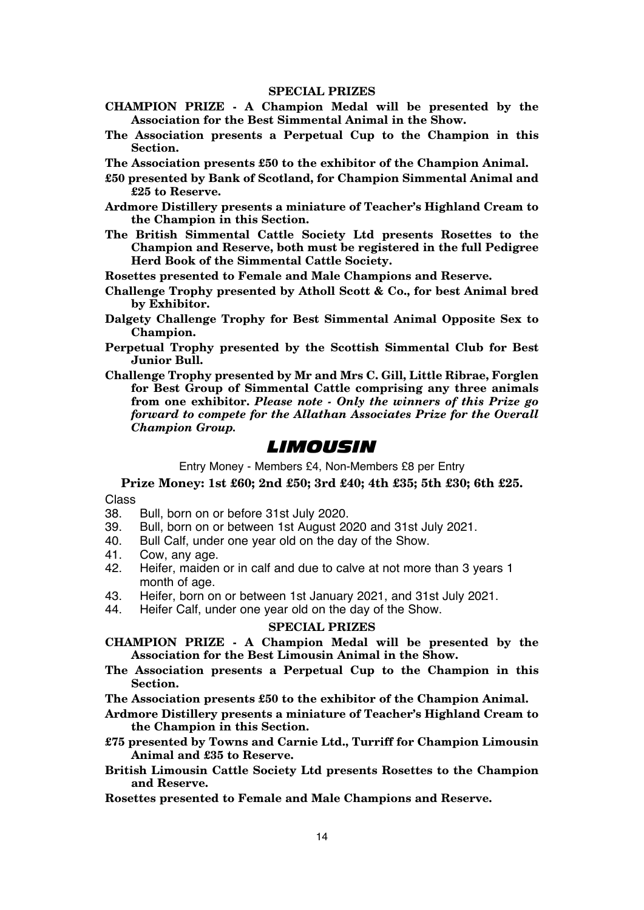#### **SPECIAL PRIZES**

- **CHAMPION PRIZE A Champion Medal will be presented by the Association for the Best Simmental Animal in the Show.**
- **The Association presents a Perpetual Cup to the Champion in this Section.**
- **The Association presents £50 to the exhibitor of the Champion Animal.**
- **£50 presented by Bank of Scotland, for Champion Simmental Animal and £25 to Reserve.**
- **Ardmore Distillery presents a miniature of Teacher's Highland Cream to the Champion in this Section.**
- **The British Simmental Cattle Society Ltd presents Rosettes to the Champion and Reserve, both must be registered in the full Pedigree Herd Book of the Simmental Cattle Society.**
- **Rosettes presented to Female and Male Champions and Reserve.**
- **Challenge Trophy presented by Atholl Scott & Co., for best Animal bred by Exhibitor.**
- **Dalgety Challenge Trophy for Best Simmental Animal Opposite Sex to Champion.**
- **Perpetual Trophy presented by the Scottish Simmental Club for Best Junior Bull.**
- **Challenge Trophy presented by Mr and Mrs C. Gill, Little Ribrae, Forglen for Best Group of Simmental Cattle comprising any three animals from one exhibitor.** *Please note - Only the winners of this Prize go forward to compete for the Allathan Associates Prize for the Overall Champion Group.*

### *LIMOUSIN*

Entry Money - Members £4, Non-Members £8 per Entry

**Prize Money: 1st £60; 2nd £50; 3rd £40; 4th £35; 5th £30; 6th £25.**

# Class<br>38

- 38. Bull, born on or before 31st July 2020.
- 39. Bull, born on or between 1st August 2020 and 31st July 2021.<br>40 Bull Calf under one vear old on the day of the Show
- 40. Bull Calf, under one year old on the day of the Show.<br>41 Cow any age
- 41. Cow, any age.<br>42. Heifer maiden
- Heifer, maiden or in calf and due to calve at not more than 3 years 1 month of age.
- 43. Heifer, born on or between 1st January 2021, and 31st July 2021.<br>44. Heifer Calf under one vear old on the day of the Show
- Heifer Calf, under one year old on the day of the Show.

- **CHAMPION PRIZE A Champion Medal will be presented by the Association for the Best Limousin Animal in the Show.**
- **The Association presents a Perpetual Cup to the Champion in this Section.**
- **The Association presents £50 to the exhibitor of the Champion Animal.**
- **Ardmore Distillery presents a miniature of Teacher's Highland Cream to the Champion in this Section.**
- **£75 presented by Towns and Carnie Ltd., Turriff for Champion Limousin Animal and £35 to Reserve.**
- **British Limousin Cattle Society Ltd presents Rosettes to the Champion and Reserve.**
- **Rosettes presented to Female and Male Champions and Reserve.**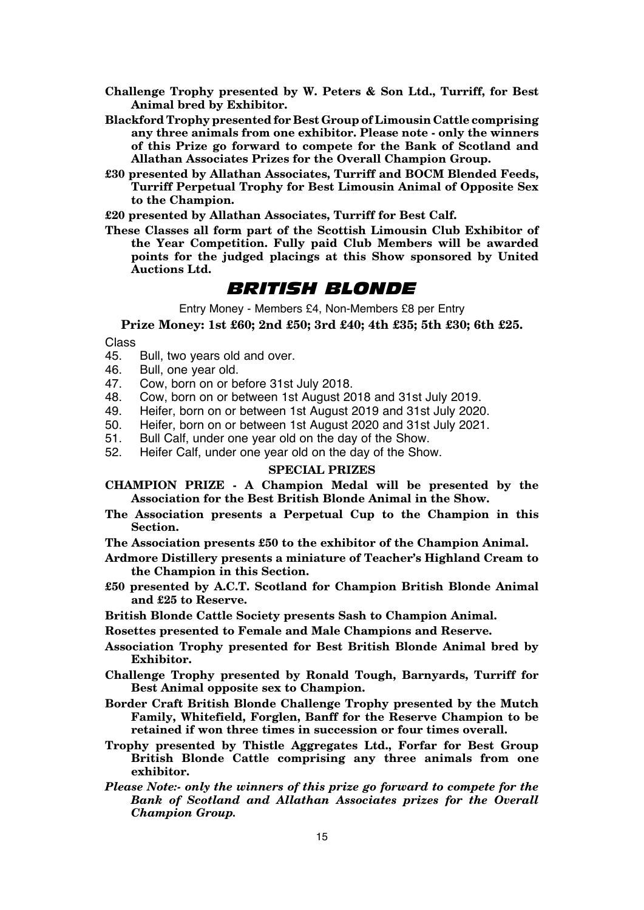- **Challenge Trophy presented by W. Peters & Son Ltd., Turriff, for Best Animal bred by Exhibitor.**
- **Blackford Trophy presented for Best Group of Limousin Cattle comprising any three animals from one exhibitor. Please note - only the winners of this Prize go forward to compete for the Bank of Scotland and Allathan Associates Prizes for the Overall Champion Group.**
- **£30 presented by Allathan Associates, Turriff and BOCM Blended Feeds, Turriff Perpetual Trophy for Best Limousin Animal of Opposite Sex to the Champion.**

**£20 presented by Allathan Associates, Turriff for Best Calf.**

**These Classes all form part of the Scottish Limousin Club Exhibitor of the Year Competition. Fully paid Club Members will be awarded points for the judged placings at this Show sponsored by United Auctions Ltd.**

### *BRITISH BLONDE*

Entry Money - Members £4, Non-Members £8 per Entry

**Prize Money: 1st £60; 2nd £50; 3rd £40; 4th £35; 5th £30; 6th £25.**

- Class<br>45
- 45. Bull, two years old and over.<br>46. Bull, one year old
- 46. Bull, one year old.<br>47 Cow born on or be
- 47. Cow, born on or before 31st July 2018.<br>48. Cow, born on or between 1st August 20
- 48. Cow, born on or between 1st August 2018 and 31st July 2019.
- 49. Heifer, born on or between 1st August 2019 and 31st July 2020.
- 50. Heifer, born on or between 1st August 2020 and 31st July 2021.<br>51 Bull Calf Junder one year old on the day of the Show
- 51. Bull Calf, under one year old on the day of the Show.<br>52. Heifer Calf, under one year old on the day of the Show.
	- 52. Heifer Calf, under one year old on the day of the Show.

- **CHAMPION PRIZE A Champion Medal will be presented by the Association for the Best British Blonde Animal in the Show.**
- **The Association presents a Perpetual Cup to the Champion in this Section.**
- **The Association presents £50 to the exhibitor of the Champion Animal.**
- **Ardmore Distillery presents a miniature of Teacher's Highland Cream to the Champion in this Section.**
- **£50 presented by A.C.T. Scotland for Champion British Blonde Animal and £25 to Reserve.**
- **British Blonde Cattle Society presents Sash to Champion Animal.**
- **Rosettes presented to Female and Male Champions and Reserve.**
- **Association Trophy presented for Best British Blonde Animal bred by Exhibitor.**
- **Challenge Trophy presented by Ronald Tough, Barnyards, Turriff for Best Animal opposite sex to Champion.**
- **Border Craft British Blonde Challenge Trophy presented by the Mutch Family, Whitefield, Forglen, Banff for the Reserve Champion to be retained if won three times in succession or four times overall.**
- **Trophy presented by Thistle Aggregates Ltd., Forfar for Best Group British Blonde Cattle comprising any three animals from one exhibitor.**
- *Please Note:- only the winners of this prize go forward to compete for the Bank of Scotland and Allathan Associates prizes for the Overall Champion Group.*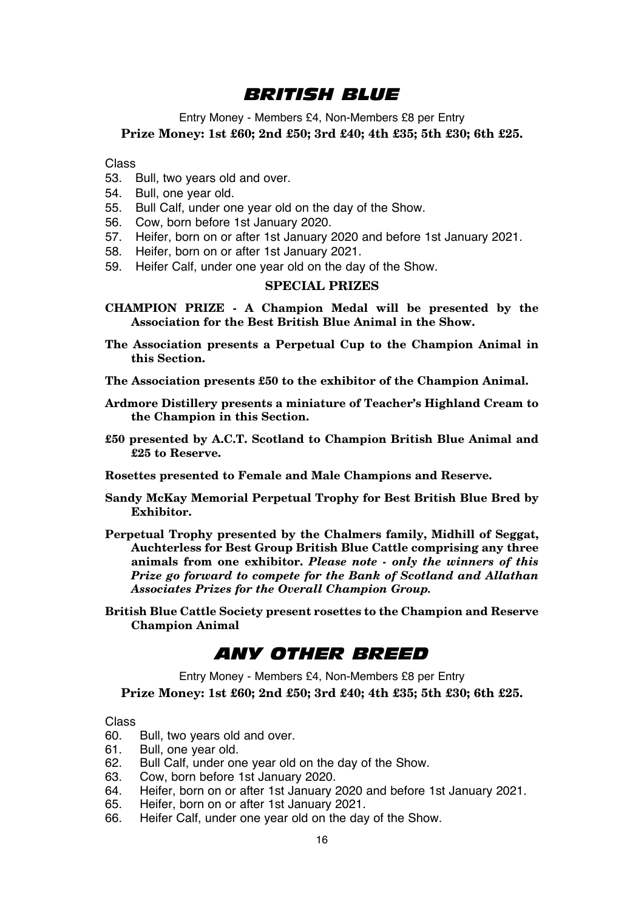### *BRITISH BLUE*

Entry Money - Members £4, Non-Members £8 per Entry **Prize Money: 1st £60; 2nd £50; 3rd £40; 4th £35; 5th £30; 6th £25.**

Class

- 53. Bull, two years old and over.
- 54. Bull, one year old.
- 55. Bull Calf, under one year old on the day of the Show.
- 56. Cow, born before 1st January 2020.
- 57. Heifer, born on or after 1st January 2020 and before 1st January 2021.
- 58. Heifer, born on or after 1st January 2021.
- 59. Heifer Calf, under one year old on the day of the Show.

#### **SPECIAL PRIZES**

- **CHAMPION PRIZE A Champion Medal will be presented by the Association for the Best British Blue Animal in the Show.**
- **The Association presents a Perpetual Cup to the Champion Animal in this Section.**
- **The Association presents £50 to the exhibitor of the Champion Animal.**
- **Ardmore Distillery presents a miniature of Teacher's Highland Cream to the Champion in this Section.**
- **£50 presented by A.C.T. Scotland to Champion British Blue Animal and £25 to Reserve.**
- **Rosettes presented to Female and Male Champions and Reserve.**
- **Sandy McKay Memorial Perpetual Trophy for Best British Blue Bred by Exhibitor.**
- **Perpetual Trophy presented by the Chalmers family, Midhill of Seggat, Auchterless for Best Group British Blue Cattle comprising any three animals from one exhibitor.** *Please note - only the winners of this Prize go forward to compete for the Bank of Scotland and Allathan Associates Prizes for the Overall Champion Group.*
- **British Blue Cattle Society present rosettes to the Champion and Reserve Champion Animal**

### *ANY OTHER BREED*

Entry Money - Members £4, Non-Members £8 per Entry **Prize Money: 1st £60; 2nd £50; 3rd £40; 4th £35; 5th £30; 6th £25.**

# Class<br>60

- 60. Bull, two years old and over.<br>61 Bull one year old
- 61. Bull, one year old.<br>62. Bull Calf under on
- 62. Bull Calf, under one year old on the day of the Show.<br>63. Cow, born before 1st January 2020
- 63. Cow, born before 1st January 2020.<br>64. Heifer, born on or after 1st January 2020.
- 64. Heifer, born on or after 1st January 2020 and before 1st January 2021.<br>65. Heifer, born on or after 1st January 2021
- 65. Heifer, born on or after 1st January 2021.
- Heifer Calf, under one year old on the day of the Show.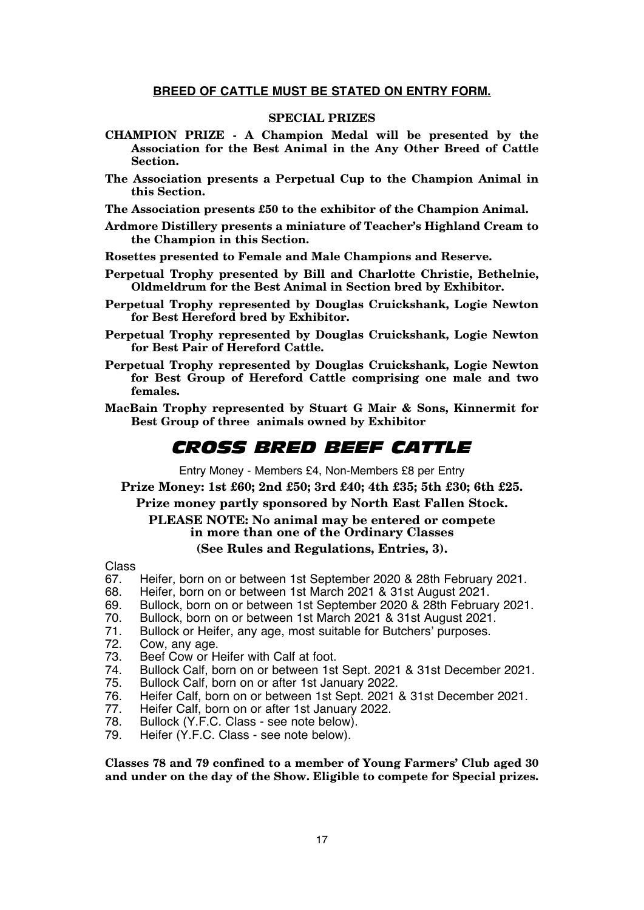#### **BREED OF CATTLE MUST BE STATED ON ENTRY FORM.**

#### **SPECIAL PRIZES**

- **CHAMPION PRIZE A Champion Medal will be presented by the Association for the Best Animal in the Any Other Breed of Cattle Section.**
- **The Association presents a Perpetual Cup to the Champion Animal in this Section.**

**The Association presents £50 to the exhibitor of the Champion Animal.**

**Ardmore Distillery presents a miniature of Teacher's Highland Cream to the Champion in this Section.**

**Rosettes presented to Female and Male Champions and Reserve.**

- **Perpetual Trophy presented by Bill and Charlotte Christie, Bethelnie, Oldmeldrum for the Best Animal in Section bred by Exhibitor.**
- **Perpetual Trophy represented by Douglas Cruickshank, Logie Newton for Best Hereford bred by Exhibitor.**
- **Perpetual Trophy represented by Douglas Cruickshank, Logie Newton for Best Pair of Hereford Cattle.**
- **Perpetual Trophy represented by Douglas Cruickshank, Logie Newton for Best Group of Hereford Cattle comprising one male and two females.**
- **MacBain Trophy represented by Stuart G Mair & Sons, Kinnermit for Best Group of three animals owned by Exhibitor**

### *CROSS BRED BEEF CATTLE*

Entry Money - Members £4, Non-Members £8 per Entry

**Prize Money: 1st £60; 2nd £50; 3rd £40; 4th £35; 5th £30; 6th £25.**

### **Prize money partly sponsored by North East Fallen Stock. PLEASE NOTE: No animal may be entered or compete in more than one of the Ordinary Classes**

#### **(See Rules and Regulations, Entries, 3).**

Class<br>67.

- 67. Heifer, born on or between 1st September 2020 & 28th February 2021.<br>68. Heifer, born on or between 1st March 2021 & 31st August 2021.
- 68. Heifer, born on or between 1st March 2021 & 31st August 2021.
- 69. Bullock, born on or between 1st September 2020 & 28th February 2021.<br>70. Bullock, born on or between 1st March 2021 & 31st August 2021.
- 70. Bullock, born on or between 1st March 2021 & 31st August 2021.
- 71. Bullock or Heifer, any age, most suitable for Butchers' purposes.<br>72. Cow. any age.
- 72. Cow, any age.
- 73. Beef Cow or Heifer with Calf at foot.<br>74 Bullock Calf born on or between 1st
- 74. Bullock Calf, born on or between 1st Sept. 2021 & 31st December 2021.
- 75. Bullock Calf, born on or after 1st January 2022.
- 76. Heifer Calf, born on or between 1st Sept. 2021 & 31st December 2021.
- 77. Heifer Calf, born on or after 1st January 2022.<br>78. Bullock (Y.F.C. Class see note below).
- 78. Bullock (Y.F.C. Class see note below).
- Heifer (Y.F.C. Class see note below).

**Classes 78 and 79 confined to a member of Young Farmers' Club aged 30 and under on the day of the Show. Eligible to compete for Special prizes.**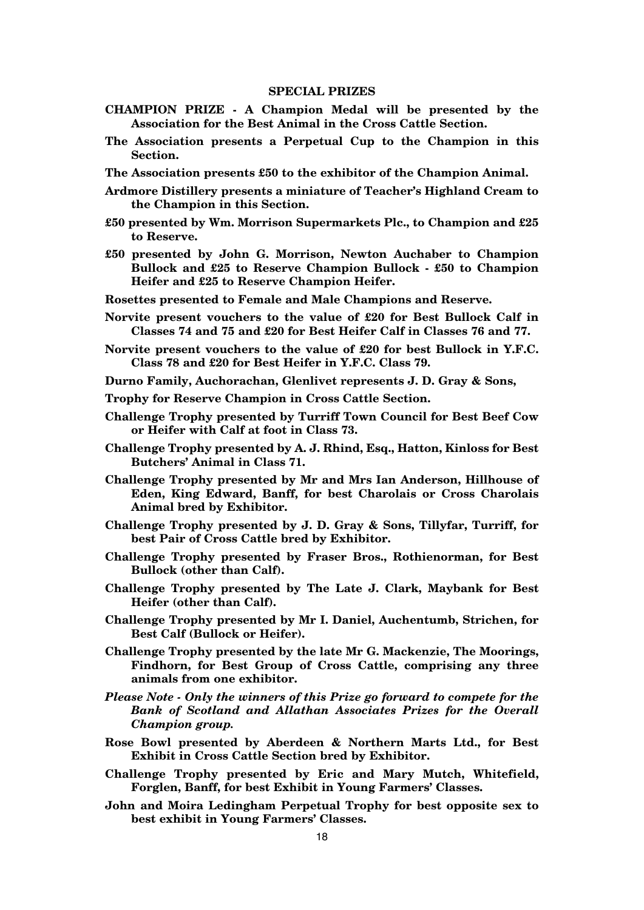- **CHAMPION PRIZE A Champion Medal will be presented by the Association for the Best Animal in the Cross Cattle Section.**
- **The Association presents a Perpetual Cup to the Champion in this Section.**
- **The Association presents £50 to the exhibitor of the Champion Animal.**
- **Ardmore Distillery presents a miniature of Teacher's Highland Cream to the Champion in this Section.**
- **£50 presented by Wm. Morrison Supermarkets Plc., to Champion and £25 to Reserve.**
- **£50 presented by John G. Morrison, Newton Auchaber to Champion Bullock and £25 to Reserve Champion Bullock - £50 to Champion Heifer and £25 to Reserve Champion Heifer.**
- **Rosettes presented to Female and Male Champions and Reserve.**
- **Norvite present vouchers to the value of £20 for Best Bullock Calf in Classes 74 and 75 and £20 for Best Heifer Calf in Classes 76 and 77.**
- **Norvite present vouchers to the value of £20 for best Bullock in Y.F.C. Class 78 and £20 for Best Heifer in Y.F.C. Class 79.**
- **Durno Family, Auchorachan, Glenlivet represents J. D. Gray & Sons,**
- **Trophy for Reserve Champion in Cross Cattle Section.**
- **Challenge Trophy presented by Turriff Town Council for Best Beef Cow or Heifer with Calf at foot in Class 73.**
- **Challenge Trophy presented by A. J. Rhind, Esq., Hatton, Kinloss for Best Butchers' Animal in Class 71.**
- **Challenge Trophy presented by Mr and Mrs Ian Anderson, Hillhouse of Eden, King Edward, Banff, for best Charolais or Cross Charolais Animal bred by Exhibitor.**
- **Challenge Trophy presented by J. D. Gray & Sons, Tillyfar, Turriff, for best Pair of Cross Cattle bred by Exhibitor.**
- **Challenge Trophy presented by Fraser Bros., Rothienorman, for Best Bullock (other than Calf).**
- **Challenge Trophy presented by The Late J. Clark, Maybank for Best Heifer (other than Calf).**
- **Challenge Trophy presented by Mr I. Daniel, Auchentumb, Strichen, for Best Calf (Bullock or Heifer).**
- **Challenge Trophy presented by the late Mr G. Mackenzie, The Moorings, Findhorn, for Best Group of Cross Cattle, comprising any three animals from one exhibitor.**
- *Please Note Only the winners of this Prize go forward to compete for the Bank of Scotland and Allathan Associates Prizes for the Overall Champion group.*
- **Rose Bowl presented by Aberdeen & Northern Marts Ltd., for Best Exhibit in Cross Cattle Section bred by Exhibitor.**
- **Challenge Trophy presented by Eric and Mary Mutch, Whitefield, Forglen, Banff, for best Exhibit in Young Farmers' Classes.**
- **John and Moira Ledingham Perpetual Trophy for best opposite sex to best exhibit in Young Farmers' Classes.**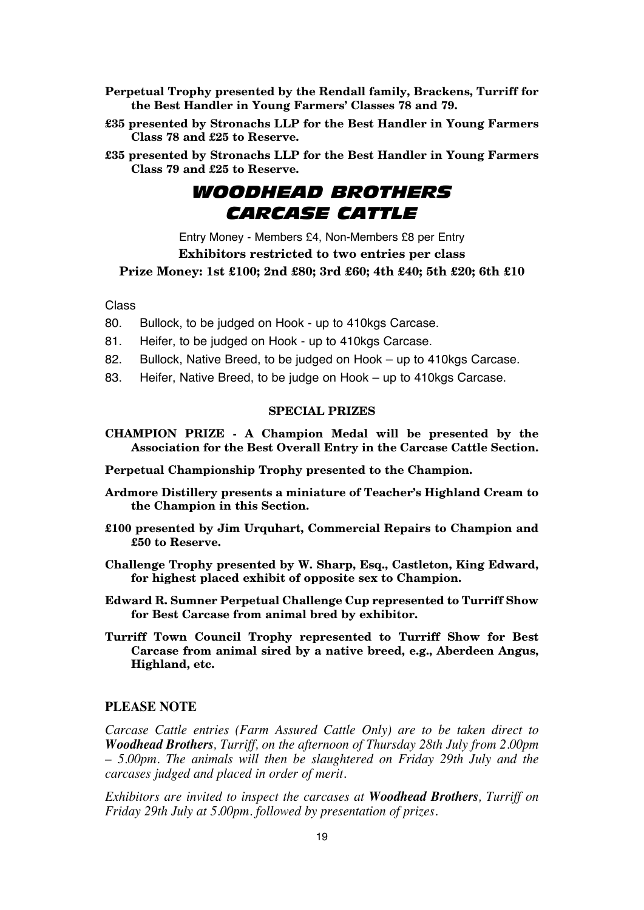- **Perpetual Trophy presented by the Rendall family, Brackens, Turriff for the Best Handler in Young Farmers' Classes 78 and 79.**
- **£35 presented by Stronachs LLP for the Best Handler in Young Farmers Class 78 and £25 to Reserve.**
- **£35 presented by Stronachs LLP for the Best Handler in Young Farmers Class 79 and £25 to Reserve.**

### *WOODHEAD BROTHERS CARCASE CATTLE*

Entry Money - Members £4, Non-Members £8 per Entry **Exhibitors restricted to two entries per class**

**Prize Money: 1st £100; 2nd £80; 3rd £60; 4th £40; 5th £20; 6th £10**

Class

- 80. Bullock, to be judged on Hook up to 410kgs Carcase.
- 81. Heifer, to be judged on Hook up to 410kgs Carcase.
- 82. Bullock, Native Breed, to be judged on Hook up to 410kgs Carcase.
- 83. Heifer, Native Breed, to be judge on Hook up to 410kgs Carcase.

#### **SPECIAL PRIZES**

**CHAMPION PRIZE - A Champion Medal will be presented by the Association for the Best Overall Entry in the Carcase Cattle Section.**

**Perpetual Championship Trophy presented to the Champion.**

- **Ardmore Distillery presents a miniature of Teacher's Highland Cream to the Champion in this Section.**
- **£100 presented by Jim Urquhart, Commercial Repairs to Champion and £50 to Reserve.**
- **Challenge Trophy presented by W. Sharp, Esq., Castleton, King Edward, for highest placed exhibit of opposite sex to Champion.**
- **Edward R. Sumner Perpetual Challenge Cup represented to Turriff Show for Best Carcase from animal bred by exhibitor.**
- **Turriff Town Council Trophy represented to Turriff Show for Best Carcase from animal sired by a native breed, e.g., Aberdeen Angus, Highland, etc.**

#### **PLEASE NOTE**

*Carcase Cattle entries (Farm Assured Cattle Only) are to be taken direct to Woodhead Brothers, Turriff, on the afternoon of Thursday 28th July from 2.00pm – 5.00pm. The animals will then be slaughtered on Friday 29th July and the carcases judged and placed in order of merit.*

*Exhibitors are invited to inspect the carcases at Woodhead Brothers, Turriff on Friday 29th July at 5.00pm. followed by presentation of prizes.*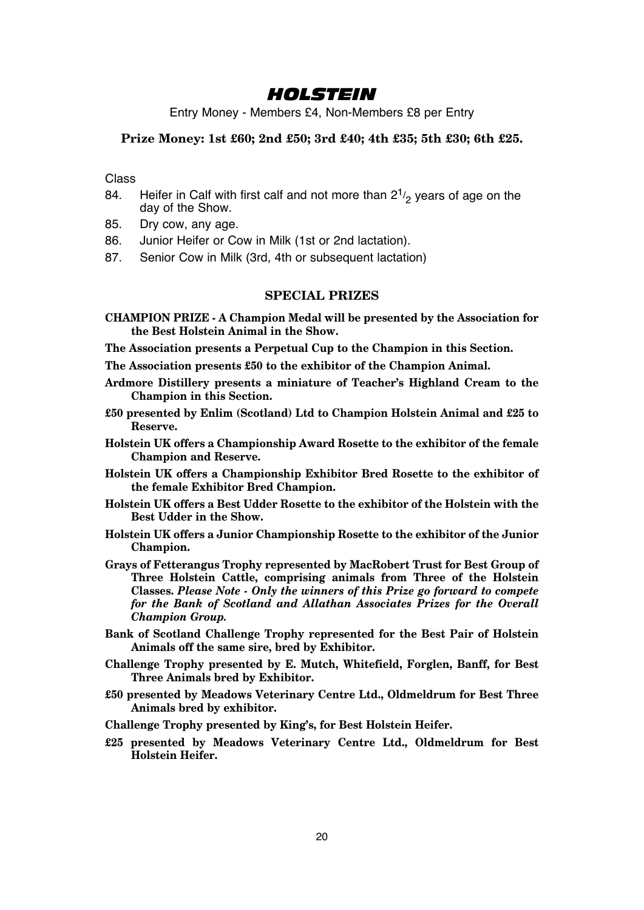### *HOLSTEIN*

Entry Money - Members £4, Non-Members £8 per Entry

#### **Prize Money: 1st £60; 2nd £50; 3rd £40; 4th £35; 5th £30; 6th £25.**

Class

- 84. Heifer in Calf with first calf and not more than  $2^{1/2}$  years of age on the day of the Show.
- 85. Dry cow, any age.
- 86. Junior Heifer or Cow in Milk (1st or 2nd lactation).
- 87. Senior Cow in Milk (3rd, 4th or subsequent lactation)

#### **SPECIAL PRIZES**

**CHAMPION PRIZE - A Champion Medal will be presented by the Association for the Best Holstein Animal in the Show.**

**The Association presents a Perpetual Cup to the Champion in this Section.**

**The Association presents £50 to the exhibitor of the Champion Animal.**

- **Ardmore Distillery presents a miniature of Teacher's Highland Cream to the Champion in this Section.**
- **£50 presented by Enlim (Scotland) Ltd to Champion Holstein Animal and £25 to Reserve.**
- **Holstein UK offers a Championship Award Rosette to the exhibitor of the female Champion and Reserve.**
- **Holstein UK offers a Championship Exhibitor Bred Rosette to the exhibitor of the female Exhibitor Bred Champion.**
- **Holstein UK offers a Best Udder Rosette to the exhibitor of the Holstein with the Best Udder in the Show.**
- **Holstein UK offers a Junior Championship Rosette to the exhibitor of the Junior Champion.**
- **Grays of Fetterangus Trophy represented by MacRobert Trust for Best Group of Three Holstein Cattle, comprising animals from Three of the Holstein Classes.** *Please Note - Only the winners of this Prize go forward to compete for the Bank of Scotland and Allathan Associates Prizes for the Overall Champion Group.*
- **Bank of Scotland Challenge Trophy represented for the Best Pair of Holstein Animals off the same sire, bred by Exhibitor.**
- **Challenge Trophy presented by E. Mutch, Whitefield, Forglen, Banff, for Best Three Animals bred by Exhibitor.**
- **£50 presented by Meadows Veterinary Centre Ltd., Oldmeldrum for Best Three Animals bred by exhibitor.**
- **Challenge Trophy presented by King's, for Best Holstein Heifer.**
- **£25 presented by Meadows Veterinary Centre Ltd., Oldmeldrum for Best Holstein Heifer.**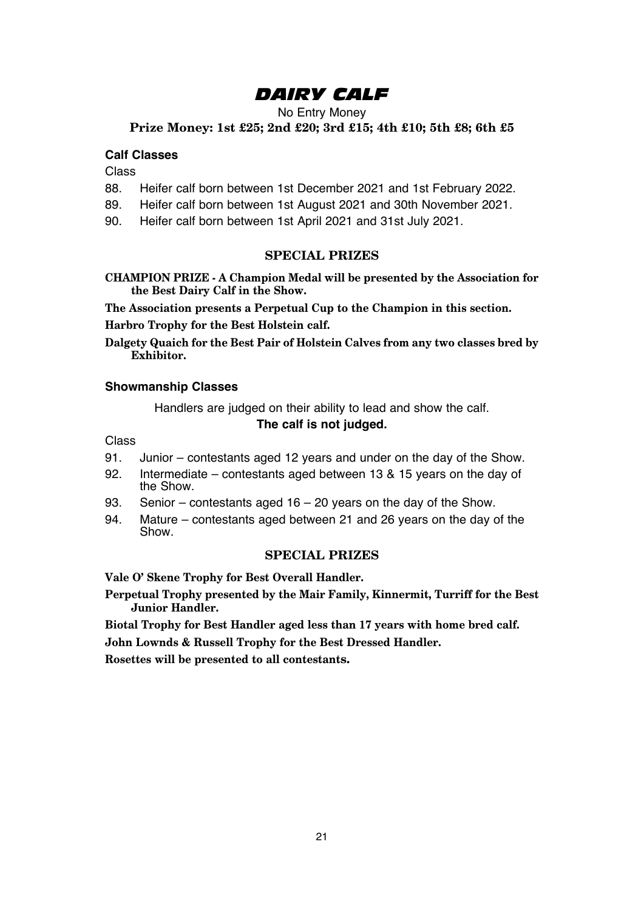## *DAIRY CALF*

No Entry Money

**Prize Money: 1st £25; 2nd £20; 3rd £15; 4th £10; 5th £8; 6th £5**

#### **Calf Classes**

Class

- 88. Heifer calf born between 1st December 2021 and 1st February 2022.
- 89. Heifer calf born between 1st August 2021 and 30th November 2021.
- 90. Heifer calf born between 1st April 2021 and 31st July 2021.

#### **SPECIAL PRIZES**

**CHAMPION PRIZE - A Champion Medal will be presented by the Association for the Best Dairy Calf in the Show.**

**The Association presents a Perpetual Cup to the Champion in this section.**

**Harbro Trophy for the Best Holstein calf.**

**Dalgety Quaich for the Best Pair of Holstein Calves from any two classes bred by Exhibitor.**

#### **Showmanship Classes**

Handlers are judged on their ability to lead and show the calf. **The calf is not judged.**

Class

- 91. Junior contestants aged 12 years and under on the day of the Show.
- 92. Intermediate contestants aged between 13 & 15 years on the day of the Show.
- 93. Senior contestants aged 16 20 years on the day of the Show.
- 94. Mature contestants aged between 21 and 26 years on the day of the Show.

#### **SPECIAL PRIZES**

**Vale O' Skene Trophy for Best Overall Handler.**

**Perpetual Trophy presented by the Mair Family, Kinnermit, Turriff for the Best Junior Handler.**

**Biotal Trophy for Best Handler aged less than 17 years with home bred calf.**

**John Lownds & Russell Trophy for the Best Dressed Handler.**

**Rosettes will be presented to all contestants.**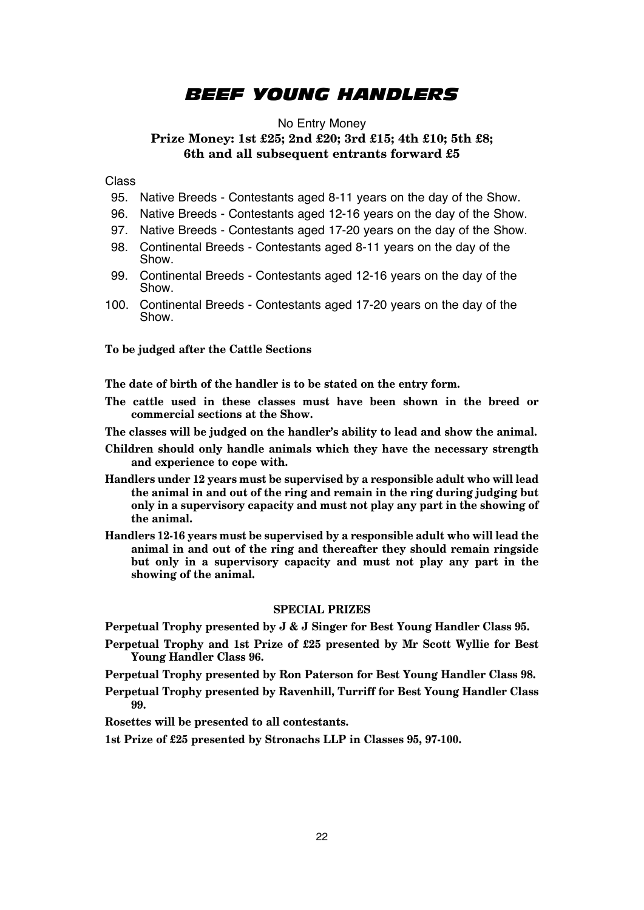### *BEEF YOUNG HANDLERS*

#### No Entry Money **Prize Money: 1st £25; 2nd £20; 3rd £15; 4th £10; 5th £8; 6th and all subsequent entrants forward £5**

Class

- 95. Native Breeds Contestants aged 8-11 years on the day of the Show.
- 96. Native Breeds Contestants aged 12-16 years on the day of the Show.
- 97. Native Breeds Contestants aged 17-20 years on the day of the Show.
- 98. Continental Breeds Contestants aged 8-11 years on the day of the Show.
- 99. Continental Breeds Contestants aged 12-16 years on the day of the Show.
- 100. Continental Breeds Contestants aged 17-20 years on the day of the Show.

**To be judged after the Cattle Sections**

**The date of birth of the handler is to be stated on the entry form.**

- **The cattle used in these classes must have been shown in the breed or commercial sections at the Show.**
- **The classes will be judged on the handler's ability to lead and show the animal.**
- **Children should only handle animals which they have the necessary strength and experience to cope with.**
- **Handlers under 12 years must be supervised by a responsible adult who will lead the animal in and out of the ring and remain in the ring during judging but only in a supervisory capacity and must not play any part in the showing of the animal.**
- **Handlers 12-16 years must be supervised by a responsible adult who will lead the animal in and out of the ring and thereafter they should remain ringside but only in a supervisory capacity and must not play any part in the showing of the animal.**

#### **SPECIAL PRIZES**

**Perpetual Trophy presented by J & J Singer for Best Young Handler Class 95.**

**Perpetual Trophy and 1st Prize of £25 presented by Mr Scott Wyllie for Best Young Handler Class 96.**

**Perpetual Trophy presented by Ron Paterson for Best Young Handler Class 98.**

**Perpetual Trophy presented by Ravenhill, Turriff for Best Young Handler Class 99.**

**Rosettes will be presented to all contestants.**

**1st Prize of £25 presented by Stronachs LLP in Classes 95, 97-100.**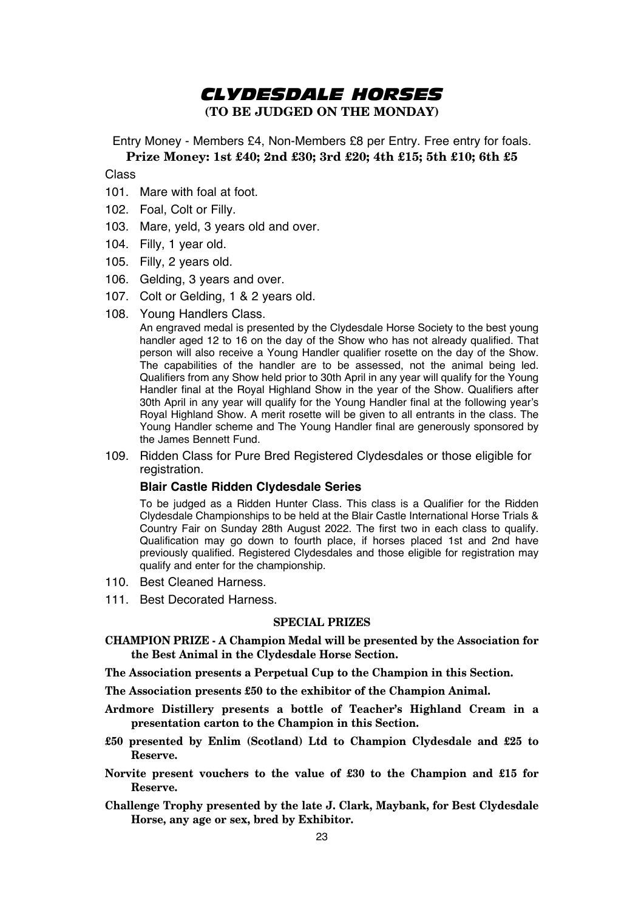### *CLYDESDALE HORSES* **(TO BE JUDGED ON THE MONDAY)**

Entry Money - Members £4, Non-Members £8 per Entry. Free entry for foals. **Prize Money: 1st £40; 2nd £30; 3rd £20; 4th £15; 5th £10; 6th £5**

Class

- 101. Mare with foal at foot.
- 102. Foal, Colt or Filly.
- 103. Mare, yeld, 3 years old and over.
- 104. Filly, 1 year old.
- 105. Filly, 2 years old.
- 106. Gelding, 3 years and over.
- 107. Colt or Gelding, 1 & 2 years old.
- 108. Young Handlers Class.

 An engraved medal is presented by the Clydesdale Horse Society to the best young handler aged 12 to 16 on the day of the Show who has not already qualified. That person will also receive a Young Handler qualifier rosette on the day of the Show. The capabilities of the handler are to be assessed, not the animal being led. Qualifiers from any Show held prior to 30th April in any year will qualify for the Young Handler final at the Royal Highland Show in the year of the Show. Qualifiers after 30th April in any year will qualify for the Young Handler final at the following year's Royal Highland Show. A merit rosette will be given to all entrants in the class. The Young Handler scheme and The Young Handler final are generously sponsored by the James Bennett Fund.

109. Ridden Class for Pure Bred Registered Clydesdales or those eligible for registration.

#### **Blair Castle Ridden Clydesdale Series**

To be judged as a Ridden Hunter Class. This class is a Qualifier for the Ridden Clydesdale Championships to be held at the Blair Castle International Horse Trials & Country Fair on Sunday 28th August 2022. The first two in each class to qualify. Qualification may go down to fourth place, if horses placed 1st and 2nd have previously qualified. Registered Clydesdales and those eligible for registration may qualify and enter for the championship.

- 110. Best Cleaned Harness.
- 111. Best Decorated Harness.

- **CHAMPION PRIZE A Champion Medal will be presented by the Association for the Best Animal in the Clydesdale Horse Section.**
- **The Association presents a Perpetual Cup to the Champion in this Section.**
- **The Association presents £50 to the exhibitor of the Champion Animal.**
- **Ardmore Distillery presents a bottle of Teacher's Highland Cream in a presentation carton to the Champion in this Section.**
- **£50 presented by Enlim (Scotland) Ltd to Champion Clydesdale and £25 to Reserve.**
- **Norvite present vouchers to the value of £30 to the Champion and £15 for Reserve.**
- **Challenge Trophy presented by the late J. Clark, Maybank, for Best Clydesdale Horse, any age or sex, bred by Exhibitor.**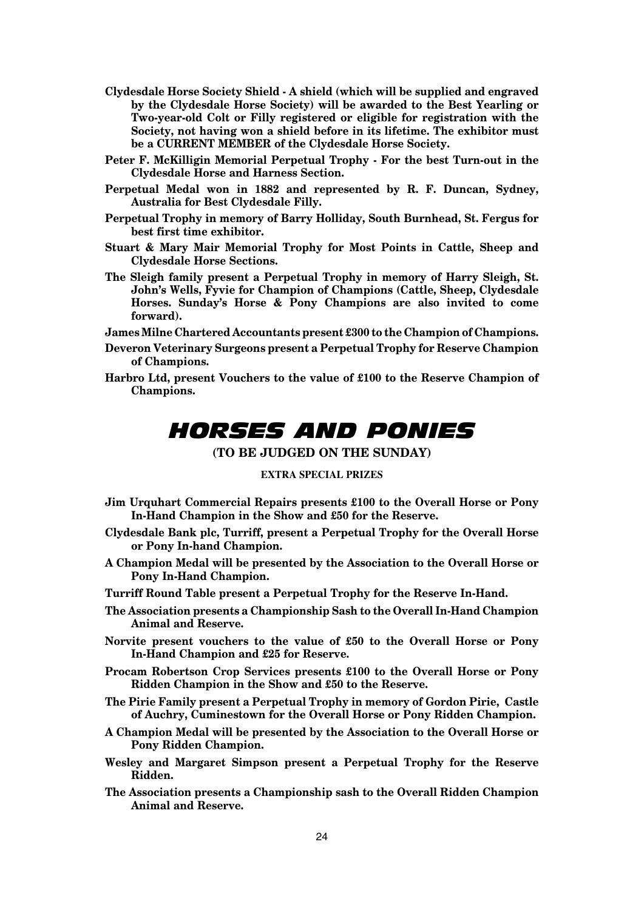- **Clydesdale Horse Society Shield A shield (which will be supplied and engraved by the Clydesdale Horse Society) will be awarded to the Best Yearling or Two-year-old Colt or Filly registered or eligible for registration with the Society, not having won a shield before in its lifetime. The exhibitor must be a CURRENT MEMBER of the Clydesdale Horse Society.**
- **Peter F. McKilligin Memorial Perpetual Trophy For the best Turn-out in the Clydesdale Horse and Harness Section.**
- **Perpetual Medal won in 1882 and represented by R. F. Duncan, Sydney, Australia for Best Clydesdale Filly.**
- **Perpetual Trophy in memory of Barry Holliday, South Burnhead, St. Fergus for best first time exhibitor.**
- **Stuart & Mary Mair Memorial Trophy for Most Points in Cattle, Sheep and Clydesdale Horse Sections.**
- **The Sleigh family present a Perpetual Trophy in memory of Harry Sleigh, St. John's Wells, Fyvie for Champion of Champions (Cattle, Sheep, Clydesdale Horses. Sunday's Horse & Pony Champions are also invited to come forward).**

**James Milne Chartered Accountants present £300 to the Champion of Champions.**

- **Deveron Veterinary Surgeons present a Perpetual Trophy for Reserve Champion of Champions.**
- **Harbro Ltd, present Vouchers to the value of £100 to the Reserve Champion of Champions.**

# *HORSES AND PONIES*

**(TO BE JUDGED ON THE SUNDAY)**

#### **EXTRA SPECIAL PRIZES**

- **Jim Urquhart Commercial Repairs presents £100 to the Overall Horse or Pony In-Hand Champion in the Show and £50 for the Reserve.**
- **Clydesdale Bank plc, Turriff, present a Perpetual Trophy for the Overall Horse or Pony In-hand Champion.**
- **A Champion Medal will be presented by the Association to the Overall Horse or Pony In-Hand Champion.**
- **Turriff Round Table present a Perpetual Trophy for the Reserve In-Hand.**
- **The Association presents a Championship Sash to the Overall In-Hand Champion Animal and Reserve.**
- **Norvite present vouchers to the value of £50 to the Overall Horse or Pony In-Hand Champion and £25 for Reserve.**
- **Procam Robertson Crop Services presents £100 to the Overall Horse or Pony Ridden Champion in the Show and £50 to the Reserve.**
- **The Pirie Family present a Perpetual Trophy in memory of Gordon Pirie, Castle of Auchry, Cuminestown for the Overall Horse or Pony Ridden Champion.**
- **A Champion Medal will be presented by the Association to the Overall Horse or Pony Ridden Champion.**
- **Wesley and Margaret Simpson present a Perpetual Trophy for the Reserve Ridden.**
- **The Association presents a Championship sash to the Overall Ridden Champion Animal and Reserve.**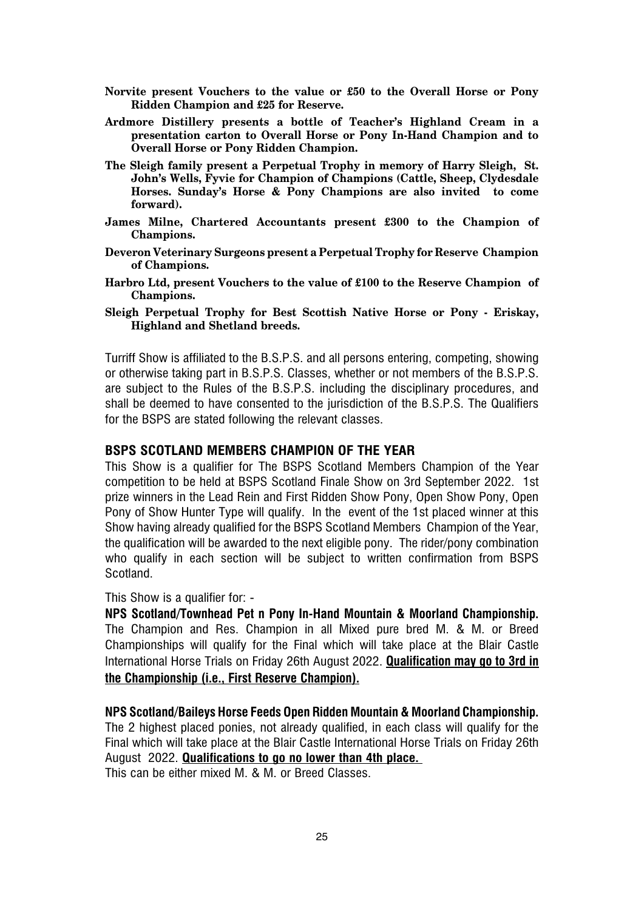- **Norvite present Vouchers to the value or £50 to the Overall Horse or Pony Ridden Champion and £25 for Reserve.**
- **Ardmore Distillery presents a bottle of Teacher's Highland Cream in a presentation carton to Overall Horse or Pony In-Hand Champion and to Overall Horse or Pony Ridden Champion.**
- **The Sleigh family present a Perpetual Trophy in memory of Harry Sleigh, St. John's Wells, Fyvie for Champion of Champions (Cattle, Sheep, Clydesdale Horses. Sunday's Horse & Pony Champions are also invited to come forward).**
- **James Milne, Chartered Accountants present £300 to the Champion of Champions.**
- **Deveron Veterinary Surgeons present a Perpetual Trophy for Reserve Champion of Champions.**
- **Harbro Ltd, present Vouchers to the value of £100 to the Reserve Champion of Champions.**
- **Sleigh Perpetual Trophy for Best Scottish Native Horse or Pony Eriskay, Highland and Shetland breeds.**

Turriff Show is affiliated to the B.S.P.S. and all persons entering, competing, showing or otherwise taking part in B.S.P.S. Classes, whether or not members of the B.S.P.S. are subject to the Rules of the B.S.P.S. including the disciplinary procedures, and shall be deemed to have consented to the jurisdiction of the B.S.P.S. The Qualifiers for the BSPS are stated following the relevant classes.

#### **BSPS SCOTLAND MEMBERS CHAMPION OF THE YEAR**

This Show is a qualifier for The BSPS Scotland Members Champion of the Year competition to be held at BSPS Scotland Finale Show on 3rd September 2022. 1st prize winners in the Lead Rein and First Ridden Show Pony, Open Show Pony, Open Pony of Show Hunter Type will qualify. In the event of the 1st placed winner at this Show having already qualified for the BSPS Scotland Members Champion of the Year, the qualification will be awarded to the next eligible pony. The rider/pony combination who qualify in each section will be subject to written confirmation from BSPS Scotland.

This Show is a qualifier for: -

**NPS Scotland/Townhead Pet n Pony In-Hand Mountain & Moorland Championship.** The Champion and Res. Champion in all Mixed pure bred M. & M. or Breed Championships will qualify for the Final which will take place at the Blair Castle International Horse Trials on Friday 26th August 2022. **Qualification may go to 3rd in the Championship (i.e., First Reserve Champion).**

**NPS Scotland/Baileys Horse Feeds Open Ridden Mountain & Moorland Championship.** The 2 highest placed ponies, not already qualified, in each class will qualify for the Final which will take place at the Blair Castle International Horse Trials on Friday 26th August 2022. **Qualifications to go no lower than 4th place.** This can be either mixed M. & M. or Breed Classes.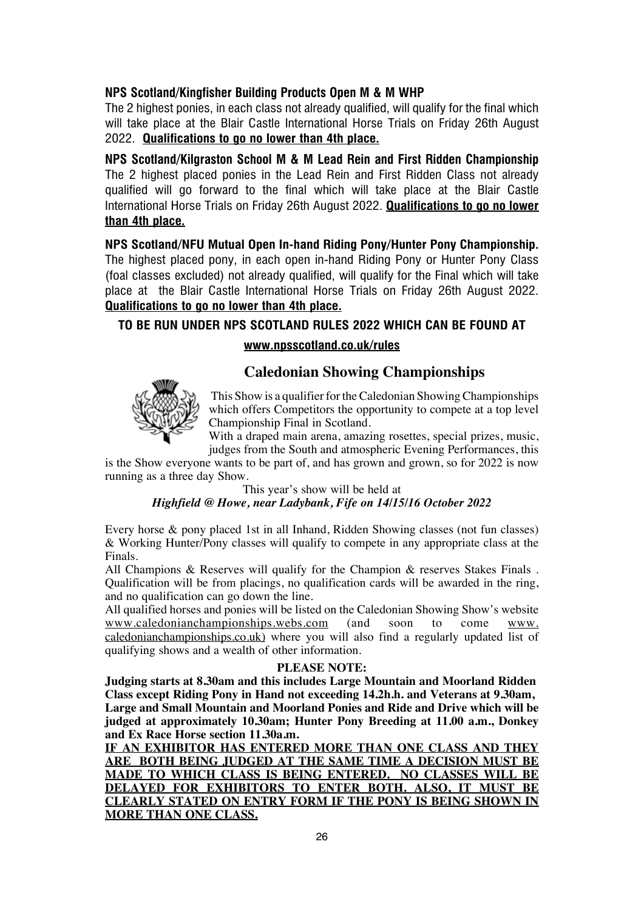#### **NPS Scotland/Kingfisher Building Products Open M & M WHP**

The 2 highest ponies, in each class not already qualified, will qualify for the final which will take place at the Blair Castle International Horse Trials on Friday 26th August 2022. **Qualifications to go no lower than 4th place.**

**NPS Scotland/Kilgraston School M & M Lead Rein and First Ridden Championship**  The 2 highest placed ponies in the Lead Rein and First Ridden Class not already qualified will go forward to the final which will take place at the Blair Castle International Horse Trials on Friday 26th August 2022. **Qualifications to go no lower than 4th place.**

**NPS Scotland/NFU Mutual Open In-hand Riding Pony/Hunter Pony Championship.** The highest placed pony, in each open in-hand Riding Pony or Hunter Pony Class (foal classes excluded) not already qualified, will qualify for the Final which will take place at the Blair Castle International Horse Trials on Friday 26th August 2022. **Qualifications to go no lower than 4th place.**

#### **TO BE RUN UNDER NPS SCOTLAND RULES 2022 WHICH CAN BE FOUND AT**

#### **www.npsscotland.co.uk/rules**

# **Caledonian Showing Championships Caledonian Showing Championships**



 This Show is a qualifier for the Caledonian Showing Championships which offers Competitors the opportunity to compete at a top level  $\Gamma$  Championship Final in Scotland.

Unitary Franchine Township Final and Seventhering rosettes, special prizes, music, with a diaped main aread, amazing researces, special prizes, maste, judges from the South and atmospheric Evening Performances, this

is the Show everyone wants to be part of, and has grown and grown, so for 2022 is now is the show everyone wants to be part of the show everyone wants to be part of

#### This year's show will be held at  ${\it High field}$  @  ${\it Howe, near }$   ${\it Ladybank, Fife}$  on  $14/15/16$   $October$   $2022$

Every horse & pony placed 1st in all Inhand, Ridden Showing classes (not fun classes) & Working Hunter/Pony classes will qualify to compete in any appropriate class at the Finals.  $\text{ls.}$ 

All Champions & Reserves will qualify for the Champion & reserves Stakes Finals . Qualification will be from placings, no qualification cards will be awarded in the ring, and no qualification can go down the line. Champions & Reserves will qualify for the Champion & reserves Stakes Fina

All qualified horses and ponies will be listed on the Caledonian Showing Show's website All qualified horses and ponies will be listed on the Caledonian Showing www.caledonianchampionships.webs.com (and soon to come www. caledonianchampionships.co.uk) where you will also find a regularly updated list of qualifying shows and a wealth of other information.

#### **PLEASE NOTE:**

**Judging starts at 8.30am and this includes Large Mountain and Moorland Ridden Class except Riding Pony in Hand not exceeding 14.2h.h. and Veterans at 9.30am, Large and Small Mountain and Moorland Ponies and Ride and Drive which will be judged at approximately 10.30am; Hunter Pony Breeding at 11.00 a.m., Donkey and Ex Race Horse section 11.30a.m.**

**IF AN EXHIBITOR HAS ENTERED MORE THAN ONE CLASS AND THEY ARE BOTH BEING JUDGED AT THE SAME TIME A DECISION MUST BE MADE TO WHICH CLASS IS BEING ENTERED. NO CLASSES WILL BE DELAYED FOR EXHIBITORS TO ENTER BOTH. ALSO, IT MUST BE CLEARLY STATED ON ENTRY FORM IF THE PONY IS BEING SHOWN IN MORE THAN ONE CLASS.**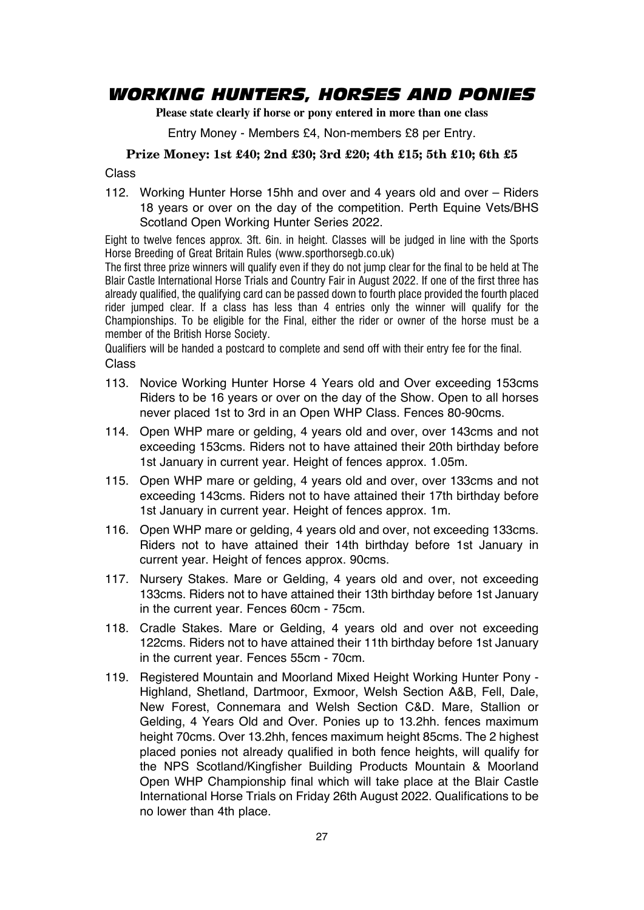### *WORKING HUNTERS, HORSES AND PONIES*

**Please state clearly if horse or pony entered in more than one class**

Entry Money - Members £4, Non-members £8 per Entry.

#### **Prize Money: 1st £40; 2nd £30; 3rd £20; 4th £15; 5th £10; 6th £5**

Class

112. Working Hunter Horse 15hh and over and 4 years old and over – Riders 18 years or over on the day of the competition. Perth Equine Vets/BHS Scotland Open Working Hunter Series 2022.

Eight to twelve fences approx. 3ft. 6in. in height. Classes will be judged in line with the Sports Horse Breeding of Great Britain Rules (www.sporthorsegb.co.uk)

The first three prize winners will qualify even if they do not jump clear for the final to be held at The Blair Castle International Horse Trials and Country Fair in August 2022. If one of the first three has already qualified, the qualifying card can be passed down to fourth place provided the fourth placed rider jumped clear. If a class has less than 4 entries only the winner will qualify for the Championships. To be eligible for the Final, either the rider or owner of the horse must be a member of the British Horse Society.

Qualifiers will be handed a postcard to complete and send off with their entry fee for the final. Class

- 113. Novice Working Hunter Horse 4 Years old and Over exceeding 153cms Riders to be 16 years or over on the day of the Show. Open to all horses never placed 1st to 3rd in an Open WHP Class. Fences 80-90cms.
- 114. Open WHP mare or gelding, 4 years old and over, over 143cms and not exceeding 153cms. Riders not to have attained their 20th birthday before 1st January in current year. Height of fences approx. 1.05m.
- 115. Open WHP mare or gelding, 4 years old and over, over 133cms and not exceeding 143cms. Riders not to have attained their 17th birthday before 1st January in current year. Height of fences approx. 1m.
- 116. Open WHP mare or gelding, 4 years old and over, not exceeding 133cms. Riders not to have attained their 14th birthday before 1st January in current year. Height of fences approx. 90cms.
- 117. Nursery Stakes. Mare or Gelding, 4 years old and over, not exceeding 133cms. Riders not to have attained their 13th birthday before 1st January in the current year. Fences 60cm - 75cm.
- 118. Cradle Stakes. Mare or Gelding, 4 years old and over not exceeding 122cms. Riders not to have attained their 11th birthday before 1st January in the current year. Fences 55cm - 70cm.
- 119. Registered Mountain and Moorland Mixed Height Working Hunter Pony Highland, Shetland, Dartmoor, Exmoor, Welsh Section A&B, Fell, Dale, New Forest, Connemara and Welsh Section C&D. Mare, Stallion or Gelding, 4 Years Old and Over. Ponies up to 13.2hh. fences maximum height 70cms. Over 13.2hh, fences maximum height 85cms. The 2 highest placed ponies not already qualified in both fence heights, will qualify for the NPS Scotland/Kingfisher Building Products Mountain & Moorland Open WHP Championship final which will take place at the Blair Castle International Horse Trials on Friday 26th August 2022. Qualifications to be no lower than 4th place.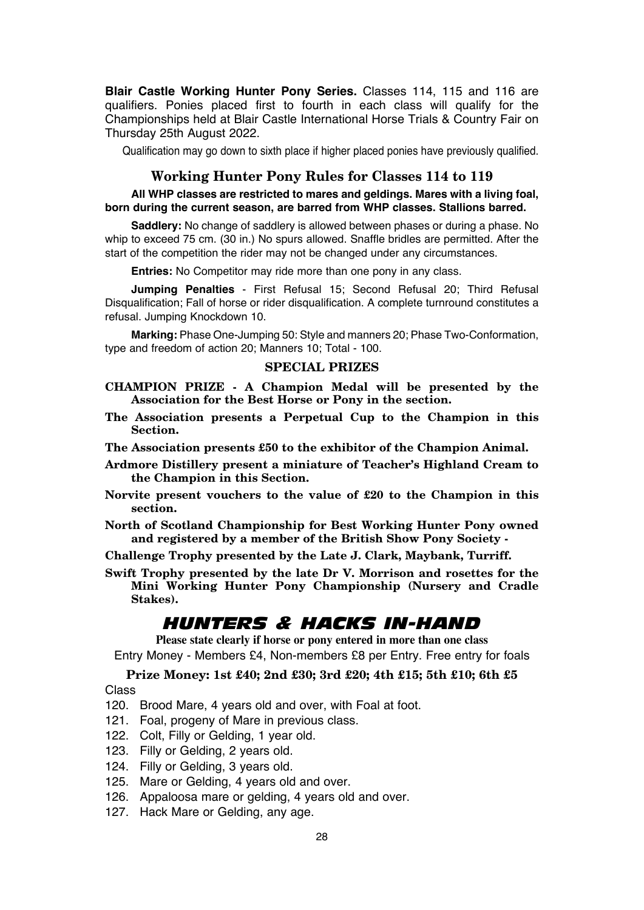**Blair Castle Working Hunter Pony Series.** Classes 114, 115 and 116 are qualifiers. Ponies placed first to fourth in each class will qualify for the Championships held at Blair Castle International Horse Trials & Country Fair on Thursday 25th August 2022.

Qualification may go down to sixth place if higher placed ponies have previously qualified.

#### **Working Hunter Pony Rules for Classes 114 to 119**

#### **All WHP classes are restricted to mares and geldings. Mares with a living foal, born during the current season, are barred from WHP classes. Stallions barred.**

**Saddlery:** No change of saddlery is allowed between phases or during a phase. No whip to exceed 75 cm. (30 in.) No spurs allowed. Snaffle bridles are permitted. After the start of the competition the rider may not be changed under any circumstances.

**Entries:** No Competitor may ride more than one pony in any class.

**Jumping Penalties** - First Refusal 15; Second Refusal 20; Third Refusal Disqualification; Fall of horse or rider disqualification. A complete turnround constitutes a refusal. Jumping Knockdown 10.

**Marking:** Phase One-Jumping 50: Style and manners 20; Phase Two-Conformation, type and freedom of action 20; Manners 10; Total - 100.

#### **SPECIAL PRIZES**

- **CHAMPION PRIZE A Champion Medal will be presented by the Association for the Best Horse or Pony in the section.**
- **The Association presents a Perpetual Cup to the Champion in this Section.**
- **The Association presents £50 to the exhibitor of the Champion Animal.**
- **Ardmore Distillery present a miniature of Teacher's Highland Cream to the Champion in this Section.**
- **Norvite present vouchers to the value of £20 to the Champion in this section.**
- **North of Scotland Championship for Best Working Hunter Pony owned and registered by a member of the British Show Pony Society -**

**Challenge Trophy presented by the Late J. Clark, Maybank, Turriff.**

**Swift Trophy presented by the late Dr V. Morrison and rosettes for the Mini Working Hunter Pony Championship (Nursery and Cradle Stakes).**

### *HUNTERS & HACKS IN-HAND*

**Please state clearly if horse or pony entered in more than one class** Entry Money - Members £4, Non-members £8 per Entry. Free entry for foals

#### **Prize Money: 1st £40; 2nd £30; 3rd £20; 4th £15; 5th £10; 6th £5**

Class

- 120. Brood Mare, 4 years old and over, with Foal at foot.
- 121. Foal, progeny of Mare in previous class.
- 122. Colt, Filly or Gelding, 1 year old.
- 123. Filly or Gelding, 2 years old.
- 124. Filly or Gelding, 3 years old.
- 125. Mare or Gelding, 4 years old and over.
- 126. Appaloosa mare or gelding, 4 years old and over.
- 127. Hack Mare or Gelding, any age.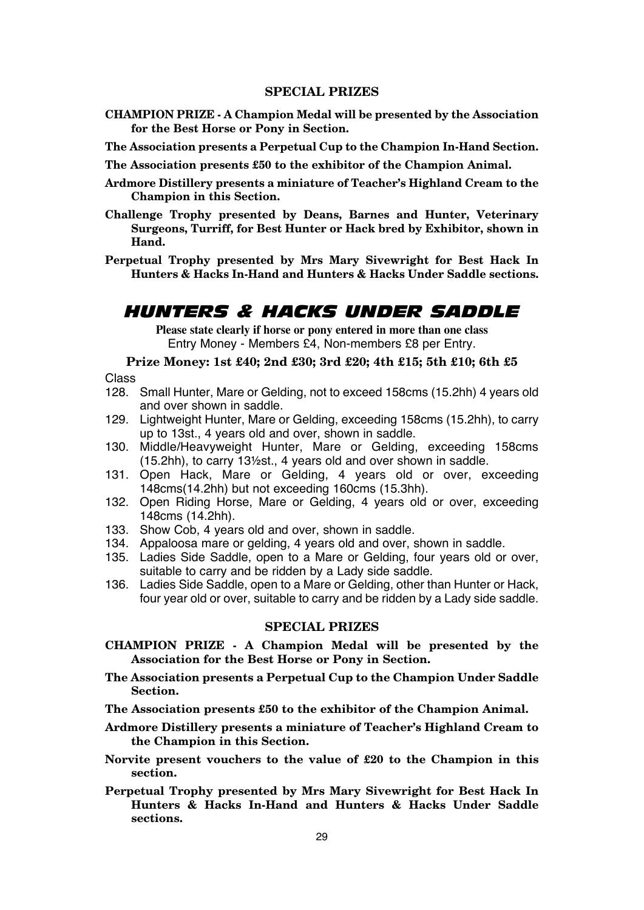#### **SPECIAL PRIZES**

- **CHAMPION PRIZE A Champion Medal will be presented by the Association for the Best Horse or Pony in Section.**
- **The Association presents a Perpetual Cup to the Champion In-Hand Section.**
- **The Association presents £50 to the exhibitor of the Champion Animal.**
- **Ardmore Distillery presents a miniature of Teacher's Highland Cream to the Champion in this Section.**
- **Challenge Trophy presented by Deans, Barnes and Hunter, Veterinary Surgeons, Turriff, for Best Hunter or Hack bred by Exhibitor, shown in Hand.**
- **Perpetual Trophy presented by Mrs Mary Sivewright for Best Hack In Hunters & Hacks In-Hand and Hunters & Hacks Under Saddle sections.**

### *HUNTERS & HACKS UNDER SADDLE*

**Please state clearly if horse or pony entered in more than one class** Entry Money - Members £4, Non-members £8 per Entry.

#### **Prize Money: 1st £40; 2nd £30; 3rd £20; 4th £15; 5th £10; 6th £5**

Class

- 128. Small Hunter, Mare or Gelding, not to exceed 158cms (15.2hh) 4 years old and over shown in saddle.
- 129. Lightweight Hunter, Mare or Gelding, exceeding 158cms (15.2hh), to carry up to 13st., 4 years old and over, shown in saddle.
- 130. Middle/Heavyweight Hunter, Mare or Gelding, exceeding 158cms (15.2hh), to carry 13½st., 4 years old and over shown in saddle.
- 131. Open Hack, Mare or Gelding, 4 years old or over, exceeding 148cms(14.2hh) but not exceeding 160cms (15.3hh).
- 132. Open Riding Horse, Mare or Gelding, 4 years old or over, exceeding 148cms (14.2hh).
- 133. Show Cob, 4 years old and over, shown in saddle.
- 134. Appaloosa mare or gelding, 4 years old and over, shown in saddle.
- 135. Ladies Side Saddle, open to a Mare or Gelding, four years old or over, suitable to carry and be ridden by a Lady side saddle.
- 136. Ladies Side Saddle, open to a Mare or Gelding, other than Hunter or Hack, four year old or over, suitable to carry and be ridden by a Lady side saddle.

- **CHAMPION PRIZE A Champion Medal will be presented by the Association for the Best Horse or Pony in Section.**
- **The Association presents a Perpetual Cup to the Champion Under Saddle Section.**
- **The Association presents £50 to the exhibitor of the Champion Animal.**
- **Ardmore Distillery presents a miniature of Teacher's Highland Cream to the Champion in this Section.**
- **Norvite present vouchers to the value of £20 to the Champion in this section.**
- **Perpetual Trophy presented by Mrs Mary Sivewright for Best Hack In Hunters & Hacks In-Hand and Hunters & Hacks Under Saddle sections.**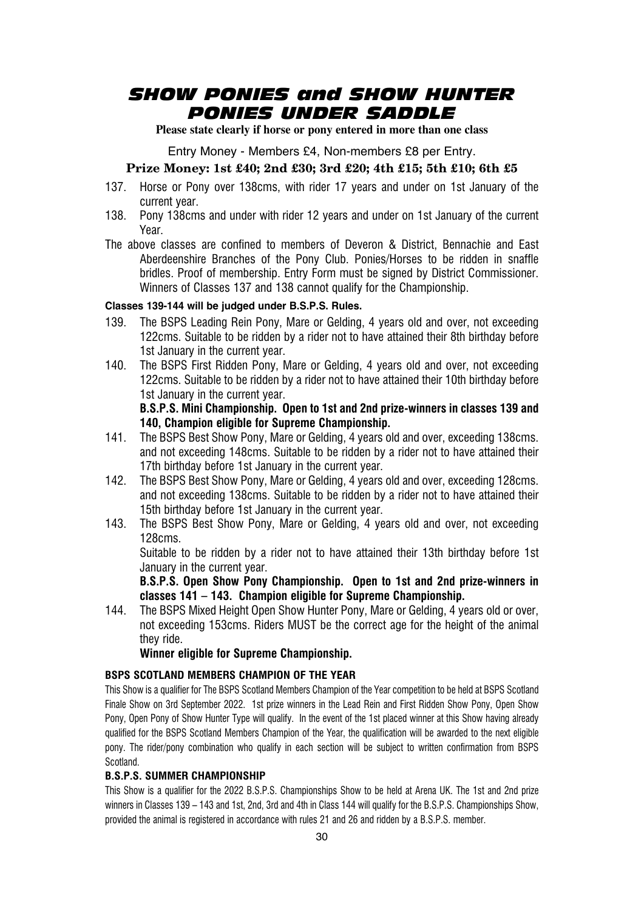### *SHOW PONIES and SHOW HUNTER PONIES UNDER SADDLE*

**Please state clearly if horse or pony entered in more than one class**

Entry Money - Members £4, Non-members £8 per Entry.

#### **Prize Money: 1st £40; 2nd £30; 3rd £20; 4th £15; 5th £10; 6th £5**

- 137. Horse or Pony over 138cms, with rider 17 years and under on 1st January of the current year.
- 138. Pony 138cms and under with rider 12 years and under on 1st January of the current Year.
- The above classes are confined to members of Deveron & District, Bennachie and East Aberdeenshire Branches of the Pony Club. Ponies/Horses to be ridden in snaffle bridles. Proof of membership. Entry Form must be signed by District Commissioner. Winners of Classes 137 and 138 cannot qualify for the Championship.

#### **Classes 139-144 will be judged under B.S.P.S. Rules.**

- 139. The BSPS Leading Rein Pony, Mare or Gelding, 4 years old and over, not exceeding 122cms. Suitable to be ridden by a rider not to have attained their 8th birthday before 1st January in the current year.
- 140. The BSPS First Ridden Pony, Mare or Gelding, 4 years old and over, not exceeding 122cms. Suitable to be ridden by a rider not to have attained their 10th birthday before 1st January in the current year.

#### **B.S.P.S. Mini Championship. Open to 1st and 2nd prize-winners in classes 139 and 140, Champion eligible for Supreme Championship.**

- 141. The BSPS Best Show Pony, Mare or Gelding, 4 years old and over, exceeding 138cms. and not exceeding 148cms. Suitable to be ridden by a rider not to have attained their 17th birthday before 1st January in the current year.
- 142. The BSPS Best Show Pony, Mare or Gelding, 4 years old and over, exceeding 128cms. and not exceeding 138cms. Suitable to be ridden by a rider not to have attained their 15th birthday before 1st January in the current year.
- 143. The BSPS Best Show Pony, Mare or Gelding, 4 years old and over, not exceeding 128cms.

Suitable to be ridden by a rider not to have attained their 13th birthday before 1st January in the current year.

**B.S.P.S. Open Show Pony Championship. Open to 1st and 2nd prize-winners in classes 141 – 143. Champion eligible for Supreme Championship.**

144. The BSPS Mixed Height Open Show Hunter Pony, Mare or Gelding, 4 years old or over, not exceeding 153cms. Riders MUST be the correct age for the height of the animal they ride.

**Winner eligible for Supreme Championship.**

#### **BSPS SCOTLAND MEMBERS CHAMPION OF THE YEAR**

This Show is a qualifier for The BSPS Scotland Members Champion of the Year competition to be held at BSPS Scotland Finale Show on 3rd September 2022. 1st prize winners in the Lead Rein and First Ridden Show Pony, Open Show Pony, Open Pony of Show Hunter Type will qualify. In the event of the 1st placed winner at this Show having already qualified for the BSPS Scotland Members Champion of the Year, the qualification will be awarded to the next eligible pony. The rider/pony combination who qualify in each section will be subject to written confirmation from BSPS **Scotland** 

#### **B.S.P.S. SUMMER CHAMPIONSHIP**

This Show is a qualifier for the 2022 B.S.P.S. Championships Show to be held at Arena UK. The 1st and 2nd prize winners in Classes 139 – 143 and 1st, 2nd, 3rd and 4th in Class 144 will qualify for the B.S.P.S. Championships Show, provided the animal is registered in accordance with rules 21 and 26 and ridden by a B S P S. member.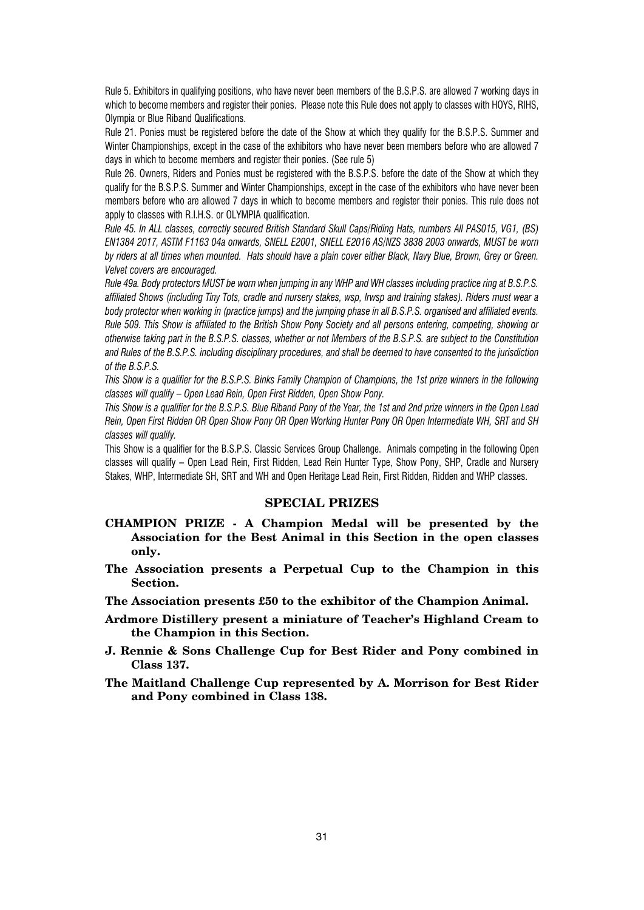Rule 5. Exhibitors in qualifying positions, who have never been members of the B.S.P.S. are allowed 7 working days in which to become members and register their ponies. Please note this Rule does not apply to classes with HOYS, RIHS, Olympia or Blue Riband Qualifications.

Rule 21. Ponies must be registered before the date of the Show at which they qualify for the B.S.P.S. Summer and Winter Championships, except in the case of the exhibitors who have never been members before who are allowed 7 days in which to become members and register their ponies. (See rule 5)

Rule 26. Owners, Riders and Ponies must be registered with the B.S.P.S. before the date of the Show at which they qualify for the B.S.P.S. Summer and Winter Championships, except in the case of the exhibitors who have never been members before who are allowed 7 days in which to become members and register their ponies. This rule does not apply to classes with R.I.H.S. or OLYMPIA qualification.

*Rule 45. In ALL classes, correctly secured British Standard Skull Caps/Riding Hats, numbers All PAS015, VG1, (BS) EN1384 2017, ASTM F1163 04a onwards, SNELL E2001, SNELL E2016 AS/NZS 3838 2003 onwards, MUST be worn by riders at all times when mounted. Hats should have a plain cover either Black, Navy Blue, Brown, Grey or Green. Velvet covers are encouraged.*

*Rule 49a. Body protectors MUST be worn when jumping in any WHP and WH classes including practice ring at B.S.P.S. affiliated Shows (including Tiny Tots, cradle and nursery stakes, wsp, lrwsp and training stakes). Riders must wear a body protector when working in (practice jumps) and the jumping phase in all B.S.P.S. organised and affiliated events. Rule 509. This Show is affiliated to the British Show Pony Society and all persons entering, competing, showing or otherwise taking part in the B.S.P.S. classes, whether or not Members of the B.S.P.S. are subject to the Constitution and Rules of the B.S.P.S. including disciplinary procedures, and shall be deemed to have consented to the jurisdiction of the B.S.P.S.*

*This Show is a qualifier for the B.S.P.S. Binks Family Champion of Champions, the 1st prize winners in the following classes will qualify – Open Lead Rein, Open First Ridden, Open Show Pony.*

*This Show is a qualifier for the B.S.P.S. Blue Riband Pony of the Year, the 1st and 2nd prize winners in the Open Lead Rein, Open First Ridden OR Open Show Pony OR Open Working Hunter Pony OR Open Intermediate WH, SRT and SH classes will qualify.*

This Show is a qualifier for the B.S.P.S. Classic Services Group Challenge. Animals competing in the following Open classes will qualify – Open Lead Rein, First Ridden, Lead Rein Hunter Type, Show Pony, SHP, Cradle and Nursery Stakes, WHP, Intermediate SH, SRT and WH and Open Heritage Lead Rein, First Ridden, Ridden and WHP classes.

- **CHAMPION PRIZE A Champion Medal will be presented by the Association for the Best Animal in this Section in the open classes only.**
- **The Association presents a Perpetual Cup to the Champion in this Section.**
- **The Association presents £50 to the exhibitor of the Champion Animal.**
- **Ardmore Distillery present a miniature of Teacher's Highland Cream to the Champion in this Section.**
- **J. Rennie & Sons Challenge Cup for Best Rider and Pony combined in Class 137.**
- **The Maitland Challenge Cup represented by A. Morrison for Best Rider and Pony combined in Class 138.**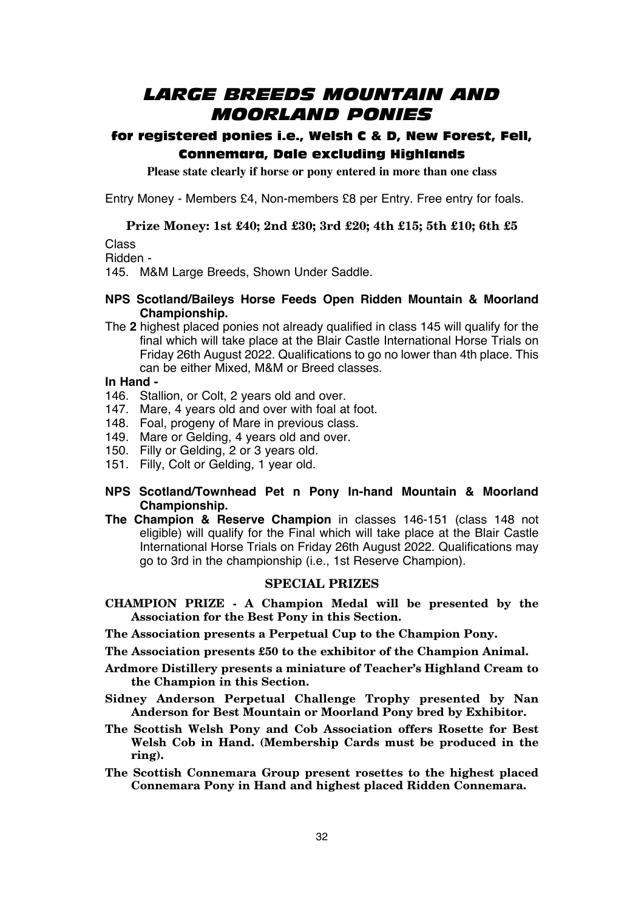### *LARGE BREEDS MOUNTAIN AND MOORLAND PONIES*

### for registered ponies i.e., Welsh C & D, New Forest, Fell, Connemara, Dale excluding Highlands

**Please state clearly if horse or pony entered in more than one class**

Entry Money - Members £4, Non-members £8 per Entry. Free entry for foals.

#### **Prize Money: 1st £40; 2nd £30; 3rd £20; 4th £15; 5th £10; 6th £5**

Class

Ridden -

145. M&M Large Breeds, Shown Under Saddle.

#### **NPS Scotland/Baileys Horse Feeds Open Ridden Mountain & Moorland Championship.**

The **2** highest placed ponies not already qualified in class 145 will qualify for the final which will take place at the Blair Castle International Horse Trials on Friday 26th August 2022. Qualifications to go no lower than 4th place. This can be either Mixed, M&M or Breed classes.

#### **In Hand -**

- 146. Stallion, or Colt, 2 years old and over.
- 147. Mare, 4 years old and over with foal at foot.
- 148. Foal, progeny of Mare in previous class.
- 149. Mare or Gelding, 4 years old and over.
- 150. Filly or Gelding, 2 or 3 years old.
- 151. Filly, Colt or Gelding, 1 year old.
- **NPS Scotland/Townhead Pet n Pony In-hand Mountain & Moorland Championship.**
- **The Champion & Reserve Champion** in classes 146-151 (class 148 not eligible) will qualify for the Final which will take place at the Blair Castle International Horse Trials on Friday 26th August 2022. Qualifications may go to 3rd in the championship (i.e., 1st Reserve Champion).

#### **SPECIAL PRIZES**

**CHAMPION PRIZE - A Champion Medal will be presented by the Association for the Best Pony in this Section.**

**The Association presents a Perpetual Cup to the Champion Pony.**

**The Association presents £50 to the exhibitor of the Champion Animal.**

- **Ardmore Distillery presents a miniature of Teacher's Highland Cream to the Champion in this Section.**
- **Sidney Anderson Perpetual Challenge Trophy presented by Nan Anderson for Best Mountain or Moorland Pony bred by Exhibitor.**
- **The Scottish Welsh Pony and Cob Association offers Rosette for Best Welsh Cob in Hand. (Membership Cards must be produced in the ring).**
- **The Scottish Connemara Group present rosettes to the highest placed Connemara Pony in Hand and highest placed Ridden Connemara.**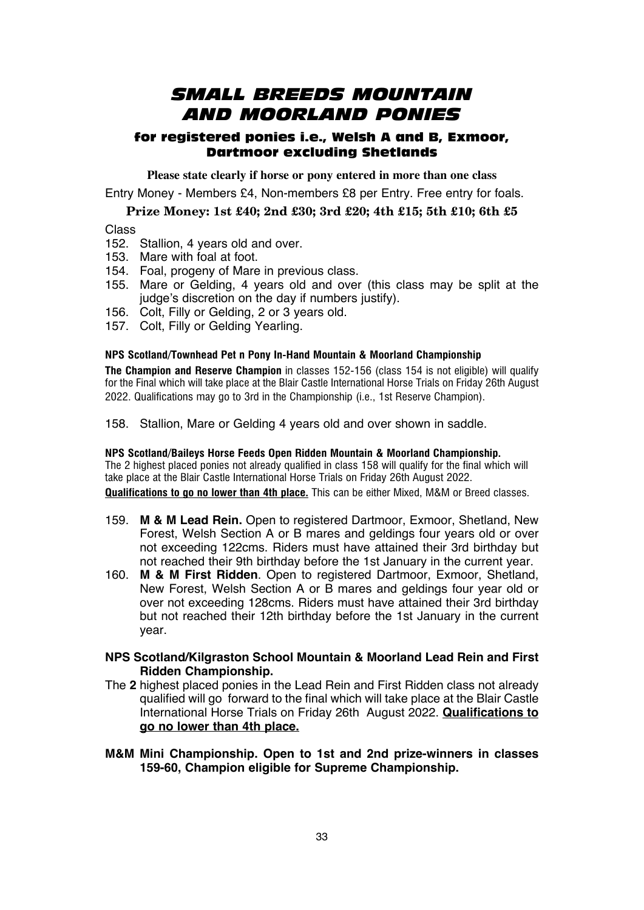### *SMALL BREEDS MOUNTAIN AND MOORLAND PONIES*

#### for registered ponies i.e., Welsh A and B, Exmoor, Dartmoor excluding Shetlands

**Please state clearly if horse or pony entered in more than one class** Entry Money - Members £4, Non-members £8 per Entry. Free entry for foals.

#### **Prize Money: 1st £40; 2nd £30; 3rd £20; 4th £15; 5th £10; 6th £5**

Class

- 152. Stallion, 4 years old and over.
- 153. Mare with foal at foot.
- 154. Foal, progeny of Mare in previous class.
- 155. Mare or Gelding, 4 years old and over (this class may be split at the judge's discretion on the day if numbers justify).
- 156. Colt, Filly or Gelding, 2 or 3 years old.
- 157. Colt, Filly or Gelding Yearling.

#### **NPS Scotland/Townhead Pet n Pony In-Hand Mountain & Moorland Championship**

**The Champion and Reserve Champion** in classes 152-156 (class 154 is not eligible) will qualify for the Final which will take place at the Blair Castle International Horse Trials on Friday 26th August 2022. Qualifications may go to 3rd in the Championship (i.e., 1st Reserve Champion).

158. Stallion, Mare or Gelding 4 years old and over shown in saddle.

**NPS Scotland/Baileys Horse Feeds Open Ridden Mountain & Moorland Championship.** The 2 highest placed ponies not already qualified in class 158 will qualify for the final which will take place at the Blair Castle International Horse Trials on Friday 26th August 2022.

**Qualifications to go no lower than 4th place.** This can be either Mixed, M&M or Breed classes.

- 159. **M & M Lead Rein.** Open to registered Dartmoor, Exmoor, Shetland, New Forest, Welsh Section A or B mares and geldings four years old or over not exceeding 122cms. Riders must have attained their 3rd birthday but not reached their 9th birthday before the 1st January in the current year.
- 160. **M & M First Ridden**. Open to registered Dartmoor, Exmoor, Shetland, New Forest, Welsh Section A or B mares and geldings four year old or over not exceeding 128cms. Riders must have attained their 3rd birthday but not reached their 12th birthday before the 1st January in the current year.
- **NPS Scotland/Kilgraston School Mountain & Moorland Lead Rein and First Ridden Championship.**
- The **2** highest placed ponies in the Lead Rein and First Ridden class not already qualified will go forward to the final which will take place at the Blair Castle International Horse Trials on Friday 26th August 2022. **Qualifications to go no lower than 4th place.**
- **M&M Mini Championship. Open to 1st and 2nd prize-winners in classes 159-60, Champion eligible for Supreme Championship.**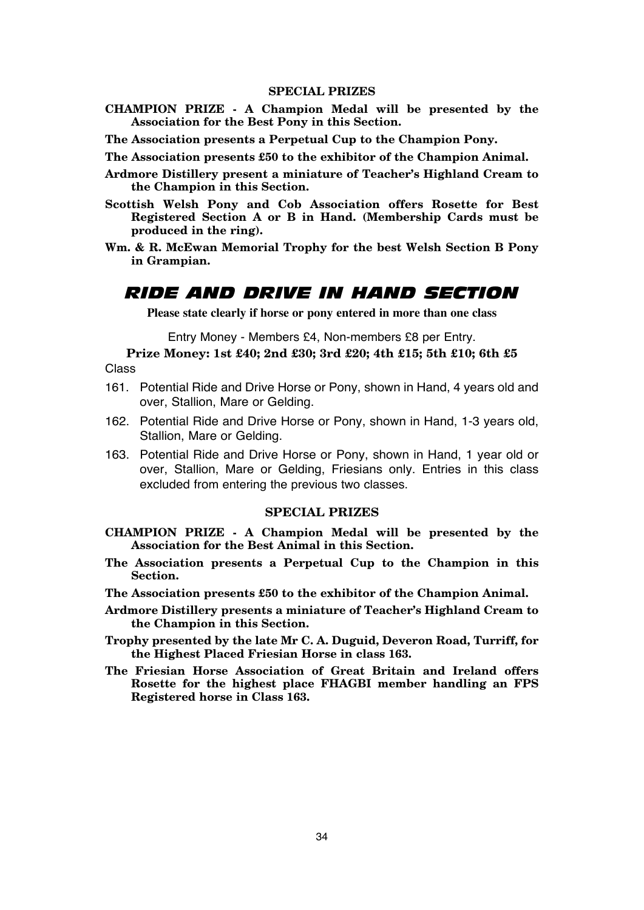#### **SPECIAL PRIZES**

- **CHAMPION PRIZE A Champion Medal will be presented by the Association for the Best Pony in this Section.**
- **The Association presents a Perpetual Cup to the Champion Pony.**

**The Association presents £50 to the exhibitor of the Champion Animal.**

- **Ardmore Distillery present a miniature of Teacher's Highland Cream to the Champion in this Section.**
- **Scottish Welsh Pony and Cob Association offers Rosette for Best Registered Section A or B in Hand. (Membership Cards must be produced in the ring).**
- **Wm. & R. McEwan Memorial Trophy for the best Welsh Section B Pony in Grampian.**

### *RIDE AND DRIVE IN HAND SECTION*

**Please state clearly if horse or pony entered in more than one class**

Entry Money - Members £4, Non-members £8 per Entry.

**Prize Money: 1st £40; 2nd £30; 3rd £20; 4th £15; 5th £10; 6th £5** Class

- 161. Potential Ride and Drive Horse or Pony, shown in Hand, 4 years old and over, Stallion, Mare or Gelding.
- 162. Potential Ride and Drive Horse or Pony, shown in Hand, 1-3 years old, Stallion, Mare or Gelding.
- 163. Potential Ride and Drive Horse or Pony, shown in Hand, 1 year old or over, Stallion, Mare or Gelding, Friesians only. Entries in this class excluded from entering the previous two classes.

- **CHAMPION PRIZE A Champion Medal will be presented by the Association for the Best Animal in this Section.**
- **The Association presents a Perpetual Cup to the Champion in this Section.**
- **The Association presents £50 to the exhibitor of the Champion Animal.**
- **Ardmore Distillery presents a miniature of Teacher's Highland Cream to the Champion in this Section.**
- **Trophy presented by the late Mr C. A. Duguid, Deveron Road, Turriff, for the Highest Placed Friesian Horse in class 163.**
- **The Friesian Horse Association of Great Britain and Ireland offers Rosette for the highest place FHAGBI member handling an FPS Registered horse in Class 163.**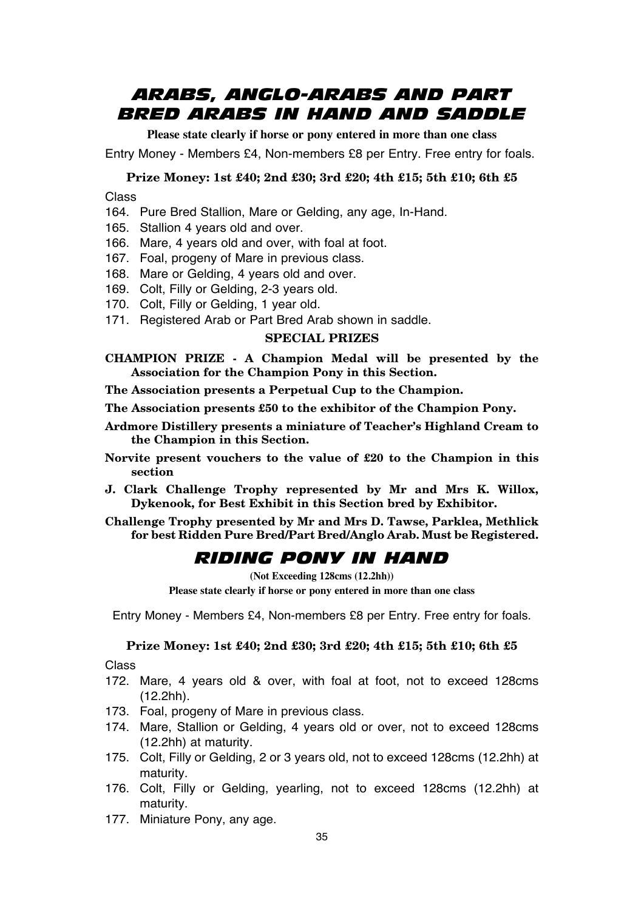### *ARABS, ANGLO-ARABS AND PART BRED ARABS IN HAND AND SADDLE*

**Please state clearly if horse or pony entered in more than one class**

Entry Money - Members £4, Non-members £8 per Entry. Free entry for foals.

#### **Prize Money: 1st £40; 2nd £30; 3rd £20; 4th £15; 5th £10; 6th £5**

Class

- 164. Pure Bred Stallion, Mare or Gelding, any age, In-Hand.
- 165. Stallion 4 years old and over.
- 166. Mare, 4 years old and over, with foal at foot.
- 167. Foal, progeny of Mare in previous class.
- 168. Mare or Gelding, 4 years old and over.
- 169. Colt, Filly or Gelding, 2-3 years old.
- 170. Colt, Filly or Gelding, 1 year old.
- 171. Registered Arab or Part Bred Arab shown in saddle.

#### **SPECIAL PRIZES**

**CHAMPION PRIZE - A Champion Medal will be presented by the Association for the Champion Pony in this Section.**

**The Association presents a Perpetual Cup to the Champion.**

**The Association presents £50 to the exhibitor of the Champion Pony.**

- **Ardmore Distillery presents a miniature of Teacher's Highland Cream to the Champion in this Section.**
- **Norvite present vouchers to the value of £20 to the Champion in this section**
- **J. Clark Challenge Trophy represented by Mr and Mrs K. Willox, Dykenook, for Best Exhibit in this Section bred by Exhibitor.**
- **Challenge Trophy presented by Mr and Mrs D. Tawse, Parklea, Methlick for best Ridden Pure Bred/Part Bred/Anglo Arab. Must be Registered.**

### *RIDING PONY IN HAND*

**(Not Exceeding 128cms (12.2hh)) Please state clearly if horse or pony entered in more than one class**

Entry Money - Members £4, Non-members £8 per Entry. Free entry for foals.

#### **Prize Money: 1st £40; 2nd £30; 3rd £20; 4th £15; 5th £10; 6th £5**

Class

- 172. Mare, 4 years old & over, with foal at foot, not to exceed 128cms (12.2hh).
- 173. Foal, progeny of Mare in previous class.
- 174. Mare, Stallion or Gelding, 4 years old or over, not to exceed 128cms (12.2hh) at maturity.
- 175. Colt, Filly or Gelding, 2 or 3 years old, not to exceed 128cms (12.2hh) at maturity.
- 176. Colt, Filly or Gelding, yearling, not to exceed 128cms (12.2hh) at maturity.
- 177. Miniature Pony, any age.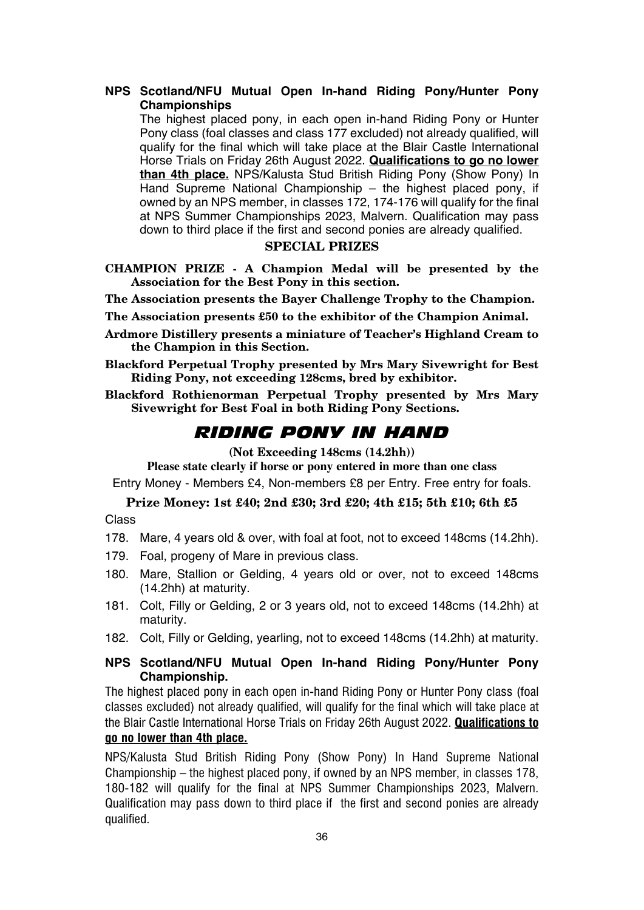## **NPS Scotland/NFU Mutual Open In-hand Riding Pony/Hunter Pony Championships**

The highest placed pony, in each open in-hand Riding Pony or Hunter Pony class (foal classes and class 177 excluded) not already qualified, will qualify for the final which will take place at the Blair Castle International Horse Trials on Friday 26th August 2022. **Qualifications to go no lower than 4th place.** NPS/Kalusta Stud British Riding Pony (Show Pony) In Hand Supreme National Championship – the highest placed pony, if owned by an NPS member, in classes 172, 174-176 will qualify for the final at NPS Summer Championships 2023, Malvern. Qualification may pass down to third place if the first and second ponies are already qualified.

## **SPECIAL PRIZES**

**CHAMPION PRIZE - A Champion Medal will be presented by the Association for the Best Pony in this section.**

**The Association presents the Bayer Challenge Trophy to the Champion.**

**The Association presents £50 to the exhibitor of the Champion Animal.**

- **Ardmore Distillery presents a miniature of Teacher's Highland Cream to the Champion in this Section.**
- **Blackford Perpetual Trophy presented by Mrs Mary Sivewright for Best Riding Pony, not exceeding 128cms, bred by exhibitor.**
- **Blackford Rothienorman Perpetual Trophy presented by Mrs Mary Sivewright for Best Foal in both Riding Pony Sections.**

## *RIDING PONY IN HAND*

## **(Not Exceeding 148cms (14.2hh))**

**Please state clearly if horse or pony entered in more than one class** Entry Money - Members £4, Non-members £8 per Entry. Free entry for foals.

## **Prize Money: 1st £40; 2nd £30; 3rd £20; 4th £15; 5th £10; 6th £5**

Class

- 178. Mare, 4 years old & over, with foal at foot, not to exceed 148cms (14.2hh).
- 179. Foal, progeny of Mare in previous class.
- 180. Mare, Stallion or Gelding, 4 years old or over, not to exceed 148cms (14.2hh) at maturity.
- 181. Colt, Filly or Gelding, 2 or 3 years old, not to exceed 148cms (14.2hh) at maturity.
- 182. Colt, Filly or Gelding, yearling, not to exceed 148cms (14.2hh) at maturity.

## **NPS Scotland/NFU Mutual Open In-hand Riding Pony/Hunter Pony Championship.**

The highest placed pony in each open in-hand Riding Pony or Hunter Pony class (foal classes excluded) not already qualified, will qualify for the final which will take place at the Blair Castle International Horse Trials on Friday 26th August 2022. **Qualifications to** 

## **go no lower than 4th place.**

NPS/Kalusta Stud British Riding Pony (Show Pony) In Hand Supreme National Championship – the highest placed pony, if owned by an NPS member, in classes 178, 180-182 will qualify for the final at NPS Summer Championships 2023, Malvern. Qualification may pass down to third place if the first and second ponies are already qualified.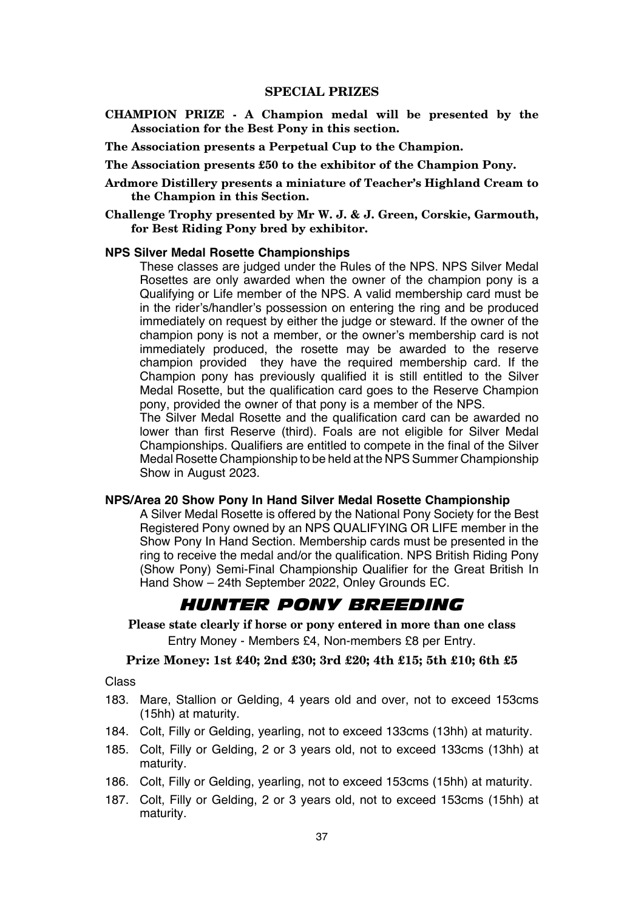**CHAMPION PRIZE - A Champion medal will be presented by the Association for the Best Pony in this section.**

**The Association presents a Perpetual Cup to the Champion.**

**The Association presents £50 to the exhibitor of the Champion Pony.**

- **Ardmore Distillery presents a miniature of Teacher's Highland Cream to the Champion in this Section.**
- **Challenge Trophy presented by Mr W. J. & J. Green, Corskie, Garmouth, for Best Riding Pony bred by exhibitor.**

#### **NPS Silver Medal Rosette Championships**

These classes are judged under the Rules of the NPS. NPS Silver Medal Rosettes are only awarded when the owner of the champion pony is a Qualifying or Life member of the NPS. A valid membership card must be in the rider's/handler's possession on entering the ring and be produced immediately on request by either the judge or steward. If the owner of the champion pony is not a member, or the owner's membership card is not immediately produced, the rosette may be awarded to the reserve champion provided they have the required membership card. If the Champion pony has previously qualified it is still entitled to the Silver Medal Rosette, but the qualification card goes to the Reserve Champion pony, provided the owner of that pony is a member of the NPS.

The Silver Medal Rosette and the qualification card can be awarded no lower than first Reserve (third). Foals are not eligible for Silver Medal Championships. Qualifiers are entitled to compete in the final of the Silver Medal Rosette Championship to be held at the NPS Summer Championship Show in August 2023.

#### **NPS/Area 20 Show Pony In Hand Silver Medal Rosette Championship**

A Silver Medal Rosette is offered by the National Pony Society for the Best Registered Pony owned by an NPS QUALIFYING OR LIFE member in the Show Pony In Hand Section. Membership cards must be presented in the ring to receive the medal and/or the qualification. NPS British Riding Pony (Show Pony) Semi-Final Championship Qualifier for the Great British In Hand Show – 24th September 2022, Onley Grounds EC.

## *HUNTER PONY BREEDING*

**Please state clearly if horse or pony entered in more than one class** Entry Money - Members £4, Non-members £8 per Entry.

## **Prize Money: 1st £40; 2nd £30; 3rd £20; 4th £15; 5th £10; 6th £5**

Class

- 183. Mare, Stallion or Gelding, 4 years old and over, not to exceed 153cms (15hh) at maturity.
- 184. Colt, Filly or Gelding, yearling, not to exceed 133cms (13hh) at maturity.
- 185. Colt, Filly or Gelding, 2 or 3 years old, not to exceed 133cms (13hh) at maturity.
- 186. Colt, Filly or Gelding, yearling, not to exceed 153cms (15hh) at maturity.
- 187. Colt, Filly or Gelding, 2 or 3 years old, not to exceed 153cms (15hh) at maturity.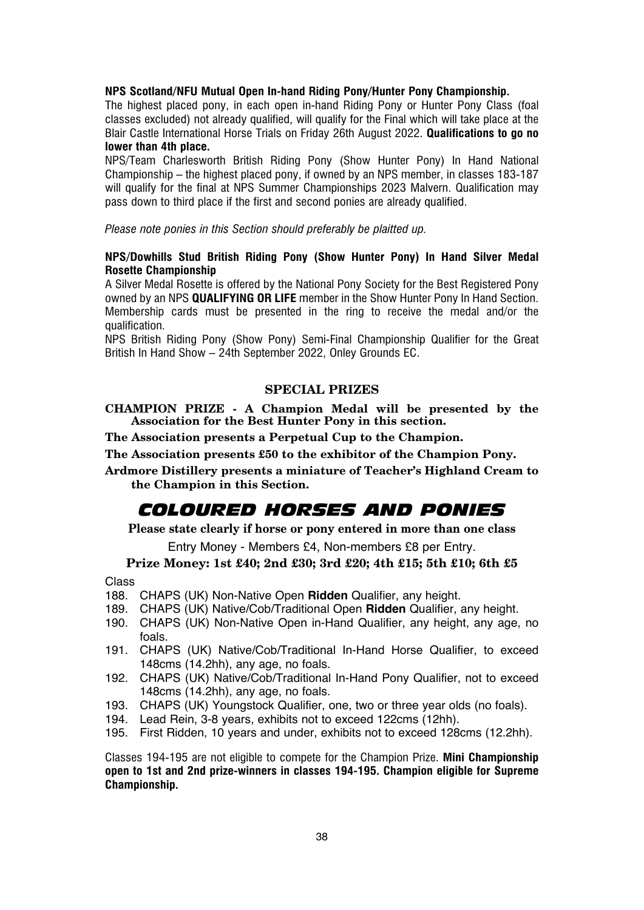## **NPS Scotland/NFU Mutual Open In-hand Riding Pony/Hunter Pony Championship.**

The highest placed pony, in each open in-hand Riding Pony or Hunter Pony Class (foal classes excluded) not already qualified, will qualify for the Final which will take place at the Blair Castle International Horse Trials on Friday 26th August 2022. **Qualifications to go no lower than 4th place.**

NPS/Team Charlesworth British Riding Pony (Show Hunter Pony) In Hand National Championship – the highest placed pony, if owned by an NPS member, in classes 183-187 will qualify for the final at NPS Summer Championships 2023 Malvern. Qualification may pass down to third place if the first and second ponies are already qualified.

*Please note ponies in this Section should preferably be plaitted up.*

## **NPS/Dowhills Stud British Riding Pony (Show Hunter Pony) In Hand Silver Medal Rosette Championship**

A Silver Medal Rosette is offered by the National Pony Society for the Best Registered Pony owned by an NPS **QUALIFYING OR LIFE** member in the Show Hunter Pony In Hand Section. Membership cards must be presented in the ring to receive the medal and/or the qualification.

NPS British Riding Pony (Show Pony) Semi-Final Championship Qualifier for the Great British In Hand Show – 24th September 2022, Onley Grounds EC.

## **SPECIAL PRIZES**

**CHAMPION PRIZE - A Champion Medal will be presented by the Association for the Best Hunter Pony in this section.**

**The Association presents a Perpetual Cup to the Champion.**

**The Association presents £50 to the exhibitor of the Champion Pony.**

**Ardmore Distillery presents a miniature of Teacher's Highland Cream to the Champion in this Section.**

## *COLOURED HORSES AND PONIES*

**Please state clearly if horse or pony entered in more than one class**

Entry Money - Members £4, Non-members £8 per Entry.

# **Prize Money: 1st £40; 2nd £30; 3rd £20; 4th £15; 5th £10; 6th £5**

Class

- 188. CHAPS (UK) Non-Native Open **Ridden** Qualifier, any height.
- 189. CHAPS (UK) Native/Cob/Traditional Open **Ridden** Qualifier, any height.
- 190. CHAPS (UK) Non-Native Open in-Hand Qualifier, any height, any age, no foals.
- 191. CHAPS (UK) Native/Cob/Traditional In-Hand Horse Qualifier, to exceed 148cms (14.2hh), any age, no foals.
- 192. CHAPS (UK) Native/Cob/Traditional In-Hand Pony Qualifier, not to exceed 148cms (14.2hh), any age, no foals.
- 193. CHAPS (UK) Youngstock Qualifier, one, two or three year olds (no foals).
- 194. Lead Rein, 3-8 years, exhibits not to exceed 122cms (12hh).
- 195. First Ridden, 10 years and under, exhibits not to exceed 128cms (12.2hh).

Classes 194-195 are not eligible to compete for the Champion Prize. **Mini Championship open to 1st and 2nd prize-winners in classes 194-195. Champion eligible for Supreme Championship.**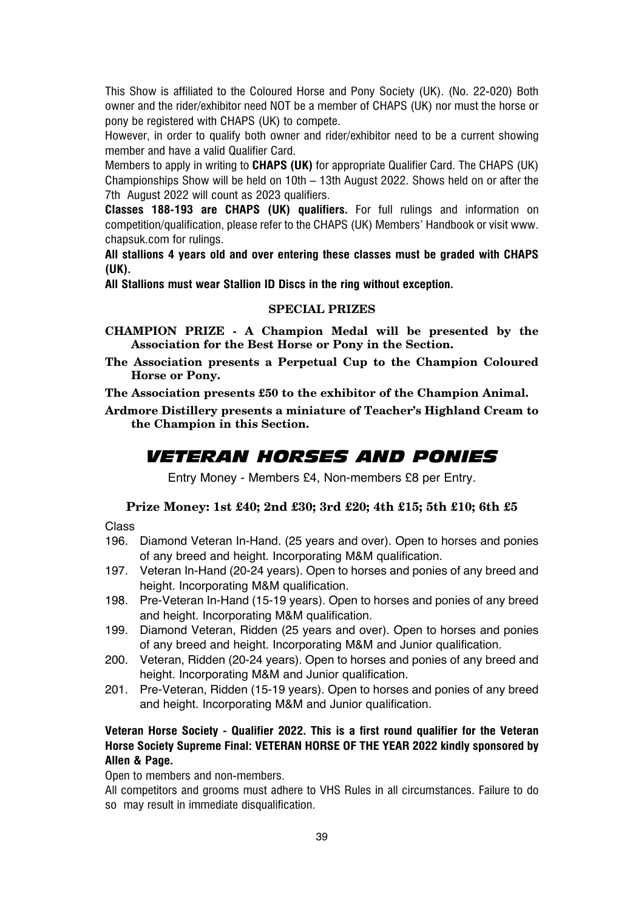This Show is affiliated to the Coloured Horse and Pony Society (UK). (No. 22-020) Both owner and the rider/exhibitor need NOT be a member of CHAPS (UK) nor must the horse or pony be registered with CHAPS (UK) to compete.

However, in order to qualify both owner and rider/exhibitor need to be a current showing member and have a valid Qualifier Card.

Members to apply in writing to **CHAPS (UK)** for appropriate Qualifier Card. The CHAPS (UK) Championships Show will be held on 10th – 13th August 2022. Shows held on or after the 7th August 2022 will count as 2023 qualifiers.

**Classes 188-193 are CHAPS (UK) qualifiers.** For full rulings and information on competition/qualification, please refer to the CHAPS (UK) Members' Handbook or visit www. chapsuk.com for rulings.

**All stallions 4 years old and over entering these classes must be graded with CHAPS (UK).**

**All Stallions must wear Stallion ID Discs in the ring without exception.**

#### **SPECIAL PRIZES**

- **CHAMPION PRIZE A Champion Medal will be presented by the Association for the Best Horse or Pony in the Section.**
- **The Association presents a Perpetual Cup to the Champion Coloured Horse or Pony.**

**The Association presents £50 to the exhibitor of the Champion Animal.**

**Ardmore Distillery presents a miniature of Teacher's Highland Cream to the Champion in this Section.**

## *VETERAN HORSES AND PONIES*

Entry Money - Members £4, Non-members £8 per Entry.

## **Prize Money: 1st £40; 2nd £30; 3rd £20; 4th £15; 5th £10; 6th £5**

#### Class

- 196. Diamond Veteran In-Hand. (25 years and over). Open to horses and ponies of any breed and height. Incorporating M&M qualification.
- 197. Veteran In-Hand (20-24 years). Open to horses and ponies of any breed and height. Incorporating M&M qualification.
- 198. Pre-Veteran In-Hand (15-19 years). Open to horses and ponies of any breed and height. Incorporating M&M qualification.
- 199. Diamond Veteran, Ridden (25 years and over). Open to horses and ponies of any breed and height. Incorporating M&M and Junior qualification.
- 200. Veteran, Ridden (20-24 years). Open to horses and ponies of any breed and height. Incorporating M&M and Junior qualification.
- 201. Pre-Veteran, Ridden (15-19 years). Open to horses and ponies of any breed and height. Incorporating M&M and Junior qualification.

## **Veteran Horse Society - Qualifier 2022. This is a first round qualifier for the Veteran Horse Society Supreme Final: VETERAN HORSE OF THE YEAR 2022 kindly sponsored by Allen & Page.**

Open to members and non-members.

All competitors and grooms must adhere to VHS Rules in all circumstances. Failure to do so may result in immediate disqualification.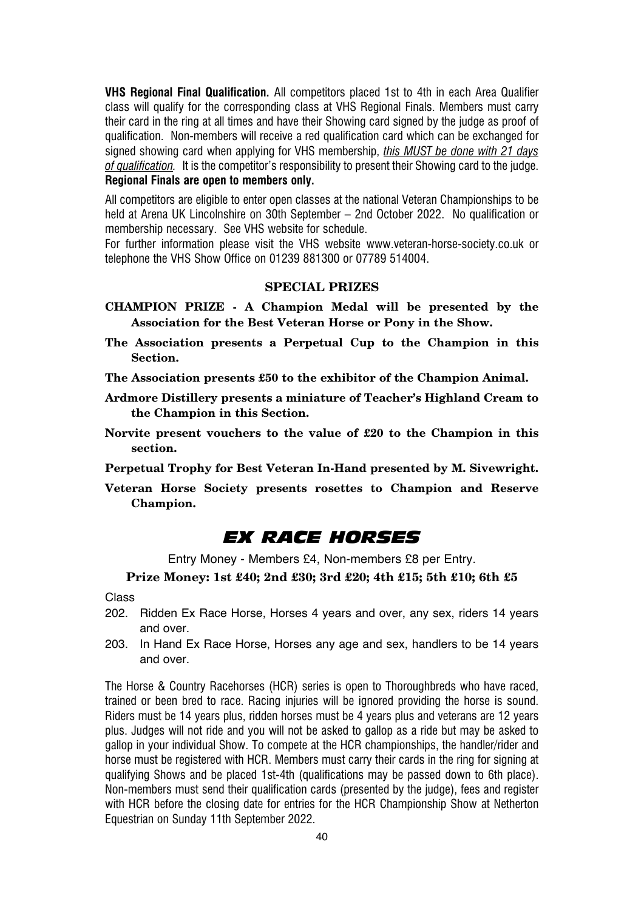**VHS Regional Final Qualification.** All competitors placed 1st to 4th in each Area Qualifier class will qualify for the corresponding class at VHS Regional Finals. Members must carry their card in the ring at all times and have their Showing card signed by the judge as proof of qualification. Non-members will receive a red qualification card which can be exchanged for signed showing card when applying for VHS membership, *this MUST be done with 21 days of qualification.* It is the competitor's responsibility to present their Showing card to the judge. **Regional Finals are open to members only.**

All competitors are eligible to enter open classes at the national Veteran Championships to be held at Arena UK Lincolnshire on 30th September – 2nd October 2022. No qualification or membership necessary. See VHS website for schedule.

For further information please visit the VHS website www.veteran-horse-society.co.uk or telephone the VHS Show Office on 01239 881300 or 07789 514004.

## **SPECIAL PRIZES**

- **CHAMPION PRIZE A Champion Medal will be presented by the Association for the Best Veteran Horse or Pony in the Show.**
- **The Association presents a Perpetual Cup to the Champion in this Section.**

**The Association presents £50 to the exhibitor of the Champion Animal.**

- **Ardmore Distillery presents a miniature of Teacher's Highland Cream to the Champion in this Section.**
- **Norvite present vouchers to the value of £20 to the Champion in this section.**

**Perpetual Trophy for Best Veteran In-Hand presented by M. Sivewright.**

**Veteran Horse Society presents rosettes to Champion and Reserve Champion.**

## *EX RACE HORSES*

Entry Money - Members £4, Non-members £8 per Entry.

## **Prize Money: 1st £40; 2nd £30; 3rd £20; 4th £15; 5th £10; 6th £5**

Class

- 202. Ridden Ex Race Horse, Horses 4 years and over, any sex, riders 14 years and over.
- 203. In Hand Ex Race Horse, Horses any age and sex, handlers to be 14 years and over.

The Horse & Country Racehorses (HCR) series is open to Thoroughbreds who have raced, trained or been bred to race. Racing injuries will be ignored providing the horse is sound. Riders must be 14 years plus, ridden horses must be 4 years plus and veterans are 12 years plus. Judges will not ride and you will not be asked to gallop as a ride but may be asked to gallop in your individual Show. To compete at the HCR championships, the handler/rider and horse must be registered with HCR. Members must carry their cards in the ring for signing at qualifying Shows and be placed 1st-4th (qualifications may be passed down to 6th place). Non-members must send their qualification cards (presented by the judge), fees and register with HCR before the closing date for entries for the HCR Championship Show at Netherton Equestrian on Sunday 11th September 2022.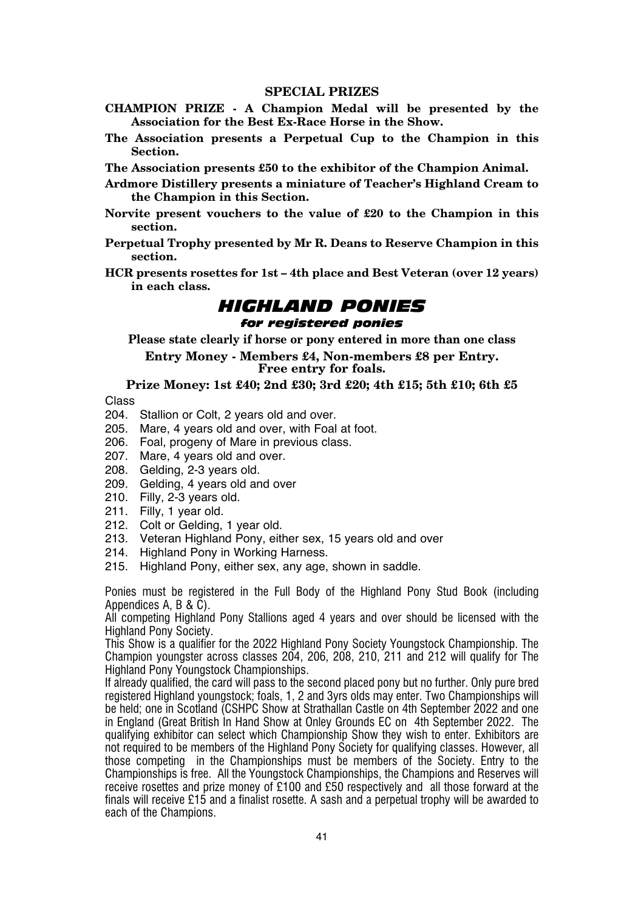- **CHAMPION PRIZE A Champion Medal will be presented by the Association for the Best Ex-Race Horse in the Show.**
- **The Association presents a Perpetual Cup to the Champion in this Section.**

**The Association presents £50 to the exhibitor of the Champion Animal.**

- **Ardmore Distillery presents a miniature of Teacher's Highland Cream to the Champion in this Section.**
- **Norvite present vouchers to the value of £20 to the Champion in this section.**
- **Perpetual Trophy presented by Mr R. Deans to Reserve Champion in this section.**
- **HCR presents rosettes for 1st 4th place and Best Veteran (over 12 years) in each class.**

## *HIGHLAND PONIES for registered ponies*

**Please state clearly if horse or pony entered in more than one class**

**Entry Money - Members £4, Non-members £8 per Entry. Free entry for foals.**

**Prize Money: 1st £40; 2nd £30; 3rd £20; 4th £15; 5th £10; 6th £5**

Class

- 204. Stallion or Colt, 2 years old and over.
- 205. Mare, 4 years old and over, with Foal at foot.
- 206. Foal, progeny of Mare in previous class.
- 207. Mare, 4 years old and over.
- 208. Gelding, 2-3 years old.
- 209. Gelding, 4 years old and over
- 210. Filly, 2-3 years old.
- 211. Filly, 1 year old.
- 212. Colt or Gelding, 1 year old.
- 213. Veteran Highland Pony, either sex, 15 years old and over
- 214. Highland Pony in Working Harness.
- 215. Highland Pony, either sex, any age, shown in saddle.

Ponies must be registered in the Full Body of the Highland Pony Stud Book (including Appendices A, B & C).

All competing Highland Pony Stallions aged 4 years and over should be licensed with the Highland Pony Society.

This Show is a qualifier for the 2022 Highland Pony Society Youngstock Championship. The Champion youngster across classes 204, 206, 208, 210, 211 and 212 will qualify for The Highland Pony Youngstock Championships.

If already qualified, the card will pass to the second placed pony but no further. Only pure bred registered Highland youngstock; foals, 1, 2 and 3yrs olds may enter. Two Championships will be held: one in Scotland (CSHPC Show at Strathallan Castle on 4th September 2022 and one in England (Great British In Hand Show at Onley Grounds EC on 4th September 2022. The qualifying exhibitor can select which Championship Show they wish to enter. Exhibitors are not required to be members of the Highland Pony Society for qualifying classes. However, all those competing in the Championships must be members of the Society. Entry to the Championships is free. All the Youngstock Championships, the Champions and Reserves will receive rosettes and prize money of £100 and £50 respectively and all those forward at the finals will receive £15 and a finalist rosette. A sash and a perpetual trophy will be awarded to each of the Champions.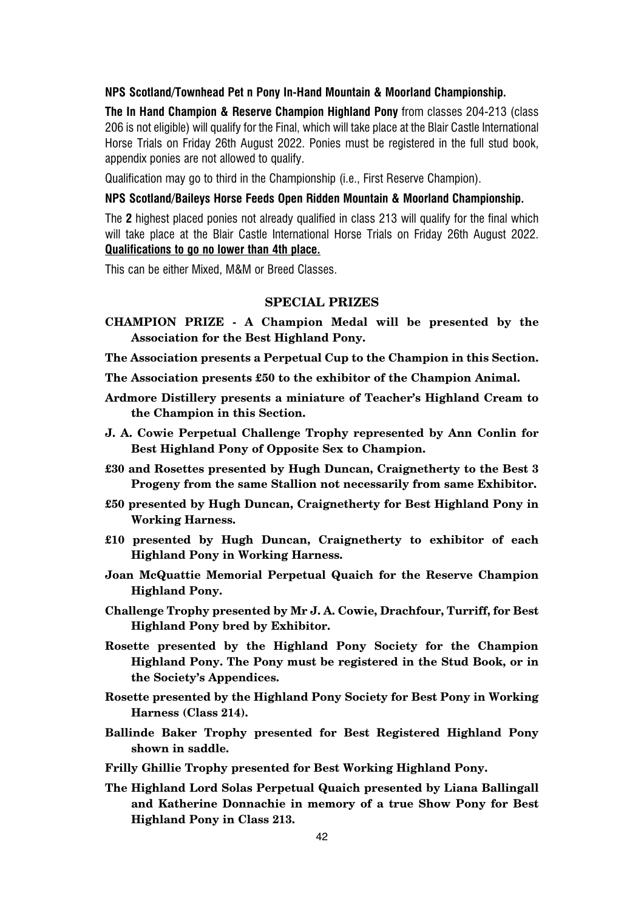### **NPS Scotland/Townhead Pet n Pony In-Hand Mountain & Moorland Championship.**

**The In Hand Champion & Reserve Champion Highland Pony** from classes 204-213 (class 206 is not eligible) will qualify for the Final, which will take place at the Blair Castle International Horse Trials on Friday 26th August 2022. Ponies must be registered in the full stud book, appendix ponies are not allowed to qualify.

Qualification may go to third in the Championship (i.e., First Reserve Champion).

## **NPS Scotland/Baileys Horse Feeds Open Ridden Mountain & Moorland Championship.**

The **2** highest placed ponies not already qualified in class 213 will qualify for the final which will take place at the Blair Castle International Horse Trials on Friday 26th August 2022. **Qualifications to go no lower than 4th place.**

This can be either Mixed, M&M or Breed Classes.

## **SPECIAL PRIZES**

**CHAMPION PRIZE - A Champion Medal will be presented by the Association for the Best Highland Pony.**

**The Association presents a Perpetual Cup to the Champion in this Section.**

**The Association presents £50 to the exhibitor of the Champion Animal.**

- **Ardmore Distillery presents a miniature of Teacher's Highland Cream to the Champion in this Section.**
- **J. A. Cowie Perpetual Challenge Trophy represented by Ann Conlin for Best Highland Pony of Opposite Sex to Champion.**
- **£30 and Rosettes presented by Hugh Duncan, Craignetherty to the Best 3 Progeny from the same Stallion not necessarily from same Exhibitor.**
- **£50 presented by Hugh Duncan, Craignetherty for Best Highland Pony in Working Harness.**
- **£10 presented by Hugh Duncan, Craignetherty to exhibitor of each Highland Pony in Working Harness.**
- **Joan McQuattie Memorial Perpetual Quaich for the Reserve Champion Highland Pony.**
- **Challenge Trophy presented by Mr J. A. Cowie, Drachfour, Turriff, for Best Highland Pony bred by Exhibitor.**
- **Rosette presented by the Highland Pony Society for the Champion Highland Pony. The Pony must be registered in the Stud Book, or in the Society's Appendices.**
- **Rosette presented by the Highland Pony Society for Best Pony in Working Harness (Class 214).**
- **Ballinde Baker Trophy presented for Best Registered Highland Pony shown in saddle.**
- **Frilly Ghillie Trophy presented for Best Working Highland Pony.**
- **The Highland Lord Solas Perpetual Quaich presented by Liana Ballingall and Katherine Donnachie in memory of a true Show Pony for Best Highland Pony in Class 213.**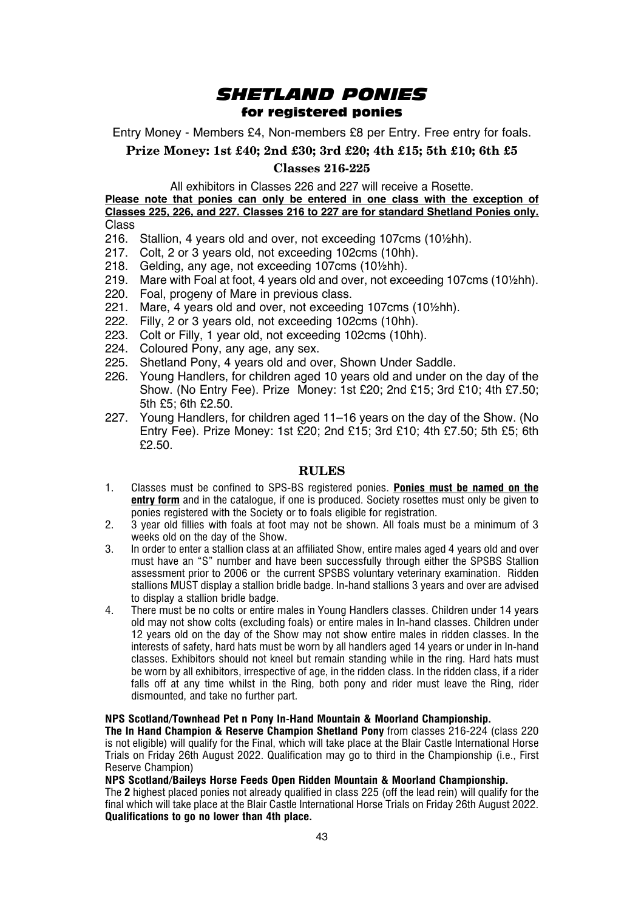## *SHETLAND PONIES* for registered ponies

Entry Money - Members £4, Non-members £8 per Entry. Free entry for foals.

**Prize Money: 1st £40; 2nd £30; 3rd £20; 4th £15; 5th £10; 6th £5**

## **Classes 216-225**

All exhibitors in Classes 226 and 227 will receive a Rosette.

**Please note that ponies can only be entered in one class with the exception of Classes 225, 226, and 227. Classes 216 to 227 are for standard Shetland Ponies only.** Class

- 216. Stallion, 4 years old and over, not exceeding 107cms (10½hh).
- 217. Colt, 2 or 3 years old, not exceeding 102cms (10hh).
- 218. Gelding, any age, not exceeding 107cms (10½hh).
- 219. Mare with Foal at foot, 4 years old and over, not exceeding 107cms (10½hh).
- 220. Foal, progeny of Mare in previous class.
- 221. Mare, 4 years old and over, not exceeding 107cms (10½hh).
- 222. Filly, 2 or 3 years old, not exceeding 102cms (10hh).
- 223. Colt or Filly, 1 year old, not exceeding 102cms (10hh).
- 224. Coloured Pony, any age, any sex.
- 225. Shetland Pony, 4 years old and over, Shown Under Saddle.
- 226. Young Handlers, for children aged 10 years old and under on the day of the Show. (No Entry Fee). Prize Money: 1st £20; 2nd £15; 3rd £10; 4th £7.50;  $5th$   $5f$ ; 6th  $f$ 2.50.
- 227. Young Handlers, for children aged 11–16 years on the day of the Show. (No Entry Fee). Prize Money: 1st £20; 2nd £15; 3rd £10; 4th £7.50; 5th £5; 6th £2.50.

### **RULES**

- 1. Classes must be confined to SPS-BS registered ponies. **Ponies must be named on the entry form** and in the catalogue, if one is produced. Society rosettes must only be given to ponies registered with the Society or to foals eligible for registration.
- 2. 3 year old fillies with foals at foot may not be shown. All foals must be a minimum of 3 weeks old on the day of the Show.
- 3. In order to enter a stallion class at an affiliated Show, entire males aged 4 years old and over must have an "S" number and have been successfully through either the SPSBS Stallion assessment prior to 2006 or the current SPSBS voluntary veterinary examination. Ridden stallions MUST display a stallion bridle badge. In-hand stallions 3 years and over are advised to display a stallion bridle badge.
- 4. There must be no colts or entire males in Young Handlers classes. Children under 14 years old may not show colts (excluding foals) or entire males in In-hand classes. Children under 12 years old on the day of the Show may not show entire males in ridden classes. In the interests of safety, hard hats must be worn by all handlers aged 14 years or under in In-hand classes. Exhibitors should not kneel but remain standing while in the ring. Hard hats must be worn by all exhibitors, irrespective of age, in the ridden class. In the ridden class, if a rider falls off at any time whilst in the Ring, both pony and rider must leave the Ring, rider dismounted, and take no further part.

#### **NPS Scotland/Townhead Pet n Pony In-Hand Mountain & Moorland Championship.**

**The In Hand Champion & Reserve Champion Shetland Pony** from classes 216-224 (class 220 is not eligible) will qualify for the Final, which will take place at the Blair Castle International Horse Trials on Friday 26th August 2022. Qualification may go to third in the Championship (i.e., First Reserve Champion)

#### **NPS Scotland/Baileys Horse Feeds Open Ridden Mountain & Moorland Championship.**

The **2** highest placed ponies not already qualified in class 225 (off the lead rein) will qualify for the final which will take place at the Blair Castle International Horse Trials on Friday 26th August 2022. **Qualifications to go no lower than 4th place.**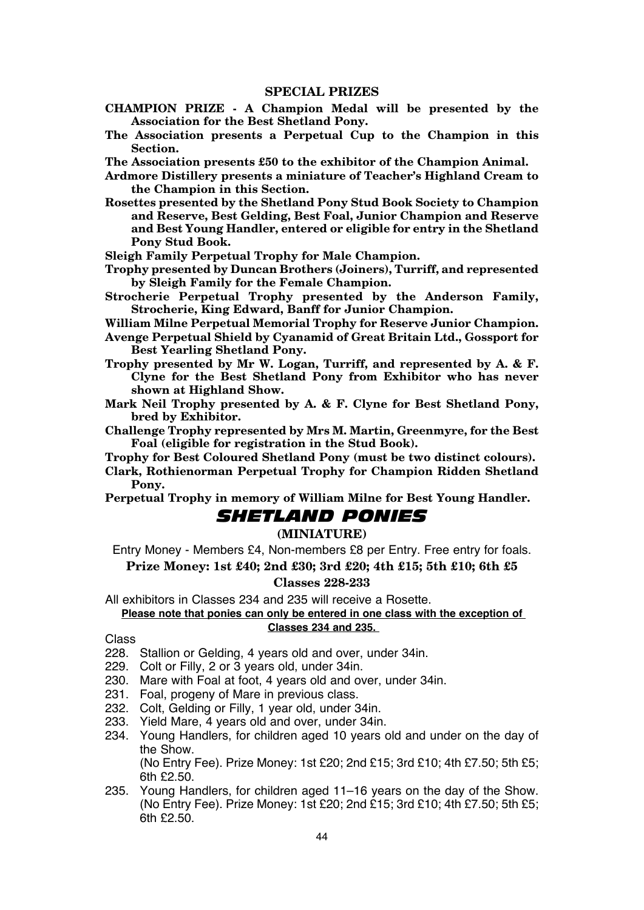- **CHAMPION PRIZE A Champion Medal will be presented by the Association for the Best Shetland Pony.**
- **The Association presents a Perpetual Cup to the Champion in this Section.**
- **The Association presents £50 to the exhibitor of the Champion Animal.**

**Ardmore Distillery presents a miniature of Teacher's Highland Cream to the Champion in this Section.**

- **Rosettes presented by the Shetland Pony Stud Book Society to Champion and Reserve, Best Gelding, Best Foal, Junior Champion and Reserve and Best Young Handler, entered or eligible for entry in the Shetland Pony Stud Book.**
- **Sleigh Family Perpetual Trophy for Male Champion.**
- **Trophy presented by Duncan Brothers (Joiners), Turriff, and represented by Sleigh Family for the Female Champion.**
- **Strocherie Perpetual Trophy presented by the Anderson Family, Strocherie, King Edward, Banff for Junior Champion.**
- **William Milne Perpetual Memorial Trophy for Reserve Junior Champion.**
- **Avenge Perpetual Shield by Cyanamid of Great Britain Ltd., Gossport for Best Yearling Shetland Pony.**
- **Trophy presented by Mr W. Logan, Turriff, and represented by A. & F. Clyne for the Best Shetland Pony from Exhibitor who has never shown at Highland Show.**
- **Mark Neil Trophy presented by A. & F. Clyne for Best Shetland Pony, bred by Exhibitor.**
- **Challenge Trophy represented by Mrs M. Martin, Greenmyre, for the Best Foal (eligible for registration in the Stud Book).**
- **Trophy for Best Coloured Shetland Pony (must be two distinct colours).**
- **Clark, Rothienorman Perpetual Trophy for Champion Ridden Shetland Pony.**

**Perpetual Trophy in memory of William Milne for Best Young Handler.**

## *SHETLAND PONIES*

## **(MINIATURE)**

Entry Money - Members £4, Non-members £8 per Entry. Free entry for foals.

# **Prize Money: 1st £40; 2nd £30; 3rd £20; 4th £15; 5th £10; 6th £5**

## **Classes 228-233**

All exhibitors in Classes 234 and 235 will receive a Rosette.

## **Please note that ponies can only be entered in one class with the exception of Classes 234 and 235.**

#### Class

- 228. Stallion or Gelding, 4 years old and over, under 34in.
- 229. Colt or Filly, 2 or 3 years old, under 34in.
- 230. Mare with Foal at foot, 4 years old and over, under 34in.
- 231. Foal, progeny of Mare in previous class.
- 232. Colt, Gelding or Filly, 1 year old, under 34in.
- 233. Yield Mare, 4 years old and over, under 34in.
- 234. Young Handlers, for children aged 10 years old and under on the day of the Show.

(No Entry Fee). Prize Money: 1st £20; 2nd £15; 3rd £10; 4th £7.50; 5th £5; 6th £2.50.

235. Young Handlers, for children aged 11–16 years on the day of the Show. (No Entry Fee). Prize Money: 1st  $f20:2$ nd  $f15:3$ rd  $f10:4$ th  $f7:50:5$ th  $f5:$  $6th$   $50.50$ .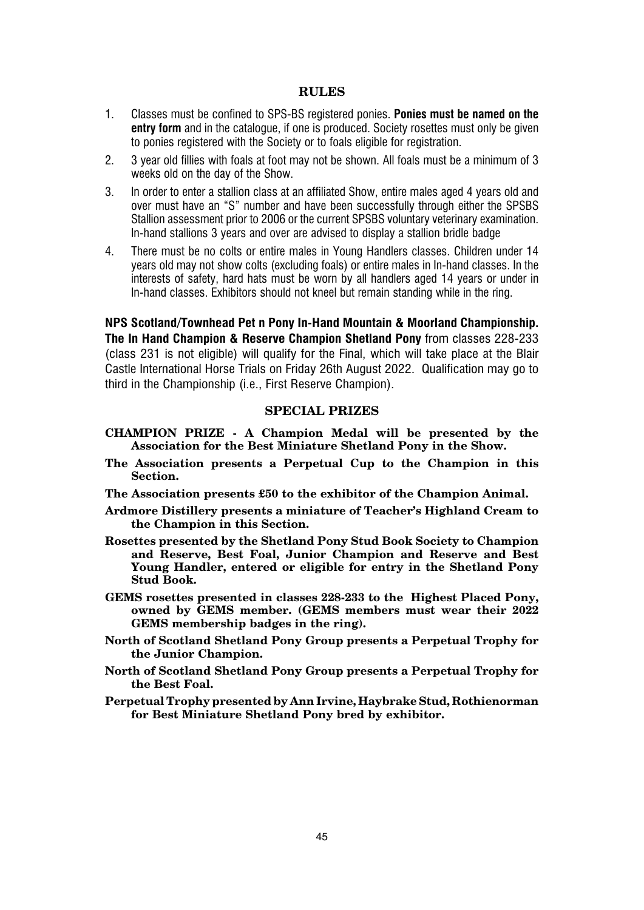## **RULES**

- 1. Classes must be confined to SPS-BS registered ponies. **Ponies must be named on the entry form** and in the catalogue, if one is produced. Society rosettes must only be given to ponies registered with the Society or to foals eligible for registration.
- 2. 3 year old fillies with foals at foot may not be shown. All foals must be a minimum of 3 weeks old on the day of the Show.
- 3. In order to enter a stallion class at an affiliated Show, entire males aged 4 years old and over must have an "S" number and have been successfully through either the SPSBS Stallion assessment prior to 2006 or the current SPSBS voluntary veterinary examination. In-hand stallions 3 years and over are advised to display a stallion bridle badge
- 4. There must be no colts or entire males in Young Handlers classes. Children under 14 years old may not show colts (excluding foals) or entire males in In-hand classes. In the interests of safety, hard hats must be worn by all handlers aged 14 years or under in In-hand classes. Exhibitors should not kneel but remain standing while in the ring.

**NPS Scotland/Townhead Pet n Pony In-Hand Mountain & Moorland Championship. The In Hand Champion & Reserve Champion Shetland Pony** from classes 228-233 (class 231 is not eligible) will qualify for the Final, which will take place at the Blair Castle International Horse Trials on Friday 26th August 2022. Qualification may go to third in the Championship (i.e., First Reserve Champion).

## **SPECIAL PRIZES**

- **CHAMPION PRIZE A Champion Medal will be presented by the Association for the Best Miniature Shetland Pony in the Show.**
- **The Association presents a Perpetual Cup to the Champion in this Section.**
- **The Association presents £50 to the exhibitor of the Champion Animal.**
- **Ardmore Distillery presents a miniature of Teacher's Highland Cream to the Champion in this Section.**
- **Rosettes presented by the Shetland Pony Stud Book Society to Champion and Reserve, Best Foal, Junior Champion and Reserve and Best Young Handler, entered or eligible for entry in the Shetland Pony Stud Book.**
- **GEMS rosettes presented in classes 228-233 to the Highest Placed Pony, owned by GEMS member. (GEMS members must wear their 2022 GEMS membership badges in the ring).**
- **North of Scotland Shetland Pony Group presents a Perpetual Trophy for the Junior Champion.**
- **North of Scotland Shetland Pony Group presents a Perpetual Trophy for the Best Foal.**
- **Perpetual Trophy presented by Ann Irvine, Haybrake Stud, Rothienorman for Best Miniature Shetland Pony bred by exhibitor.**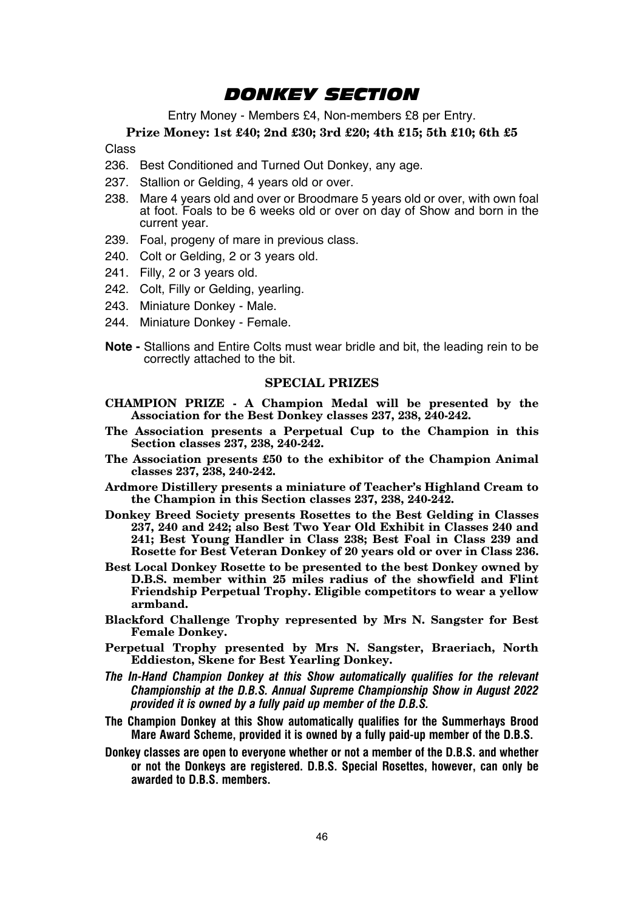## *DONKEY SECTION*

Entry Money - Members £4, Non-members £8 per Entry.

**Prize Money: 1st £40; 2nd £30; 3rd £20; 4th £15; 5th £10; 6th £5**

Class

- 236. Best Conditioned and Turned Out Donkey, any age.
- 237. Stallion or Gelding, 4 years old or over.
- 238. Mare 4 years old and over or Broodmare 5 years old or over, with own foal at foot. Foals to be 6 weeks old or over on day of Show and born in the current year.
- 239. Foal, progeny of mare in previous class.
- 240. Colt or Gelding, 2 or 3 years old.
- 241. Filly, 2 or 3 years old.
- 242. Colt, Filly or Gelding, yearling.
- 243. Miniature Donkey Male.
- 244. Miniature Donkey Female.
- **Note** Stallions and Entire Colts must wear bridle and bit, the leading rein to be correctly attached to the bit.

## **SPECIAL PRIZES**

- **CHAMPION PRIZE A Champion Medal will be presented by the Association for the Best Donkey classes 237, 238, 240-242.**
- **The Association presents a Perpetual Cup to the Champion in this Section classes 237, 238, 240-242.**
- **The Association presents £50 to the exhibitor of the Champion Animal classes 237, 238, 240-242.**
- **Ardmore Distillery presents a miniature of Teacher's Highland Cream to the Champion in this Section classes 237, 238, 240-242.**
- **Donkey Breed Society presents Rosettes to the Best Gelding in Classes 237, 240 and 242; also Best Two Year Old Exhibit in Classes 240 and 241; Best Young Handler in Class 238; Best Foal in Class 239 and Rosette for Best Veteran Donkey of 20 years old or over in Class 236.**
- **Best Local Donkey Rosette to be presented to the best Donkey owned by D.B.S. member within 25 miles radius of the showfield and Flint Friendship Perpetual Trophy. Eligible competitors to wear a yellow armband.**
- **Blackford Challenge Trophy represented by Mrs N. Sangster for Best Female Donkey.**
- **Perpetual Trophy presented by Mrs N. Sangster, Braeriach, North Eddieston, Skene for Best Yearling Donkey.**
- *The In-Hand Champion Donkey at this Show automatically qualifies for the relevant Championship at the D.B.S. Annual Supreme Championship Show in August 2022 provided it is owned by a fully paid up member of the D.B.S.*
- **The Champion Donkey at this Show automatically qualifies for the Summerhays Brood Mare Award Scheme, provided it is owned by a fully paid-up member of the D.B.S.**
- **Donkey classes are open to everyone whether or not a member of the D.B.S. and whether or not the Donkeys are registered. D.B.S. Special Rosettes, however, can only be awarded to D.B.S. members.**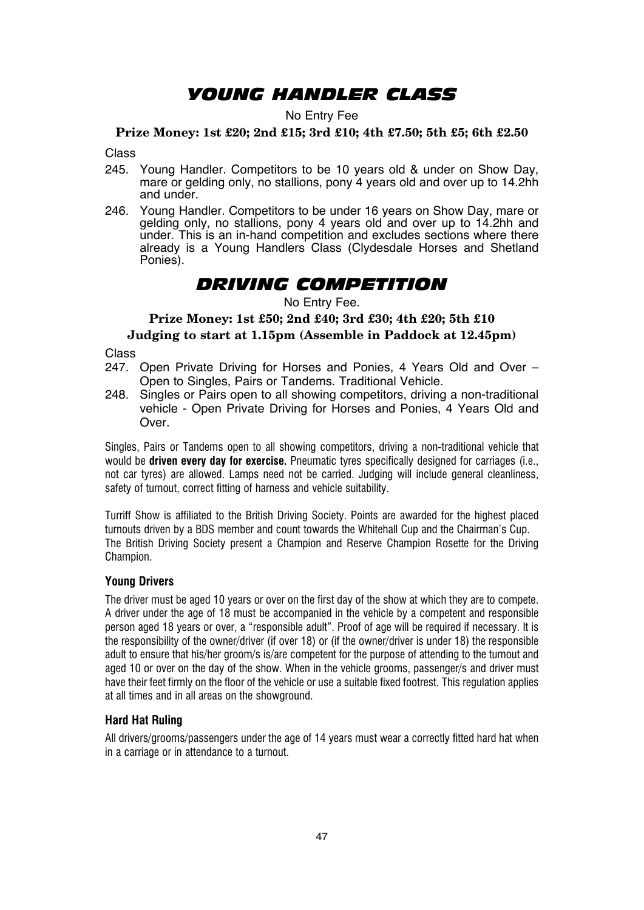## *YOUNG HANDLER CLASS*

### No Entry Fee

## **Prize Money: 1st £20; 2nd £15; 3rd £10; 4th £7.50; 5th £5; 6th £2.50**

Class

- 245. Young Handler. Competitors to be 10 years old & under on Show Day, mare or gelding only, no stallions, pony 4 years old and over up to 14.2hh and under.
- 246. Young Handler. Competitors to be under 16 years on Show Day, mare or gelding only, no stallions, pony 4 years old and over up to 14.2hh and under. This is an in-hand competition and excludes sections where there already is a Young Handlers Class (Clydesdale Horses and Shetland Ponies).

## *DRIVING COMPETITION*

### No Entry Fee.

**Prize Money: 1st £50; 2nd £40; 3rd £30; 4th £20; 5th £10**

## **Judging to start at 1.15pm (Assemble in Paddock at 12.45pm)**

Class

- 247. Open Private Driving for Horses and Ponies, 4 Years Old and Over Open to Singles, Pairs or Tandems. Traditional Vehicle.
- 248. Singles or Pairs open to all showing competitors, driving a non-traditional vehicle - Open Private Driving for Horses and Ponies, 4 Years Old and Over.

Singles, Pairs or Tandems open to all showing competitors, driving a non-traditional vehicle that would be **driven every day for exercise.** Pneumatic tyres specifically designed for carriages (i.e., not car tyres) are allowed. Lamps need not be carried. Judging will include general cleanliness, safety of turnout, correct fitting of harness and vehicle suitability.

Turriff Show is affiliated to the British Driving Society. Points are awarded for the highest placed turnouts driven by a BDS member and count towards the Whitehall Cup and the Chairman's Cup. The British Driving Society present a Champion and Reserve Champion Rosette for the Driving Champion.

#### **Young Drivers**

The driver must be aged 10 years or over on the first day of the show at which they are to compete. A driver under the age of 18 must be accompanied in the vehicle by a competent and responsible person aged 18 years or over, a "responsible adult". Proof of age will be required if necessary. It is the responsibility of the owner/driver (if over 18) or (if the owner/driver is under 18) the responsible adult to ensure that his/her groom/s is/are competent for the purpose of attending to the turnout and aged 10 or over on the day of the show. When in the vehicle grooms, passenger/s and driver must have their feet firmly on the floor of the vehicle or use a suitable fixed footrest. This regulation applies at all times and in all areas on the showground.

## **Hard Hat Ruling**

All drivers/grooms/passengers under the age of 14 years must wear a correctly fitted hard hat when in a carriage or in attendance to a turnout.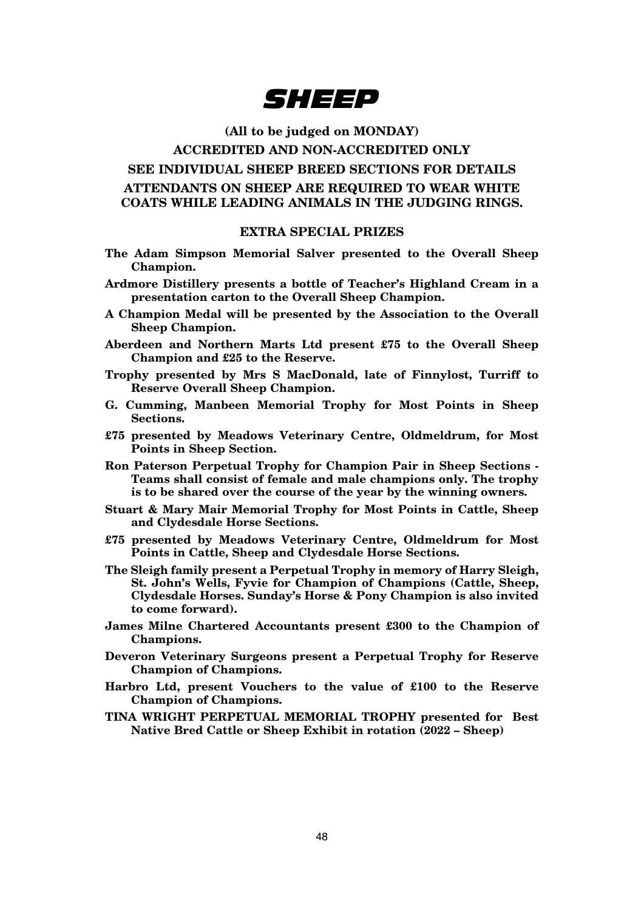

## **(All to be judged on MONDAY)**

## **ACCREDITED AND NON-ACCREDITED ONLY**

## **SEE INDIVIDUAL SHEEP BREED SECTIONS FOR DETAILS ATTENDANTS ON SHEEP ARE REQUIRED TO WEAR WHITE COATS WHILE LEADING ANIMALS IN THE JUDGING RINGS.**

#### **EXTRA SPECIAL PRIZES**

- **The Adam Simpson Memorial Salver presented to the Overall Sheep Champion.**
- **Ardmore Distillery presents a bottle of Teacher's Highland Cream in a presentation carton to the Overall Sheep Champion.**
- **A Champion Medal will be presented by the Association to the Overall Sheep Champion.**
- **Aberdeen and Northern Marts Ltd present £75 to the Overall Sheep Champion and £25 to the Reserve.**
- **Trophy presented by Mrs S MacDonald, late of Finnylost, Turriff to Reserve Overall Sheep Champion.**
- **G. Cumming, Manbeen Memorial Trophy for Most Points in Sheep Sections.**
- **£75 presented by Meadows Veterinary Centre, Oldmeldrum, for Most Points in Sheep Section.**
- **Ron Paterson Perpetual Trophy for Champion Pair in Sheep Sections Teams shall consist of female and male champions only. The trophy is to be shared over the course of the year by the winning owners.**
- **Stuart & Mary Mair Memorial Trophy for Most Points in Cattle, Sheep and Clydesdale Horse Sections.**
- **£75 presented by Meadows Veterinary Centre, Oldmeldrum for Most Points in Cattle, Sheep and Clydesdale Horse Sections.**
- **The Sleigh family present a Perpetual Trophy in memory of Harry Sleigh, St. John's Wells, Fyvie for Champion of Champions (Cattle, Sheep, Clydesdale Horses. Sunday's Horse & Pony Champion is also invited to come forward).**
- **James Milne Chartered Accountants present £300 to the Champion of Champions.**
- **Deveron Veterinary Surgeons present a Perpetual Trophy for Reserve Champion of Champions.**
- **Harbro Ltd, present Vouchers to the value of £100 to the Reserve Champion of Champions.**
- **TINA WRIGHT PERPETUAL MEMORIAL TROPHY presented for Best Native Bred Cattle or Sheep Exhibit in rotation (2022 – Sheep)**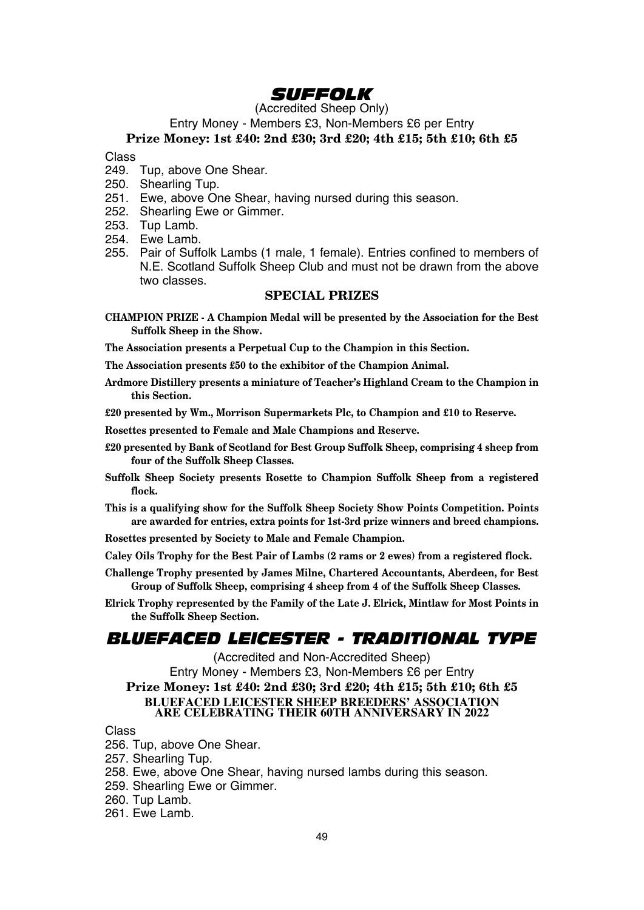## *SUFFOLK*

(Accredited Sheep Only)

Entry Money - Members £3, Non-Members £6 per Entry

## **Prize Money: 1st £40: 2nd £30; 3rd £20; 4th £15; 5th £10; 6th £5**

Class

- 249. Tup, above One Shear.
- 250. Shearling Tup.
- 251. Ewe, above One Shear, having nursed during this season.
- 252. Shearling Ewe or Gimmer.
- 253. Tup Lamb.
- 254. Ewe Lamb.
- 255. Pair of Suffolk Lambs (1 male, 1 female). Entries confined to members of N.E. Scotland Suffolk Sheep Club and must not be drawn from the above two classes.

## **SPECIAL PRIZES**

**CHAMPION PRIZE - A Champion Medal will be presented by the Association for the Best Suffolk Sheep in the Show.**

**The Association presents a Perpetual Cup to the Champion in this Section.**

**The Association presents £50 to the exhibitor of the Champion Animal.**

**Ardmore Distillery presents a miniature of Teacher's Highland Cream to the Champion in this Section.**

**£20 presented by Wm., Morrison Supermarkets Plc, to Champion and £10 to Reserve.**

**Rosettes presented to Female and Male Champions and Reserve.**

- **£20 presented by Bank of Scotland for Best Group Suffolk Sheep, comprising 4 sheep from four of the Suffolk Sheep Classes.**
- **Suffolk Sheep Society presents Rosette to Champion Suffolk Sheep from a registered flock.**
- **This is a qualifying show for the Suffolk Sheep Society Show Points Competition. Points are awarded for entries, extra points for 1st-3rd prize winners and breed champions.**
- **Rosettes presented by Society to Male and Female Champion.**

**Caley Oils Trophy for the Best Pair of Lambs (2 rams or 2 ewes) from a registered flock.**

- **Challenge Trophy presented by James Milne, Chartered Accountants, Aberdeen, for Best Group of Suffolk Sheep, comprising 4 sheep from 4 of the Suffolk Sheep Classes.**
- **Elrick Trophy represented by the Family of the Late J. Elrick, Mintlaw for Most Points in the Suffolk Sheep Section.**

## *BLUEFACED LEICESTER - TRADITIONAL TYPE*

(Accredited and Non-Accredited Sheep) Entry Money - Members £3, Non-Members £6 per Entry **Prize Money: 1st £40: 2nd £30; 3rd £20; 4th £15; 5th £10; 6th £5 BLUEFACED LEICESTER SHEEP BREEDERS' ASSOCIATION ARE CELEBRATING THEIR 60TH ANNIVERSARY IN 2022**

#### Class

256. Tup, above One Shear.

257. Shearling Tup.

- 258. Ewe, above One Shear, having nursed lambs during this season.
- 259. Shearling Ewe or Gimmer.
- 260. Tup Lamb.
- 261 Fwe Lamb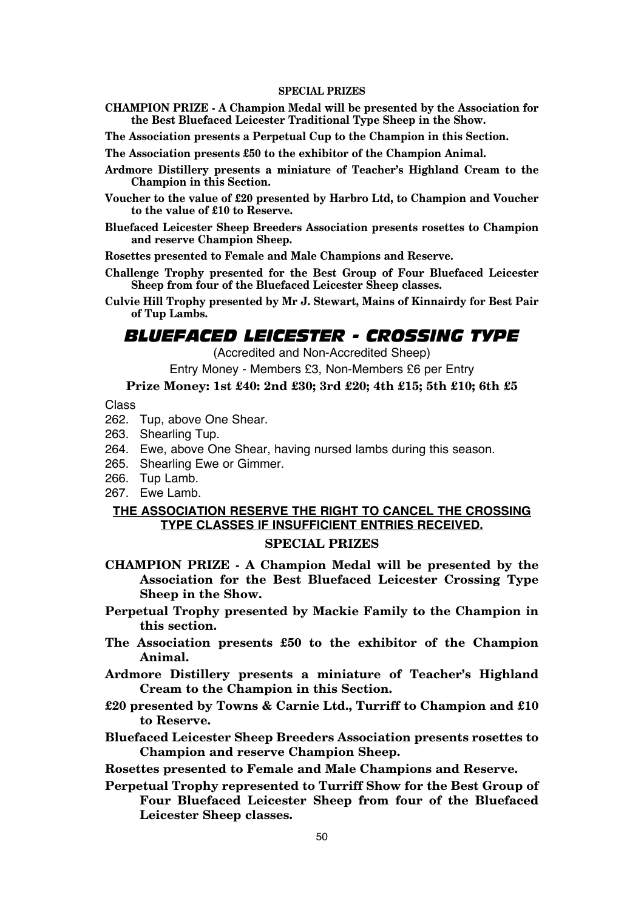- **CHAMPION PRIZE A Champion Medal will be presented by the Association for the Best Bluefaced Leicester Traditional Type Sheep in the Show.**
- **The Association presents a Perpetual Cup to the Champion in this Section.**

**The Association presents £50 to the exhibitor of the Champion Animal.**

- **Ardmore Distillery presents a miniature of Teacher's Highland Cream to the Champion in this Section.**
- **Voucher to the value of £20 presented by Harbro Ltd, to Champion and Voucher to the value of £10 to Reserve.**
- **Bluefaced Leicester Sheep Breeders Association presents rosettes to Champion and reserve Champion Sheep.**

**Rosettes presented to Female and Male Champions and Reserve.**

- **Challenge Trophy presented for the Best Group of Four Bluefaced Leicester Sheep from four of the Bluefaced Leicester Sheep classes.**
- **Culvie Hill Trophy presented by Mr J. Stewart, Mains of Kinnairdy for Best Pair of Tup Lambs.**

## *BLUEFACED LEICESTER - CROSSING TYPE*

(Accredited and Non-Accredited Sheep)

Entry Money - Members £3, Non-Members £6 per Entry

## **Prize Money: 1st £40: 2nd £30; 3rd £20; 4th £15; 5th £10; 6th £5**

Class

- 262. Tup, above One Shear.
- 263. Shearling Tup.
- 264. Ewe, above One Shear, having nursed lambs during this season.
- 265. Shearling Ewe or Gimmer.
- 266. Tup Lamb.
- 267. Ewe Lamb.

## **THE ASSOCIATION RESERVE THE RIGHT TO CANCEL THE CROSSING TYPE CLASSES IF INSUFFICIENT ENTRIES RECEIVED. SPECIAL PRIZES**

- **CHAMPION PRIZE A Champion Medal will be presented by the Association for the Best Bluefaced Leicester Crossing Type Sheep in the Show.**
- **Perpetual Trophy presented by Mackie Family to the Champion in this section.**
- **The Association presents £50 to the exhibitor of the Champion Animal.**
- **Ardmore Distillery presents a miniature of Teacher's Highland Cream to the Champion in this Section.**
- **£20 presented by Towns & Carnie Ltd., Turriff to Champion and £10 to Reserve.**
- **Bluefaced Leicester Sheep Breeders Association presents rosettes to Champion and reserve Champion Sheep.**

**Rosettes presented to Female and Male Champions and Reserve.**

**Perpetual Trophy represented to Turriff Show for the Best Group of Four Bluefaced Leicester Sheep from four of the Bluefaced Leicester Sheep classes.**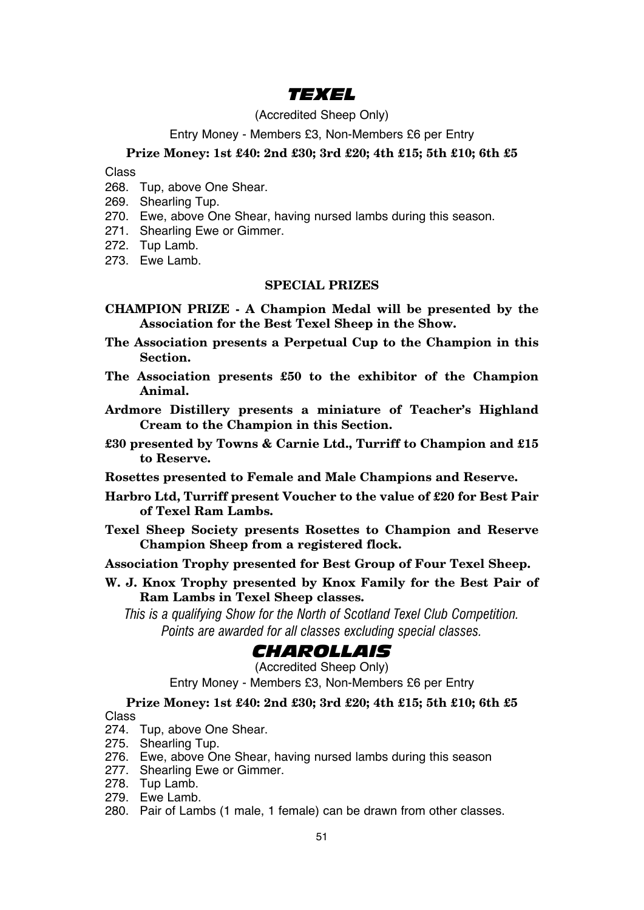## *TEXEL*

## (Accredited Sheep Only)

## Entry Money - Members £3, Non-Members £6 per Entry

## **Prize Money: 1st £40: 2nd £30; 3rd £20; 4th £15; 5th £10; 6th £5**

Class

- 268. Tup, above One Shear.
- 269. Shearling Tup.
- 270. Ewe, above One Shear, having nursed lambs during this season.
- 271. Shearling Ewe or Gimmer.
- 272. Tup Lamb.
- 273. Ewe Lamb.

## **SPECIAL PRIZES**

- **CHAMPION PRIZE A Champion Medal will be presented by the Association for the Best Texel Sheep in the Show.**
- **The Association presents a Perpetual Cup to the Champion in this Section.**
- **The Association presents £50 to the exhibitor of the Champion Animal.**
- **Ardmore Distillery presents a miniature of Teacher's Highland Cream to the Champion in this Section.**
- **£30 presented by Towns & Carnie Ltd., Turriff to Champion and £15 to Reserve.**
- **Rosettes presented to Female and Male Champions and Reserve.**
- **Harbro Ltd, Turriff present Voucher to the value of £20 for Best Pair of Texel Ram Lambs.**
- **Texel Sheep Society presents Rosettes to Champion and Reserve Champion Sheep from a registered flock.**
- **Association Trophy presented for Best Group of Four Texel Sheep.**
- **W. J. Knox Trophy presented by Knox Family for the Best Pair of Ram Lambs in Texel Sheep classes.**

*This is a qualifying Show for the North of Scotland Texel Club Competition. Points are awarded for all classes excluding special classes.*

## *CHAROLLAIS*

(Accredited Sheep Only)

Entry Money - Members £3, Non-Members £6 per Entry

## **Prize Money: 1st £40: 2nd £30; 3rd £20; 4th £15; 5th £10; 6th £5** Class

- 274. Tup, above One Shear.
- 275. Shearling Tup.
- 276. Ewe, above One Shear, having nursed lambs during this season
- 277. Shearling Ewe or Gimmer.
- 278. Tup Lamb.
- 279. Ewe Lamb.
- 280. Pair of Lambs (1 male, 1 female) can be drawn from other classes.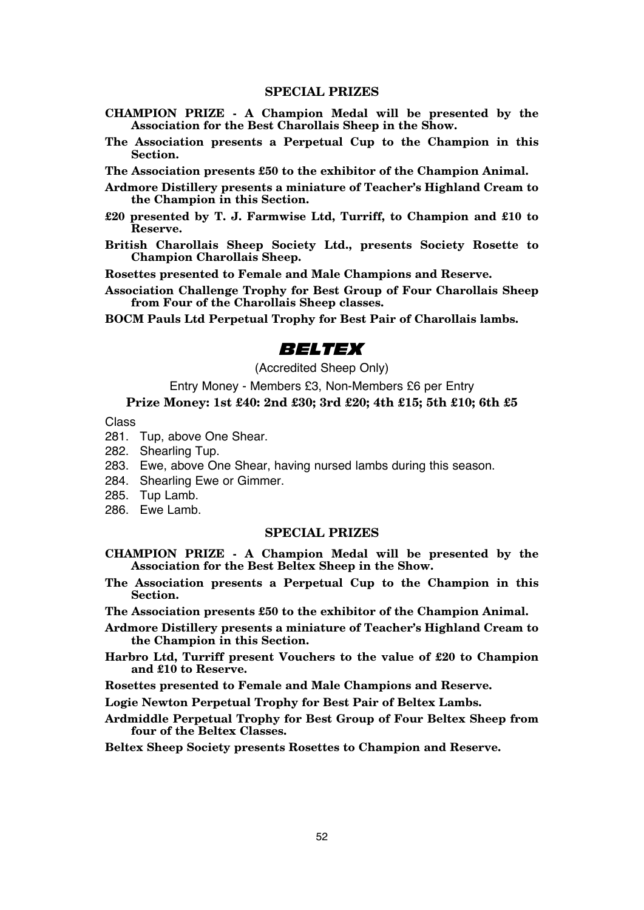- **CHAMPION PRIZE A Champion Medal will be presented by the Association for the Best Charollais Sheep in the Show.**
- **The Association presents a Perpetual Cup to the Champion in this Section.**

**The Association presents £50 to the exhibitor of the Champion Animal.**

- **Ardmore Distillery presents a miniature of Teacher's Highland Cream to the Champion in this Section.**
- **£20 presented by T. J. Farmwise Ltd, Turriff, to Champion and £10 to Reserve.**
- **British Charollais Sheep Society Ltd., presents Society Rosette to Champion Charollais Sheep.**

**Rosettes presented to Female and Male Champions and Reserve.**

**Association Challenge Trophy for Best Group of Four Charollais Sheep from Four of the Charollais Sheep classes.**

**BOCM Pauls Ltd Perpetual Trophy for Best Pair of Charollais lambs.**

## *BELTEX*

(Accredited Sheep Only)

Entry Money - Members £3, Non-Members £6 per Entry **Prize Money: 1st £40: 2nd £30; 3rd £20; 4th £15; 5th £10; 6th £5**

#### Class

- 281. Tup, above One Shear.
- 282. Shearling Tup.
- 283. Ewe, above One Shear, having nursed lambs during this season.
- 284. Shearling Ewe or Gimmer.
- 285. Tup Lamb.
- 286. Ewe Lamb.

#### **SPECIAL PRIZES**

- **CHAMPION PRIZE A Champion Medal will be presented by the Association for the Best Beltex Sheep in the Show.**
- **The Association presents a Perpetual Cup to the Champion in this Section.**
- **The Association presents £50 to the exhibitor of the Champion Animal.**
- **Ardmore Distillery presents a miniature of Teacher's Highland Cream to the Champion in this Section.**
- **Harbro Ltd, Turriff present Vouchers to the value of £20 to Champion and £10 to Reserve.**
- **Rosettes presented to Female and Male Champions and Reserve.**
- **Logie Newton Perpetual Trophy for Best Pair of Beltex Lambs.**

**Ardmiddle Perpetual Trophy for Best Group of Four Beltex Sheep from four of the Beltex Classes.**

**Beltex Sheep Society presents Rosettes to Champion and Reserve.**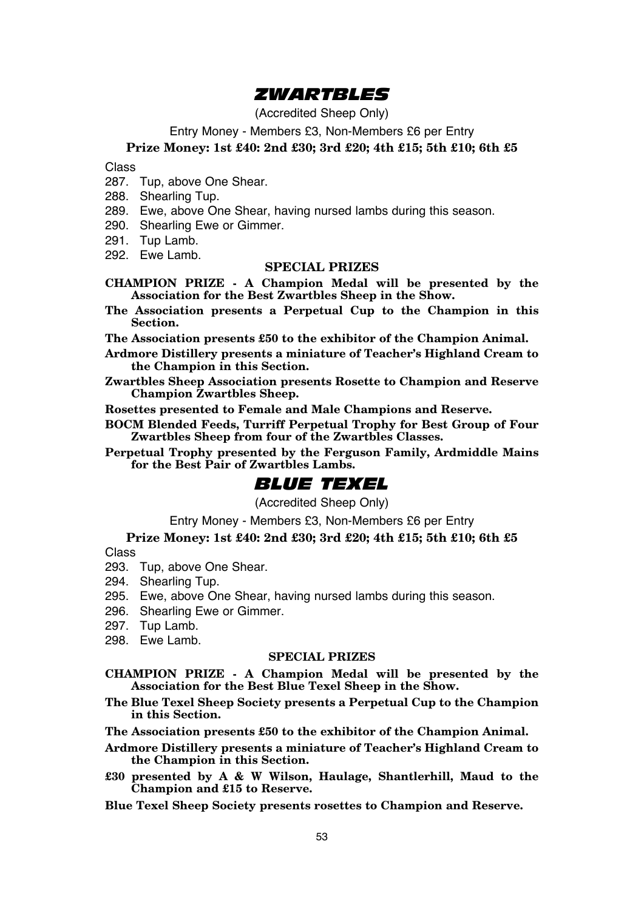## *ZWARTBLES*

(Accredited Sheep Only)

Entry Money - Members £3, Non-Members £6 per Entry

## **Prize Money: 1st £40: 2nd £30; 3rd £20; 4th £15; 5th £10; 6th £5**

Class

- 287. Tup, above One Shear.
- 288. Shearling Tup.
- 289. Ewe, above One Shear, having nursed lambs during this season.
- 290. Shearling Ewe or Gimmer.
- 291. Tup Lamb.
- 292. Ewe Lamb.

## **SPECIAL PRIZES**

- **CHAMPION PRIZE A Champion Medal will be presented by the Association for the Best Zwartbles Sheep in the Show.**
- **The Association presents a Perpetual Cup to the Champion in this Section.**

**The Association presents £50 to the exhibitor of the Champion Animal.**

- **Ardmore Distillery presents a miniature of Teacher's Highland Cream to the Champion in this Section.**
- **Zwartbles Sheep Association presents Rosette to Champion and Reserve Champion Zwartbles Sheep.**

**Rosettes presented to Female and Male Champions and Reserve.**

**BOCM Blended Feeds, Turriff Perpetual Trophy for Best Group of Four Zwartbles Sheep from four of the Zwartbles Classes.**

**Perpetual Trophy presented by the Ferguson Family, Ardmiddle Mains for the Best Pair of Zwartbles Lambs.**

## *BLUE TEXEL*

(Accredited Sheep Only)

Entry Money - Members £3, Non-Members £6 per Entry

## **Prize Money: 1st £40: 2nd £30; 3rd £20; 4th £15; 5th £10; 6th £5**

Class

- 293. Tup, above One Shear.
- 294. Shearling Tup.
- 295. Ewe, above One Shear, having nursed lambs during this season.
- 296. Shearling Ewe or Gimmer.
- 297. Tup Lamb.
- 298. Ewe Lamb.

#### **SPECIAL PRIZES**

**CHAMPION PRIZE - A Champion Medal will be presented by the Association for the Best Blue Texel Sheep in the Show.**

- **The Blue Texel Sheep Society presents a Perpetual Cup to the Champion in this Section.**
- **The Association presents £50 to the exhibitor of the Champion Animal.**
- **Ardmore Distillery presents a miniature of Teacher's Highland Cream to the Champion in this Section.**
- **£30 presented by A & W Wilson, Haulage, Shantlerhill, Maud to the Champion and £15 to Reserve.**
- **Blue Texel Sheep Society presents rosettes to Champion and Reserve.**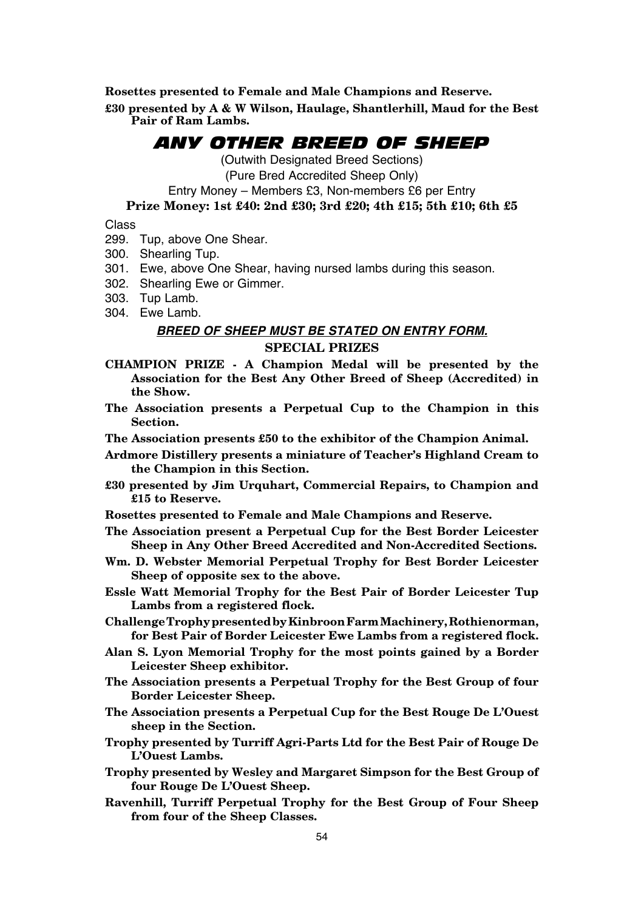**Rosettes presented to Female and Male Champions and Reserve.**

**£30 presented by A & W Wilson, Haulage, Shantlerhill, Maud for the Best Pair of Ram Lambs.**

## *ANY OTHER BREED OF SHEEP*

(Outwith Designated Breed Sections)

(Pure Bred Accredited Sheep Only)

Entry Money – Members £3, Non-members £6 per Entry

## **Prize Money: 1st £40: 2nd £30; 3rd £20; 4th £15; 5th £10; 6th £5**

Class

- 299. Tup, above One Shear.
- 300. Shearling Tup.
- 301. Ewe, above One Shear, having nursed lambs during this season.
- 302. Shearling Ewe or Gimmer.
- 303. Tup Lamb.
- 304. Ewe Lamb.

## *BREED OF SHEEP MUST BE STATED ON ENTRY FORM.* **SPECIAL PRIZES**

- **CHAMPION PRIZE A Champion Medal will be presented by the Association for the Best Any Other Breed of Sheep (Accredited) in the Show.**
- **The Association presents a Perpetual Cup to the Champion in this Section.**
- **The Association presents £50 to the exhibitor of the Champion Animal.**
- **Ardmore Distillery presents a miniature of Teacher's Highland Cream to the Champion in this Section.**
- **£30 presented by Jim Urquhart, Commercial Repairs, to Champion and £15 to Reserve.**
- **Rosettes presented to Female and Male Champions and Reserve.**
- **The Association present a Perpetual Cup for the Best Border Leicester Sheep in Any Other Breed Accredited and Non-Accredited Sections.**
- **Wm. D. Webster Memorial Perpetual Trophy for Best Border Leicester Sheep of opposite sex to the above.**

**Essle Watt Memorial Trophy for the Best Pair of Border Leicester Tup Lambs from a registered flock.**

- **Challenge Trophy presented by Kinbroon Farm Machinery, Rothienorman, for Best Pair of Border Leicester Ewe Lambs from a registered flock.**
- **Alan S. Lyon Memorial Trophy for the most points gained by a Border Leicester Sheep exhibitor.**
- **The Association presents a Perpetual Trophy for the Best Group of four Border Leicester Sheep.**
- **The Association presents a Perpetual Cup for the Best Rouge De L'Ouest sheep in the Section.**
- **Trophy presented by Turriff Agri-Parts Ltd for the Best Pair of Rouge De L'Ouest Lambs.**
- **Trophy presented by Wesley and Margaret Simpson for the Best Group of four Rouge De L'Ouest Sheep.**
- **Ravenhill, Turriff Perpetual Trophy for the Best Group of Four Sheep from four of the Sheep Classes.**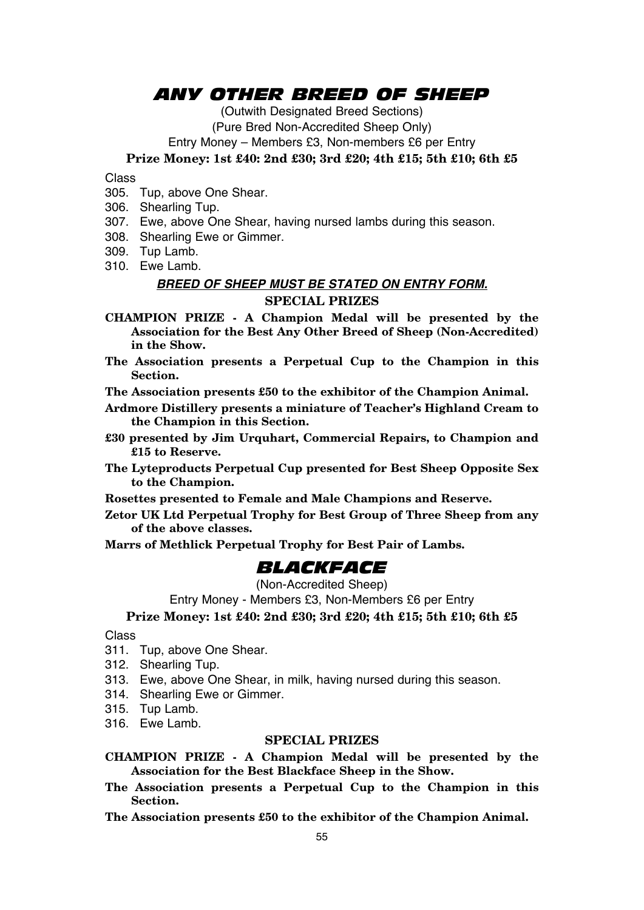## *ANY OTHER BREED OF SHEEP*

(Outwith Designated Breed Sections) (Pure Bred Non-Accredited Sheep Only) Entry Money – Members £3, Non-members £6 per Entry

**Prize Money: 1st £40: 2nd £30; 3rd £20; 4th £15; 5th £10; 6th £5**

Class

- 305. Tup, above One Shear.
- 306. Shearling Tup.
- 307. Ewe, above One Shear, having nursed lambs during this season.
- 308. Shearling Ewe or Gimmer.
- 309. Tup Lamb.
- 310. Ewe Lamb.

## *BREED OF SHEEP MUST BE STATED ON ENTRY FORM.* **SPECIAL PRIZES**

**CHAMPION PRIZE - A Champion Medal will be presented by the Association for the Best Any Other Breed of Sheep (Non-Accredited) in the Show.**

- **The Association presents a Perpetual Cup to the Champion in this Section.**
- **The Association presents £50 to the exhibitor of the Champion Animal.**
- **Ardmore Distillery presents a miniature of Teacher's Highland Cream to the Champion in this Section.**
- **£30 presented by Jim Urquhart, Commercial Repairs, to Champion and £15 to Reserve.**
- **The Lyteproducts Perpetual Cup presented for Best Sheep Opposite Sex to the Champion.**
- **Rosettes presented to Female and Male Champions and Reserve.**
- **Zetor UK Ltd Perpetual Trophy for Best Group of Three Sheep from any of the above classes.**
- **Marrs of Methlick Perpetual Trophy for Best Pair of Lambs.**

## *BLACKFACE*

#### (Non-Accredited Sheep)

Entry Money - Members £3, Non-Members £6 per Entry

**Prize Money: 1st £40: 2nd £30; 3rd £20; 4th £15; 5th £10; 6th £5**

## Class

- 311. Tup, above One Shear.
- 312. Shearling Tup.
- 313. Ewe, above One Shear, in milk, having nursed during this season.
- 314. Shearling Ewe or Gimmer.
- 315. Tup Lamb.
- 316. Ewe Lamb.

## **SPECIAL PRIZES**

- **CHAMPION PRIZE A Champion Medal will be presented by the Association for the Best Blackface Sheep in the Show.**
- **The Association presents a Perpetual Cup to the Champion in this Section.**

**The Association presents £50 to the exhibitor of the Champion Animal.**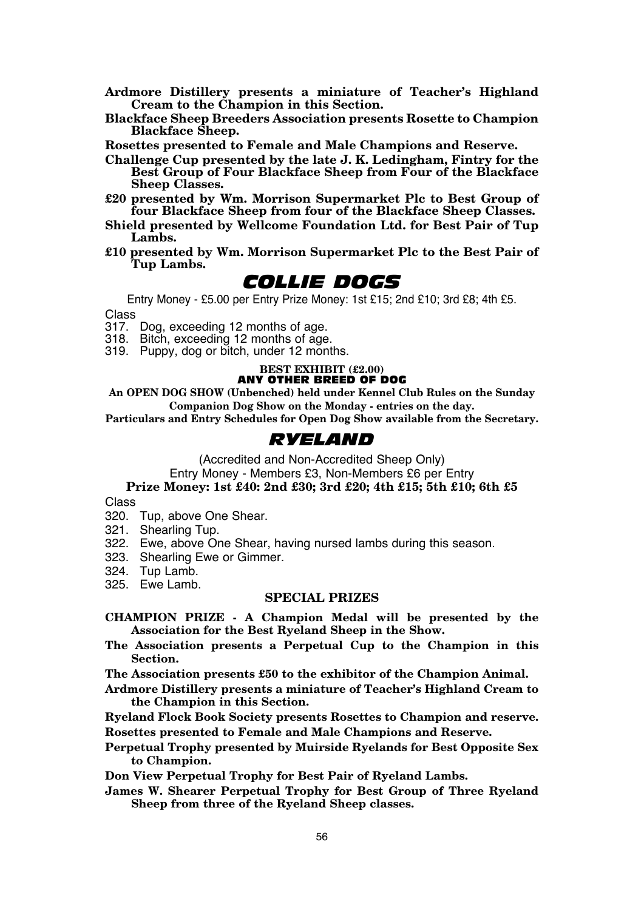- **Ardmore Distillery presents a miniature of Teacher's Highland Cream to the Champion in this Section.**
- **Blackface Sheep Breeders Association presents Rosette to Champion Blackface Sheep.**

**Rosettes presented to Female and Male Champions and Reserve.**

- **Challenge Cup presented by the late J. K. Ledingham, Fintry for the Best Group of Four Blackface Sheep from Four of the Blackface Sheep Classes.**
- **£20 presented by Wm. Morrison Supermarket Plc to Best Group of four Blackface Sheep from four of the Blackface Sheep Classes.**
- **Shield presented by Wellcome Foundation Ltd. for Best Pair of Tup Lambs.**
- **£10 presented by Wm. Morrison Supermarket Plc to the Best Pair of Tup Lambs.**

## *COLLIE DOGS*

Entry Money - £5.00 per Entry Prize Money: 1st £15; 2nd £10; 3rd £8; 4th £5.

Class

317. Dog, exceeding 12 months of age.

318. Bitch, exceeding 12 months of age.

319. Puppy, dog or bitch, under 12 months.

#### **BEST EXHIBIT (£2.00)** ANY OTHER BREED OF DOG

**An OPEN DOG SHOW (Unbenched) held under Kennel Club Rules on the Sunday Companion Dog Show on the Monday - entries on the day.**

**Particulars and Entry Schedules for Open Dog Show available from the Secretary.**

## *RYELAND*

(Accredited and Non-Accredited Sheep Only)

Entry Money - Members £3, Non-Members £6 per Entry

## **Prize Money: 1st £40: 2nd £30; 3rd £20; 4th £15; 5th £10; 6th £5**

Class

- 320. Tup, above One Shear.
- 321. Shearling Tup.
- 322. Ewe, above One Shear, having nursed lambs during this season.
- 323. Shearling Ewe or Gimmer.
- 324. Tup Lamb.
- 325. Ewe Lamb.

## **SPECIAL PRIZES**

- **CHAMPION PRIZE A Champion Medal will be presented by the Association for the Best Ryeland Sheep in the Show.**
- **The Association presents a Perpetual Cup to the Champion in this Section.**

**The Association presents £50 to the exhibitor of the Champion Animal.**

- **Ardmore Distillery presents a miniature of Teacher's Highland Cream to the Champion in this Section.**
- **Ryeland Flock Book Society presents Rosettes to Champion and reserve. Rosettes presented to Female and Male Champions and Reserve.**
- **Perpetual Trophy presented by Muirside Ryelands for Best Opposite Sex to Champion.**

**Don View Perpetual Trophy for Best Pair of Ryeland Lambs.**

**James W. Shearer Perpetual Trophy for Best Group of Three Ryeland Sheep from three of the Ryeland Sheep classes.**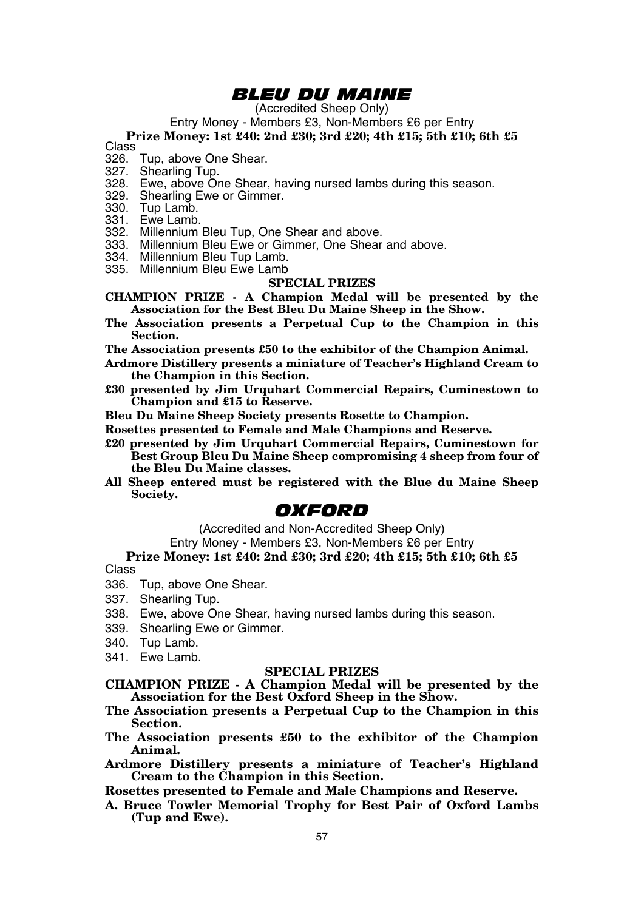## *BLEU DU MAINE*

(Accredited Sheep Only)

Entry Money - Members £3, Non-Members £6 per Entry

**Prize Money: 1st £40: 2nd £30; 3rd £20; 4th £15; 5th £10; 6th £5** Class

- 
- 326. Tup, above One Shear.
- 327. Shearling Tup.
- 328. Ewe, above One Shear, having nursed lambs during this season.
- 329. Shearling Ewe or Gimmer.
- 330. Tup Lamb.
- 331. Ewe Lamb.
- 332. Millennium Bleu Tup, One Shear and above.
- 333. Millennium Bleu Ewe or Gimmer, One Shear and above.
- 334. Millennium Bleu Tup Lamb.
- 335. Millennium Bleu Ewe Lamb

#### **SPECIAL PRIZES**

- **CHAMPION PRIZE A Champion Medal will be presented by the Association for the Best Bleu Du Maine Sheep in the Show.**
- **The Association presents a Perpetual Cup to the Champion in this Section.**

**The Association presents £50 to the exhibitor of the Champion Animal.**

- **Ardmore Distillery presents a miniature of Teacher's Highland Cream to the Champion in this Section.**
- **£30 presented by Jim Urquhart Commercial Repairs, Cuminestown to Champion and £15 to Reserve.**
- **Bleu Du Maine Sheep Society presents Rosette to Champion.**
- **Rosettes presented to Female and Male Champions and Reserve.**
- **£20 presented by Jim Urquhart Commercial Repairs, Cuminestown for Best Group Bleu Du Maine Sheep compromising 4 sheep from four of the Bleu Du Maine classes.**
- **All Sheep entered must be registered with the Blue du Maine Sheep Society.**

## *OXFORD*

(Accredited and Non-Accredited Sheep Only)

Entry Money - Members £3, Non-Members £6 per Entry

#### **Prize Money: 1st £40: 2nd £30; 3rd £20; 4th £15; 5th £10; 6th £5**

Class

- 336. Tup, above One Shear.
- 337. Shearling Tup.
- 338. Ewe, above One Shear, having nursed lambs during this season.
- 339. Shearling Ewe or Gimmer.
- 340. Tup Lamb.
- 341. Ewe Lamb.

#### **SPECIAL PRIZES**

- **CHAMPION PRIZE A Champion Medal will be presented by the Association for the Best Oxford Sheep in the Show.**
- **The Association presents a Perpetual Cup to the Champion in this Section.**
- **The Association presents £50 to the exhibitor of the Champion Animal.**
- **Ardmore Distillery presents a miniature of Teacher's Highland Cream to the Champion in this Section.**

**Rosettes presented to Female and Male Champions and Reserve.**

**A. Bruce Towler Memorial Trophy for Best Pair of Oxford Lambs (Tup and Ewe).**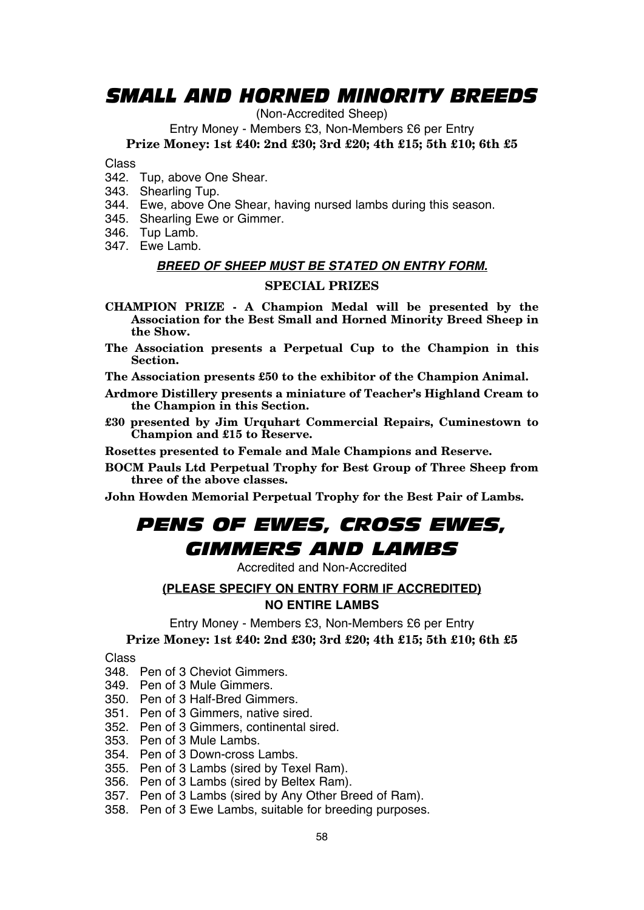## *SMALL AND HORNED MINORITY BREEDS*

(Non-Accredited Sheep)

Entry Money - Members £3, Non-Members £6 per Entry

**Prize Money: 1st £40: 2nd £30; 3rd £20; 4th £15; 5th £10; 6th £5**

Class

- 342. Tup, above One Shear.
- 343. Shearling Tup.
- 344. Ewe, above One Shear, having nursed lambs during this season.
- 345. Shearling Ewe or Gimmer.
- 346. Tup Lamb.
- 347. Ewe Lamb.

## *BREED OF SHEEP MUST BE STATED ON ENTRY FORM.*

## **SPECIAL PRIZES**

- **CHAMPION PRIZE A Champion Medal will be presented by the Association for the Best Small and Horned Minority Breed Sheep in the Show.**
- **The Association presents a Perpetual Cup to the Champion in this Section.**
- **The Association presents £50 to the exhibitor of the Champion Animal.**
- **Ardmore Distillery presents a miniature of Teacher's Highland Cream to the Champion in this Section.**
- **£30 presented by Jim Urquhart Commercial Repairs, Cuminestown to Champion and £15 to Reserve.**

**Rosettes presented to Female and Male Champions and Reserve.**

- **BOCM Pauls Ltd Perpetual Trophy for Best Group of Three Sheep from three of the above classes.**
- **John Howden Memorial Perpetual Trophy for the Best Pair of Lambs.**

# *PENS OF EWES, CROSS EWES, GIMMERS AND LAMBS*

Accredited and Non-Accredited

## **(PLEASE SPECIFY ON ENTRY FORM IF ACCREDITED)**

## **NO ENTIRE LAMBS**

Entry Money - Members £3, Non-Members £6 per Entry

**Prize Money: 1st £40: 2nd £30; 3rd £20; 4th £15; 5th £10; 6th £5**

#### Class

- 348. Pen of 3 Cheviot Gimmers.
- 349. Pen of 3 Mule Gimmers.
- 350. Pen of 3 Half-Bred Gimmers.
- 351. Pen of 3 Gimmers, native sired.
- 352. Pen of 3 Gimmers, continental sired.
- 353. Pen of 3 Mule Lambs.
- 354. Pen of 3 Down-cross Lambs.
- 355. Pen of 3 Lambs (sired by Texel Ram).
- 356. Pen of 3 Lambs (sired by Beltex Ram).
- 357. Pen of 3 Lambs (sired by Any Other Breed of Ram).
- 358. Pen of 3 Ewe Lambs, suitable for breeding purposes.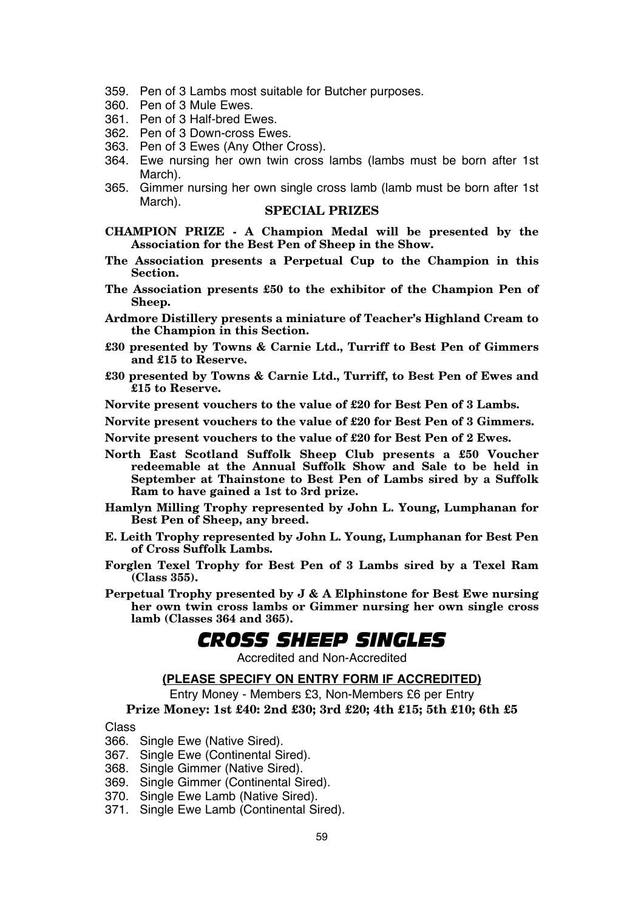- 359. Pen of 3 Lambs most suitable for Butcher purposes.
- 360. Pen of 3 Mule Ewes.
- 361. Pen of 3 Half-bred Ewes.
- 362. Pen of 3 Down-cross Ewes.
- 363. Pen of 3 Ewes (Any Other Cross).
- 364. Ewe nursing her own twin cross lambs (lambs must be born after 1st March).
- 365. Gimmer nursing her own single cross lamb (lamb must be born after 1st

- **CHAMPION PRIZE A Champion Medal will be presented by the Association for the Best Pen of Sheep in the Show.**
- **The Association presents a Perpetual Cup to the Champion in this Section.**
- **The Association presents £50 to the exhibitor of the Champion Pen of Sheep.**
- **Ardmore Distillery presents a miniature of Teacher's Highland Cream to the Champion in this Section.**
- **£30 presented by Towns & Carnie Ltd., Turriff to Best Pen of Gimmers and £15 to Reserve.**
- **£30 presented by Towns & Carnie Ltd., Turriff, to Best Pen of Ewes and £15 to Reserve.**

**Norvite present vouchers to the value of £20 for Best Pen of 3 Lambs.**

**Norvite present vouchers to the value of £20 for Best Pen of 3 Gimmers.**

**Norvite present vouchers to the value of £20 for Best Pen of 2 Ewes.**

- **North East Scotland Suffolk Sheep Club presents a £50 Voucher redeemable at the Annual Suffolk Show and Sale to be held in September at Thainstone to Best Pen of Lambs sired by a Suffolk Ram to have gained a 1st to 3rd prize.**
- **Hamlyn Milling Trophy represented by John L. Young, Lumphanan for Best Pen of Sheep, any breed.**
- **E. Leith Trophy represented by John L. Young, Lumphanan for Best Pen of Cross Suffolk Lambs.**
- **Forglen Texel Trophy for Best Pen of 3 Lambs sired by a Texel Ram (Class 355).**
- **Perpetual Trophy presented by J & A Elphinstone for Best Ewe nursing her own twin cross lambs or Gimmer nursing her own single cross lamb (Classes 364 and 365).**

## *CROSS SHEEP SINGLES*

Accredited and Non-Accredited

## **(PLEASE SPECIFY ON ENTRY FORM IF ACCREDITED)**

Entry Money - Members £3, Non-Members £6 per Entry

## **Prize Money: 1st £40: 2nd £30; 3rd £20; 4th £15; 5th £10; 6th £5**

#### Class

- 366. Single Ewe (Native Sired).
- 367. Single Ewe (Continental Sired).
- 368. Single Gimmer (Native Sired).
- 369. Single Gimmer (Continental Sired).
- 370. Single Ewe Lamb (Native Sired).
- 371. Single Ewe Lamb (Continental Sired).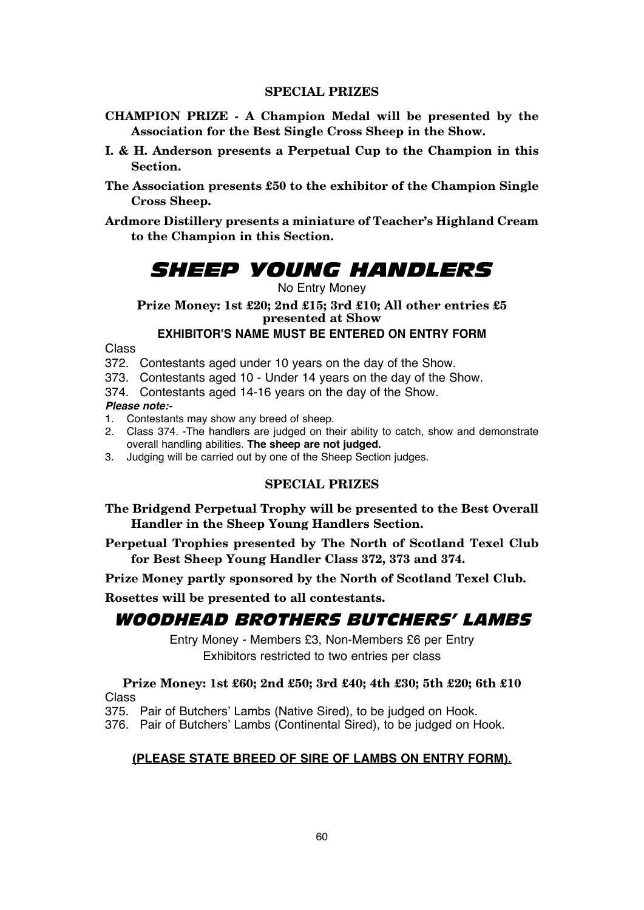- **CHAMPION PRIZE A Champion Medal will be presented by the Association for the Best Single Cross Sheep in the Show.**
- **I. & H. Anderson presents a Perpetual Cup to the Champion in this Section.**
- **The Association presents £50 to the exhibitor of the Champion Single Cross Sheep.**
- **Ardmore Distillery presents a miniature of Teacher's Highland Cream to the Champion in this Section.**

# *SHEEP YOUNG HANDLERS*

## No Entry Money

**Prize Money: 1st £20; 2nd £15; 3rd £10; All other entries £5 presented at Show**

## **EXHIBITOR'S NAME MUST BE ENTERED ON ENTRY FORM**

Class

- 372. Contestants aged under 10 years on the day of the Show.
- 373. Contestants aged 10 Under 14 years on the day of the Show.
- 374. Contestants aged 14-16 years on the day of the Show.

## *Please note:-*

- 1. Contestants may show any breed of sheep.
- 2. Class 374. -The handlers are judged on their ability to catch, show and demonstrate overall handling abilities. **The sheep are not judged.**
- 3. Judging will be carried out by one of the Sheep Section judges.

## **SPECIAL PRIZES**

- **The Bridgend Perpetual Trophy will be presented to the Best Overall Handler in the Sheep Young Handlers Section.**
- **Perpetual Trophies presented by The North of Scotland Texel Club for Best Sheep Young Handler Class 372, 373 and 374.**

**Prize Money partly sponsored by the North of Scotland Texel Club.**

**Rosettes will be presented to all contestants.**

## WOODHEAD BROTHERS BUTCHERS' LAMBS

Entry Money - Members £3, Non-Members £6 per Entry Exhibitors restricted to two entries per class

## **Prize Money: 1st £60; 2nd £50; 3rd £40; 4th £30; 5th £20; 6th £10** Class

375. Pair of Butchers' Lambs (Native Sired), to be judged on Hook.

376. Pair of Butchers' Lambs (Continental Sired), to be judged on Hook.

## **(PLEASE STATE BREED OF SIRE OF LAMBS ON ENTRY FORM).**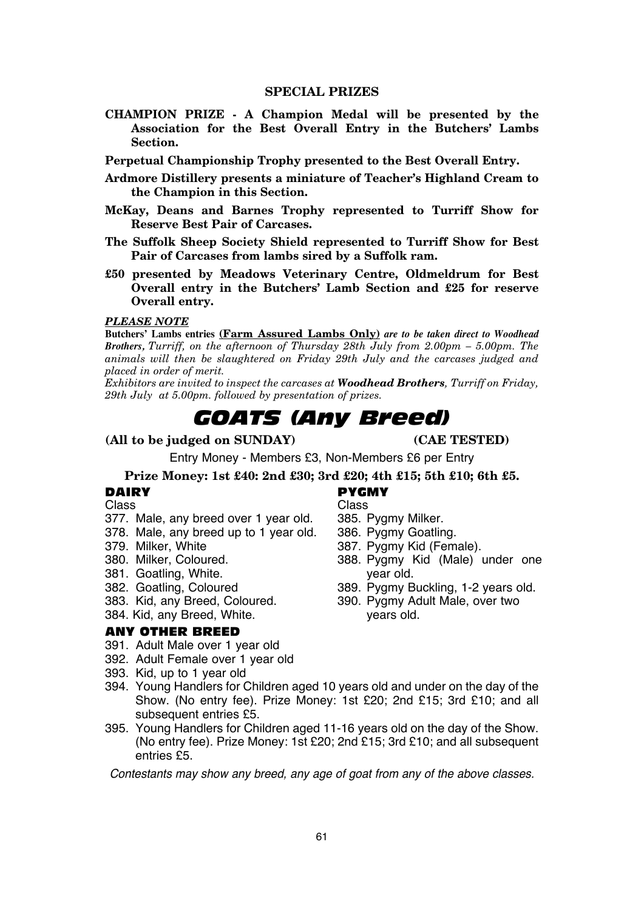**CHAMPION PRIZE - A Champion Medal will be presented by the Association for the Best Overall Entry in the Butchers' Lambs Section.**

**Perpetual Championship Trophy presented to the Best Overall Entry.**

- **Ardmore Distillery presents a miniature of Teacher's Highland Cream to the Champion in this Section.**
- **McKay, Deans and Barnes Trophy represented to Turriff Show for Reserve Best Pair of Carcases.**
- **The Suffolk Sheep Society Shield represented to Turriff Show for Best Pair of Carcases from lambs sired by a Suffolk ram.**
- **£50 presented by Meadows Veterinary Centre, Oldmeldrum for Best Overall entry in the Butchers' Lamb Section and £25 for reserve Overall entry.**

#### *PLEASE NOTE*

**Butchers' Lambs entries (Farm Assured Lambs Only)** *are to be taken direct to Woodhead Brothers, Turriff, on the afternoon of Thursday 28th July from 2.00pm – 5.00pm. The animals will then be slaughtered on Friday 29th July and the carcases judged and placed in order of merit.*

*Exhibitors are invited to inspect the carcases at Woodhead Brothers, Turriff on Friday, 29th July at 5.00pm. followed by presentation of prizes.*

## *GOATS (Any Breed)*

## **(All to be judged on SUNDAY) (CAE TESTED)**

Entry Money - Members £3, Non-Members £6 per Entry

## **Prize Money: 1st £40: 2nd £30; 3rd £20; 4th £15; 5th £10; 6th £5.**

- Class Class
- 377. Male, any breed over 1 year old. 385. Pygmy Milker. 378. Male, any breed up to 1 year old.<br>379. Milker. White
- 
- 
- 
- 381. Goatling, White.<br>382. Goatling, Coloured.
- 
- 384. Kid, any Breed, White.

#### ANY OTHER BREED

- 391. Adult Male over 1 year old
- 392. Adult Female over 1 year old
- 393. Kid, up to 1 year old
- 394. Young Handlers for Children aged 10 years old and under on the day of the Show. (No entry fee). Prize Money: 1st £20; 2nd £15; 3rd £10; and all subsequent entries £5.
- 395. Young Handlers for Children aged 11-16 years old on the day of the Show. (No entry fee). Prize Money: 1st £20; 2nd £15; 3rd £10; and all subsequent entries £5.

*Contestants may show any breed, any age of goat from any of the above classes.*

# **DAIRY PYGMY**<br>Class Class Class

- 
- 
- 
- 379. Milker, White 37. Communisty Communisty State 387. Pygmy Kid (Female).<br>380. Milker. Coloured. 388. Pyamy State (Male) 388. Pygmy Kid (Male) under one vear old.
- 382. Goatling, Coloured 389. Pygmy Buckling, 1-2 years old.<br>383. Kid, any Breed, Coloured. 390. Pygmy Adult Male, over two
	- 390. Pygmy Adult Male, over two<br>vears old.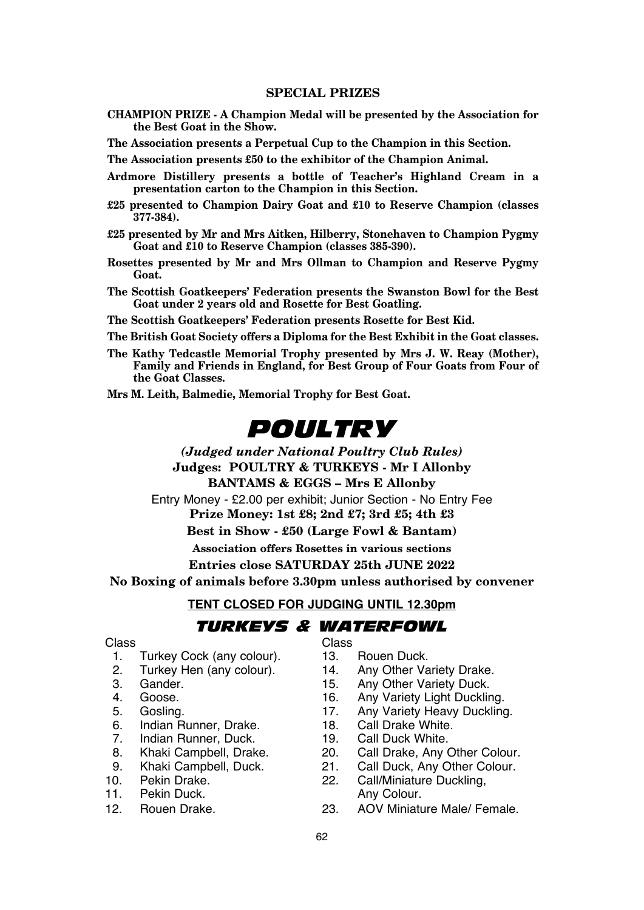**CHAMPION PRIZE - A Champion Medal will be presented by the Association for the Best Goat in the Show.**

**The Association presents a Perpetual Cup to the Champion in this Section.**

**The Association presents £50 to the exhibitor of the Champion Animal.**

- **Ardmore Distillery presents a bottle of Teacher's Highland Cream in a presentation carton to the Champion in this Section.**
- **£25 presented to Champion Dairy Goat and £10 to Reserve Champion (classes 377-384).**
- **£25 presented by Mr and Mrs Aitken, Hilberry, Stonehaven to Champion Pygmy Goat and £10 to Reserve Champion (classes 385-390).**
- **Rosettes presented by Mr and Mrs Ollman to Champion and Reserve Pygmy Goat.**
- **The Scottish Goatkeepers' Federation presents the Swanston Bowl for the Best Goat under 2 years old and Rosette for Best Goatling.**
- **The Scottish Goatkeepers' Federation presents Rosette for Best Kid.**
- **The British Goat Society offers a Diploma for the Best Exhibit in the Goat classes.**
- **The Kathy Tedcastle Memorial Trophy presented by Mrs J. W. Reay (Mother), Family and Friends in England, for Best Group of Four Goats from Four of the Goat Classes.**
- **Mrs M. Leith, Balmedie, Memorial Trophy for Best Goat.**

# *POULTRY*

*(Judged under National Poultry Club Rules)* **Judges: POULTRY & TURKEYS - Mr I Allonby BANTAMS & EGGS – Mrs E Allonby** Entry Money - £2.00 per exhibit; Junior Section - No Entry Fee **Prize Money: 1st £8; 2nd £7; 3rd £5; 4th £3 Best in Show - £50 (Large Fowl & Bantam) Association offers Rosettes in various sections Entries close SATURDAY 25th JUNE 2022 No Boxing of animals before 3.30pm unless authorised by convener**

**TENT CLOSED FOR JUDGING UNTIL 12.30pm**

## *TURKEYS & WATERFOWL*

- 1. Turkey Cock (any colour). 13. Rouen Duck.<br>2. Turkey Hen (any colour). 14. Any Other Variety Drake.
- 2. Turkey Hen (any colour). 14.<br>3. Gander 15.
- 
- 
- 
- 6. Indian Runner, Drake. 18. Call Drake White.<br>19. Call Duck 19. Call Duck White.
- 7. Indian Runner, Duck. 19.<br>8. Khaki Campbell. Drake. 20.
- 
- 
- 
- Pekin Duck
- 

Class Class

- 
- 
- 3. Gander. 15. Any Other Variety Duck.<br>4. Goose 16. Any Variety Light Ducklin
- 4. Goose. 16. Any Variety Light Duckling.
- 5. Gosling. 17. Any Variety Heavy Duckling.<br>6. Indian Runner Drake. 18. Call Drake White.
	-
	-
- 8. Khaki Campbell, Drake. 20. Call Drake, Any Other Colour.<br>9. Khaki Campbell, Duck 21. Call Duck, Any Other Colour.
- 9. Khaki Campbell, Duck. 21. Call Duck, Any Other Colour.<br>10. Pekin Drake. 22. Call/Miniature Duckling
- 10. Pekin Drake. 22. Call/Miniature Duckling,<br>11 Pekin Duck 1. Any Colour
- 12. Rouen Drake. 23. AOV Miniature Male/ Female.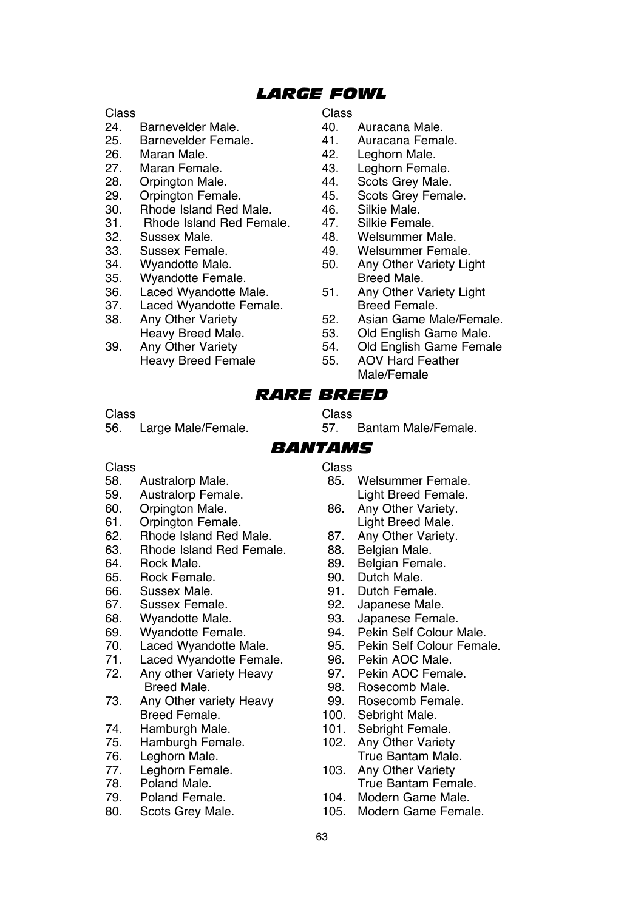## *LARGE FOWL*

## Class Class

- 24. Barnevelder Male. 40. Auracana Male.
- 25. Barnevelder Female. 41.<br>26. Maran Male. 42.
- 
- 27. Maran Female. 43. Leghorn Female.<br>
28. Orpington Male 44. Scots Grey Male
- 28. Orpington Male. 61 and 44. Scots Grey Male.<br>29. Orpington Female 645. Scots Grey Fema
- 29. Orpington Female. 45. Scots Grey Female.<br>30. Bhode Island Red Male 46. Silkie Male
- 30. Rhode Island Red Male. 46. Silkie Male.<br>31. Rhode Island Red Female. 47. Silkie Female.
- 31. Rhode Island Red Female. 47.<br>32. Sussex Male. 48.
- 
- 
- 
- 35. Wyandotte Female. Breed Male.
- 
- 37. Laced Wyandotte Female.<br>38. Anv Other Variety 62.
- Any Other Variety **52.** Asian Game Male/Female.<br>
Heavy Breed Male 53 Old Fnglish Game Male
- 39. Any Other Variety 54. Old English Game Female Heavy Breed Female

- 
- 
- 
- 26. Maran Male. 42. Leghorn Male.
	-
	-
	-
	-
	-
- 32. Sussex Male. 48. Welsummer Male. 33. Sussex Female. 49. Welsummer Female.<br>34. Wyandotte Male. 450 Any Other Variety Lic
- 34. Wyandotte Male. 50. Any Other Variety Light
- 36. Laced Wyandotte Male. 51. Any Other Variety Light<br>37. Laced Wyandotte Female Breed Female
	-
	- Heavy Breed Male. 53. Old English Game Male.
		-
		- Male/Female

## *RARE BREED*

Class Class 56. Large Male/Female. 57. Bantam Male/Female.

## *BANTAMS*

- Class Class
- 59. Australorp Female.<br>60. Orpington Male. Light Breed Breed Breed Breed Breed Breed Breed Breed Breed Breed Breed Breed Breed Breed
- 
- 
- 61. Orpington Female.<br>62. Rhode Island Red Male. 87. 62. Rhode Island Red Male. 87. Any Other Variety.<br>63. Rhode Island Red Female 88. Belgian Male
- 63. Rhode Island Red Female. 88.<br>64 Bock Male. 89
- 
- 65. Rock Female.<br>66. Sussex Male.
- 
- 
- 
- 
- 
- 71. Laced Wyandotte Female. 96. Pekin AOC Male.<br>72. Any other Variety Heavy. 97. Pekin AOC Female.
- Any other Variety Heavy<br>Breed Male Breed Male. 98. Rosecomb Male.<br>
29. Any Other variety Heavy 99. Rosecomb Female
- Any Other variety Heavy<br>Breed Female Breed Female. 100. Sebright Male.<br>
Hamburgh Male. 101 Sebright Fema
- 
- 
- 
- 
- 
- 
- 
- 
- 58. Australorp Male. 85. Welsummer Female.
- 60. Orpington Male. 86. Any Other Variety.
	-
	-
	-
	-
	-
	-
	-
	-
	-
	-
	-
	-
	-
	-
	-
- 74. Hamburgh Male. 101. Sebright Female.<br>75. Hamburgh Female. 102. Any Other Variety 75. Hamburgh Female. 102. Any Other Variety<br>76. Leghorn Male 102. True Bantam Male 76. Leghorn Male. True Bantam Male.<br>77 Leghorn Female 103 Any Other Variety
- 77. Leghorn Female. 103. Any Other Variety<br>78. Poland Male 1988. True Bantam Fem
- 78. Poland Male. True Bantam Female. 79. Poland Female. 104. Modern Game Male.<br>105. Modern Game Fema
	- 80. Scots Grey Male. 105. Modern Game Female.
- -
- 64. Rock Male. 89. Belgian Female.
	-
- 66. Sussex Male. 91. Dutch Female.
- 67. Sussex Female. 92. Japanese Male.
- 68. Wyandotte Male. 93. Japanese Female.
- 69. Wyandotte Female. 94. Pekin Self Colour Male.
- 70. Laced Wyandotte Male. 95. Pekin Self Colour Female.<br>71. Laced Wyandotte Female 96. Pekin AOC Male.
	-
	-
	-
	-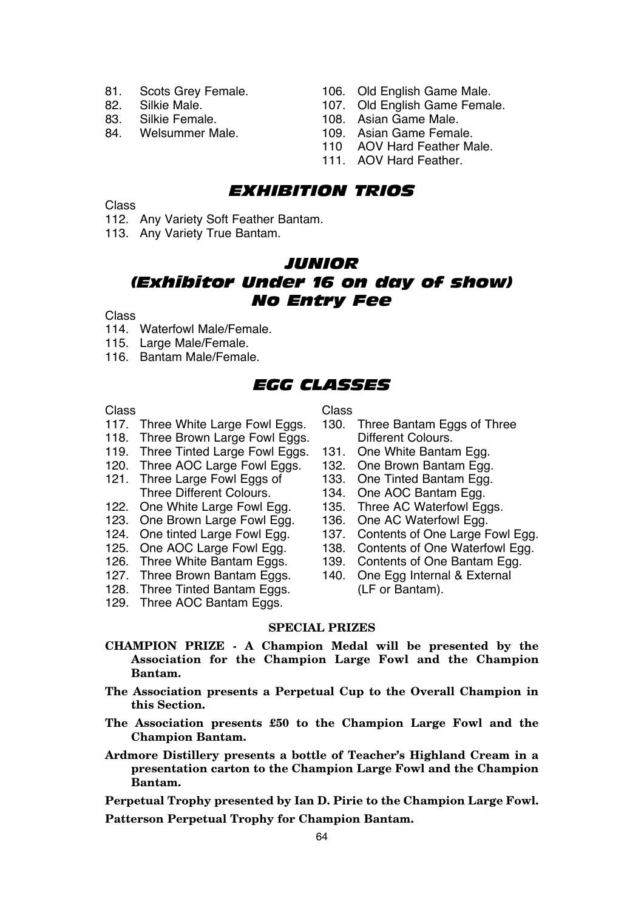- 
- 
- 
- 
- 81. Scots Grey Female. 106. Old English Game Male.<br>82. Silkie Male. 107. Old Fnglish Game Fema
- 82. Silkie Male. 107. Old English Game Female.<br>83. Silkie Female. 108. Asian Game Male
- 83. Silkie Female. 108. Asian Game Male.
	- 109. Asian Game Female.
	- 110 AOV Hard Feather Male.
	- 111. AOV Hard Feather.

## *EXHIBITION TRIOS*

Class

- 112. Any Variety Soft Feather Bantam.
- 113. Any Variety True Bantam.

## *JUNIOR (Exhibitor Under 16 on day of show) No Entry Fee*

#### Class

- 114. Waterfowl Male/Female.
- 115. Large Male/Female.
- 116. Bantam Male/Female.

## *EGG CLASSES*

- Class Class
- 118. Three Brown Large Fowl Eggs.
- 119. Three Tinted Large Fowl Eggs. 131. One White Bantam Egg.<br>120. Three AOC Large Fowl Eggs. 132. One Brown Bantam Egg.
- 120. Three AOC Large Fowl Eggs. 132. One Brown Bantam Egg.<br>121. Three Large Fowl Eggs of 133. One Tinted Bantam Egg.
- 121. Three Large Fowl Eggs of<br>Three Different Colours.
- 122. One White Large Fowl Egg. 135. Three AC Waterfowl Egg.<br>123. One Brown Large Fowl Egg. 136. One AC Waterfowl Egg.
- 123. One Brown Large Fowl Egg.<br>124. One tinted Large Fowl Egg.
- 
- 
- 
- 
- 128. Three Tinted Bantam Eggs. (LF or Bantam).
- 
- 129. Three AOC Bantam Eggs.
- 117. Three White Large Fowl Eggs. 130. Three Bantam Eggs of Three<br>118. Three Brown Large Fowl Eggs. Different Colours.
	-
	-
	-
	-
	-
	-
- 124. One tinted Large Fowl Egg. 137. Contents of One Large Fowl Egg.<br>125. One AOC Large Fowl Egg. 138. Contents of One Waterfowl Egg.
- 125. One AOC Large Fowl Egg. 138. Contents of One Waterfowl Egg.<br>126. Three White Bantam Eggs. 139. Contents of One Bantam Egg.
	- 139. Contents of One Bantam Egg.<br>140. One Egg Internal & External
- 127. Three Brown Bantam Eggs. 140. One Egg Internal & External

## **SPECIAL PRIZES**

- **CHAMPION PRIZE A Champion Medal will be presented by the Association for the Champion Large Fowl and the Champion Bantam.**
- **The Association presents a Perpetual Cup to the Overall Champion in this Section.**
- **The Association presents £50 to the Champion Large Fowl and the Champion Bantam.**
- **Ardmore Distillery presents a bottle of Teacher's Highland Cream in a presentation carton to the Champion Large Fowl and the Champion Bantam.**

**Perpetual Trophy presented by Ian D. Pirie to the Champion Large Fowl.**

**Patterson Perpetual Trophy for Champion Bantam.**

- 
- 134. One AOC Bantam Egg.<br>135. Three AC Waterfowl Eggs.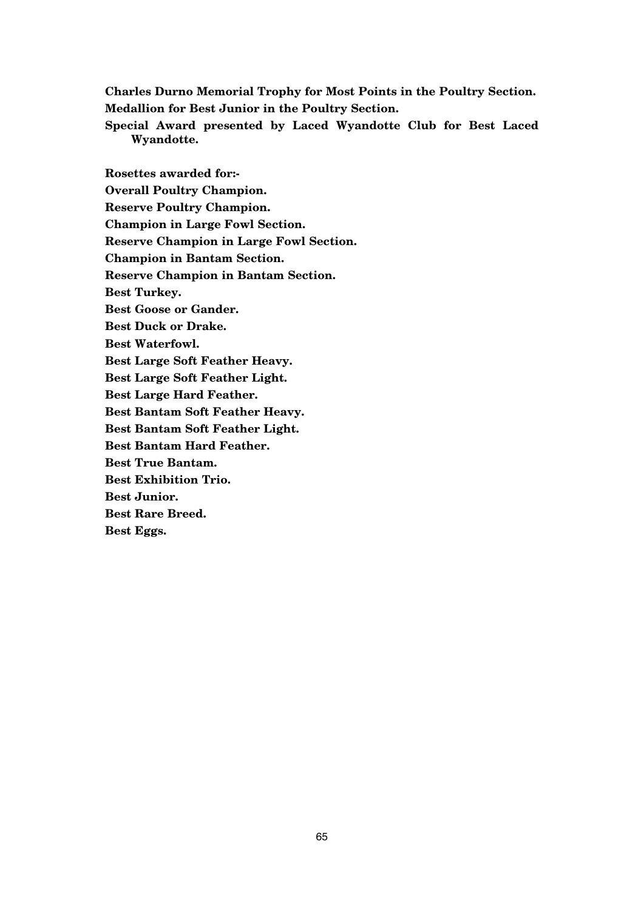**Charles Durno Memorial Trophy for Most Points in the Poultry Section. Medallion for Best Junior in the Poultry Section.**

**Special Award presented by Laced Wyandotte Club for Best Laced Wyandotte.**

**Rosettes awarded for:- Overall Poultry Champion. Reserve Poultry Champion. Champion in Large Fowl Section. Reserve Champion in Large Fowl Section. Champion in Bantam Section. Reserve Champion in Bantam Section. Best Turkey. Best Goose or Gander. Best Duck or Drake. Best Waterfowl. Best Large Soft Feather Heavy. Best Large Soft Feather Light. Best Large Hard Feather. Best Bantam Soft Feather Heavy. Best Bantam Soft Feather Light. Best Bantam Hard Feather. Best True Bantam. Best Exhibition Trio. Best Junior. Best Rare Breed. Best Eggs.**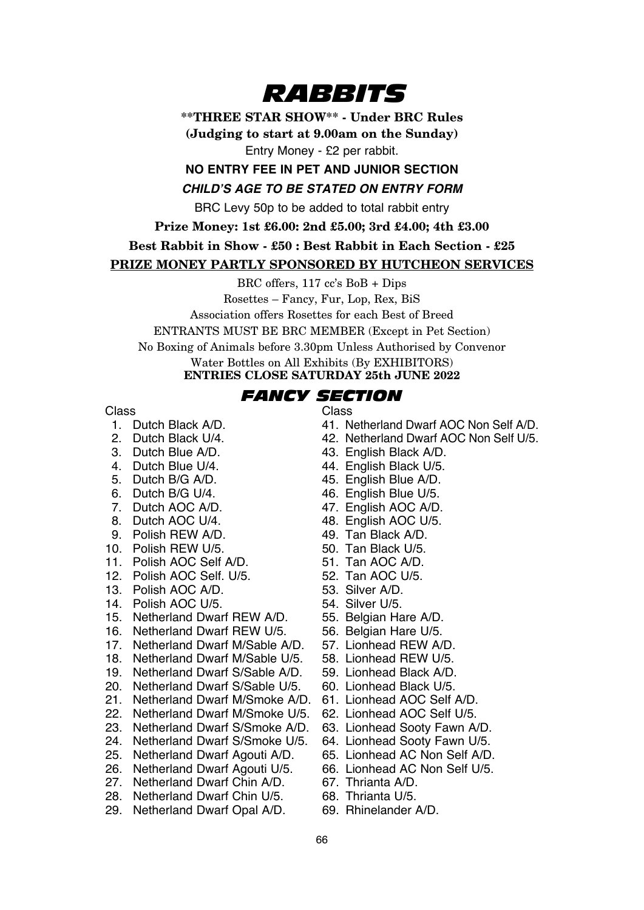# *RABBITS*

**\*\*THREE STAR SHOW\*\* - Under BRC Rules**

**(Judging to start at 9.00am on the Sunday)** Entry Money - £2 per rabbit.

## **NO ENTRY FEE IN PET AND JUNIOR SECTION CHILD'S AGE TO BE STATED ON ENTRY FORM**

BRC Levy 50p to be added to total rabbit entry

**Prize Money: 1st £6.00: 2nd £5.00; 3rd £4.00; 4th £3.00**

## **Best Rabbit in Show - £50 : Best Rabbit in Each Section - £25**

## **PRIZE MONEY PARTLY SPONSORED BY HUTCHEON SERVICES**

BRC offers, 117 cc's BoB + Dips

Rosettes – Fancy, Fur, Lop, Rex, BiS

Association offers Rosettes for each Best of Breed

ENTRANTS MUST BE BRC MEMBER (Except in Pet Section)

No Boxing of Animals before 3.30pm Unless Authorised by Convenor

Water Bottles on All Exhibits (By EXHIBITORS)

## **ENTRIES CLOSE SATURDAY 25th JUNE 2022**

# *FANCY SECTION*

- Class<br>1 Dutch Black A/D.
- 
- 
- 
- 
- 
- 
- 
- 9. Polish REW A/D. 49. Tan Black A/D.<br>1. Polish REW U/5. 60. Tan Black U/5.
- 10. Polish REW U/5. 50. Tan Black U/5.<br>11 Polish AOC Self A/D 51. Tan AOC A/D
- 11. Polish AOC Self A/D. 51. Tan AOC A/D.<br>12. Polish AOC Self. U/5. 52. Tan AOC U/5.
- 12. Polish AOC Self. U/5. 52. Tan AOC U<br>13. Polish AOC A/D 53. Silver A/D
- 13. Polish AOC A/D. 53. Silver A/D.<br>14. Polish AOC U/5. 54 Silver U/5
- 
- 14. Polish AOC U/5. 54. Silver U/5.<br>15. Netherland Dwarf REW A/D. 55. Belgian Hare A/D.
- 15. Netherland Dwarf REW A/D. 55. Belgian Hare A/D.
- 16. Netherland Dwarf REW U/5. 56. Belgian Hare U/5.<br>17. Netherland Dwarf M/Sable A/D 57. Lionhead REW A/D
- 17. Netherland Dwarf M/Sable A/D. 57. Lionhead REW A/D.<br>18. Netherland Dwarf M/Sable U/5. 58. Lionhead REW U/5.
- 18. Netherland Dwarf M/Sable U/5. 58. Lionhead REW U/5.<br>19. Netherland Dwarf S/Sable A/D 59. Lionhead Black A/D
- 19. Netherland Dwarf S/Sable A/D. 59. Lionhead Black A/D. 20. Netherland Dwarf S/Sable U/5.
- 
- 21. Netherland Dwarf M/Smoke A/D. 61. Lionhead AOC Self A/D. 22. Netherland Dwarf M/Smoke U/5. 62. Lionhead AOC Self U/5.
- 22. Netherland Dwarf M/Smoke U/5. 62. Lionhead AOC Self U/5.<br>23. Netherland Dwarf S/Smoke A/D. 63. Lionhead Sooty Fawn A/D.
- 23. Netherland Dwarf S/Smoke A/D. 63. Lionhead Sooty Fawn A/D.<br>24. Netherland Dwarf S/Smoke U/5. 64. Lionhead Sooty Fawn U/5.
- 
- 
- 26. Netherland Dwarf Agouti U/5. 66. Lionhead AC<br>27. Netherland Dwarf Chin A/D 67. Thrianta A/D
- 27. Netherland Dwarf Chin A/D. 67. Thrianta A/D.<br>28. Netherland Dwarf Chin U/5. 68. Thrianta U/5. 28. Netherland Dwarf Chin U/5. 68. Thrianta U/5.<br>29. Netherland Dwarf Onal A/D 69. Bhinelander A/D
- 29. Netherland Dwarf Opal A/D.

- 1. Dutch Black A/D. 41. Netherland Dwarf AOC Non Self A/D.<br>2. Dutch Black U/4. 42. Netherland Dwarf AOC Non Self U/5.
- 2. Dutch Black U/4. 42. Netherland Dwarf AOC Non Self U/5.<br>3. Dutch Blue A/D 43. Fnolish Black A/D
- 3. Dutch Blue A/D. 43. English Black A/D.<br>4. Dutch Blue U/4. 44. English Black U/5.
- 4. Dutch Blue U/4. 44. English Black U/5.<br>5. Dutch B/G A/D 45. Finalish Blue A/D
	-
- 5. Dutch B/G A/D. 45. English Blue A/D.<br>6. Dutch B/G U/4. 46. English Blue U/5.
- 6. Dutch B/G U/4. 46. English Blue U/5.<br>
7. Dutch AOC A/D 47. English AOC A/D
- 7. Dutch AOC A/D. 47. English AOC A/D.<br>8. Dutch AOC U/4. 48. English AOC U/5.
	- 48. English AOC U/5.<br>49. Tan Black A/D
	-
	-
	-
	-
	-
	-
	-
	-
	-
	-
	-
	-
	-
	-
	-
- 24. Netherland Dwarf S/Smoke U/5. 64. Lionhead Sooty Fawn U/5.
- 25. Netherland Dwarf Agouti A/D. 65. Lionhead AC Non Self A/D.
	-
	-
	-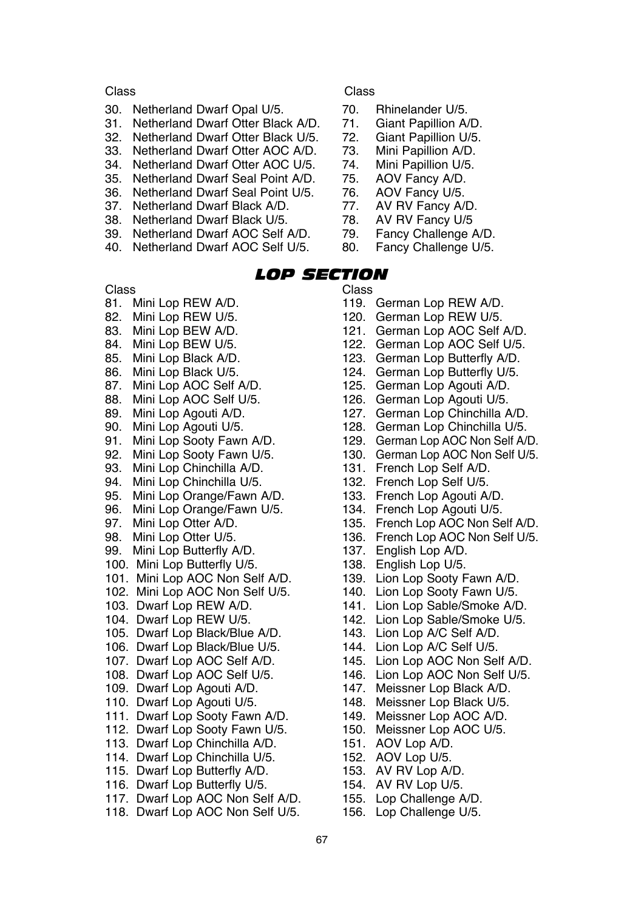- 30. Netherland Dwarf Opal U/5. 70. Rhinelander U/5.<br>31 Netherland Dwarf Otter Black A/D 71 Giant Papillion A/D
- 31. Netherland Dwarf Otter Black A/D. 71. Giant Papillion A/D.
- 32. Netherland Dwarf Otter Black U/5. 72. Giant Papillion U/5.
- 33. Netherland Dwarf Otter AOC A/D. 73. Mini Papillion A/D.<br>34. Netherland Dwarf Otter AOC U/5. 74. Mini Papillion U/5.
- 
- 34. Netherland Dwarf Otter AOC U/5. 74. Mini Papillion U/S.<br>35. Netherland Dwarf Seal Point A/D. 75. AOV Fancy A/D. 35. Netherland Dwarf Seal Point A/D. 75. AOV Fancy A/D.
- 36. Netherland Dwarf Seal Point U/5. 76. AOV Fancy U/5.<br>37. Netherland Dwarf Black A/D. 77. AV RV Fancy A/D.
- 37. Netherland Dwarf Black A/D. 77. AV RV Fancy A/D<br>38. Netherland Dwarf Black U/5. 78. AV RV Fancy U/5
- 
- 38. Netherland Dwarf Black U/5. 78. AV RV Fancy U/5<br>39. Netherland Dwarf AOC Self A/D. 79. Fancy Challenge A/D.
- 39. Netherland Dwarf AOC Self A/D. 79. Fancy Challenge A/D. 40. Netherland Dwarf AOC Self U/5.

Class Class

- 
- 
- -
- 
- 
- 
- 
- 
- 
- 

# *LOP SECTION*

#### Class Class

- 
- 
- 
- 
- 
- 
- 
- 
- 
- 
- 
- 
- 93. Mini Lop Chinchilla A/D. 131. French Lop Self A/D.<br>94. Mini Lop Chinchilla U/5. 132. French Lop Self U/5.
- 
- 94. Mini Lop Chinchilla U/5. 132. French Lop Self U/5.<br>95. Mini Lop Orange/Fawn A/D. 133. French Lop Agouti A/D.
- 95. Mini Lop Orange/Fawn A/D.<br>96 Mini Lop Orange/Fawn U/5 96. Mini Lop Orange/Fawn U/5. 134. French Lop Agouti U/5.<br>97. Mini Lop Otter A/D. 135. French Lop AOC Non Se
- 
- 
- 
- 99. Mini Lop Butterfly A/D.<br>100. Mini Lop Butterfly U/5.
- 100. Mini Lop Butterfly U/5. 138. English Lop U/5.<br>101. Mini Lop AOC Non Self A/D 139. Lion Lop Sooty F
- 101. Mini Lop AOC Non Self A/D. 139. Lion Lop Sooty Fawn A/D.<br>102. Mini Lop AOC Non Self U/5 140. Lion Lop Sooty Fawn U/5
- 
- 
- 
- 105. Dwarf Lop Black/Blue A/D. 143. Lion Lop A/C Self A/D.<br>106. Dwarf Lop Black/Blue U/5. 144. Lion Lop A/C Self U/5.
- 106. Dwarf Lop Black/Blue U/5.<br>107. Dwarf Lop AOC Self A/D
- 
- 
- 
- 111. Dwarf Lop Sooty Fawn A/D. 149. Meissner Lop AOC A/D.<br>112. Dwarf Lop Sooty Fawn U/5. 150. Meissner Lop AOC U/5.
- 
- 112. Dwarf Lop Sooty Fawn U/5. 150. Meissner Lop 113. Dwarf Lop Chinchilla A/D. 151. AOV Lop A/D.
- 113. Dwarf Lop Chinchilla A/D. 151. AOV Lop A/D.<br>114. Dwarf Lop Chinchilla U/5. 152. AOV Lop U/5.
- 114. Dwarf Lop Chinchilla U/5. 152. AOV Lop U/5.<br>115. Dwarf Lop Butterfly A/D. 153. AV RV Lop A/D.
- 115. Dwarf Lop Butterfly A/D. 153. AV RV Lop A/D.<br>116. Dwarf Lop Butterfly U/5 154. AV RV Lop U/5
- 116. Dwarf Lop Butterfly U/5. 154. AV RV Lop U/5.<br>117. Dwarf Lop AOC Non Self A/D. 155. Lop Challenge A/D.
- 117. Dwarf Lop AOC Non Self A/D. 155. Lop Challenge A/D.<br>118. Dwarf Lop AOC Non Self U/5. 156. Lop Challenge U/5. 118. Dwarf Lop AOC Non Self U/5.
- 81. Mini Lop REW A/D.<br>82. Mini Lop REW U/5. 120. German Lop REW U/5.
- 82. Mini Lop REW U/5.<br>83. Mini Lop BEW A/D. 121. German Lop AOC Self
	-
- 83. Mini Lop BEW A/D. 121. German Lop AOC Self A/D.<br>84. Mini Lop BEW U/5. 122. German Lop AOC Self U/5. 84. Mini Lop BEW U/5. 122. German Lop AOC Self U/5.<br>85. Mini Lop Black A/D. 123. German Lop Butterfly A/D.
- 85. Mini Lop Black A/D. 123. German Lop Butterfly A/D.<br>86. Mini Lop Black U/5. 124. German Lop Butterfly U/5.
- 86. Mini Lop Black U/5. 124. German Lop Butterfly U/5.
- 87. Mini Lop AOC Self A/D. 125. German Lop Agouti A/D.
- 88. Mini Lop AOC Self U/5. 126. German Lop Agouti U/5.
- 89. Mini Lop Agouti A/D. 127. German Lop Chinchilla A/D.
	-
- 90. Mini Lop Agouti U/5. 128. German Lop Chinchilla U/5.<br>91. Mini Lop Sooty Fawn A/D. 129. German Lop AOC Non Self A/ 91. Mini Lop Sooty Fawn A/D. 129. German Lop AOC Non Self A/D.<br>92. Mini Lop Sooty Fawn U/5. 130. German Lop AOC Non Self U/5.
	- 130. German Lop AOC Non Self U/5.<br>131. French Lop Self A/D.
	-
	-
	-
	-
- 97. Mini Lop Otter A/D. 135. French Lop AOC Non Self A/D.<br>98. Mini Lop Otter U/5. 136. French Lop AOC Non Self U/5.
	- 136. French Lop AOC Non Self U/5.<br>137. English Lop A/D.
	-
	-
	-
- 102. Mini Lop AOC Non Self U/5. 140. Lion Lop Sooty Fawn U/5.<br>103. Dwarf Lop REW A/D. 141. Lion Lop Sable/Smoke A/I
	-
- 103. Dwarf Lop REW A/D.<br>104. Dwarf Lop REW U/5. 102. Lion Lop Sable/Smoke U/5. 142. Lion Lop Sable/Smoke U/5.<br>143. Lion Lop A/C Self A/D.
	-
	-
- 107. Dwarf Lop AOC Self A/D. 145. Lion Lop AOC Non Self A/D.<br>108. Dwarf Lop AOC Self U/5 146. Lion Lop AOC Non Self U/5
- 108. Dwarf Lop AOC Self U/5.<br>109 Dwarf Lop Agouti A/D 147 Meissner Lop Black A/D
- 109. Dwarf Lop Agouti A/D. 147. Meissner Lop Black A/D.<br>110. Dwarf Lop Agouti U/5. 148. Meissner Lop Black U/5.
	- 148. Meissner Lop Black U/5.<br>149. Meissner Lop AOC A/D.
	-
	-
	-
	-
	-
	-

67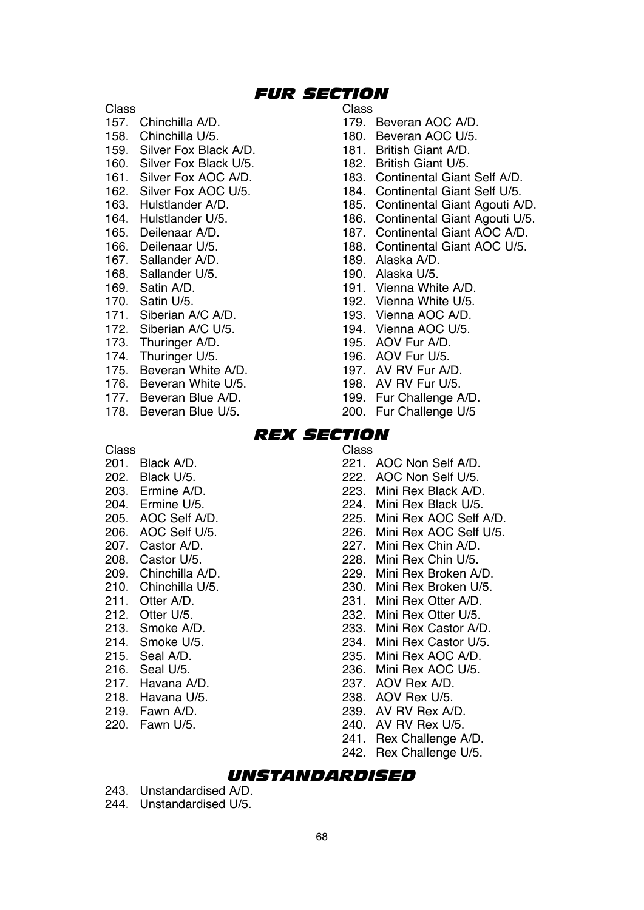## *FUR SECTION*

Class Class

- 
- 158. Chinchilla U/5. 180. Beveran AOC U/5.
- 159. Silver Fox Black A/D. 181. British Giant A/D.
- 160. Silver Fox Black U/5. 182. British Giant U/5.
- 161. Silver Fox AOC A/D. 183. Continental Giant Self A/D.
- 162. Silver Fox AOC U/5. 184. Continental Giant Self U/5.
- 
- 
- 
- 
- 167. Sallander A/D. 189. Alaska A/D.
- 168. Sallander U/5. 190. Alaska U/5.
- 
- 
- 
- 
- 173. Thuringer A/D. 195. AOV Fur A/D.
- 174. Thuringer U/5. 196. AOV Fur U/5.
- 175. Beveran White A/D. 197. AV RV Fur A/D.
- 176. Beveran White U/5. 198. AV RV Fur U/5.
- 
- 
- 
- 157. Chinchilla A/D. 179. Beveran AOC A/D.<br>158. Chinchilla U/5. 180. Beveran AOC U/5.
	-
	-
	-
	-
	-
- 163. Hulstlander A/D. 185. Continental Giant Agouti A/D.
- 164. Hulstlander U/5. 186. Continental Giant Agouti U/5.
- 165. Deilenaar A/D. 187. Continental Giant AOC A/D.
- 166. Deilenaar U/5. 188. Continental Giant AOC U/5.
	-
	-
- 169. Satin A/D. 191. Vienna White A/D.
- 170. Satin U/5. 192. Vienna White U/5.
- 171. Siberian A/C A/D. 193. Vienna AOC A/D.
- 172. Siberian A/C U/5. 194. Vienna AOC U/5.
	-
	-
	-
	-
- 177. Beveran Blue A/D. 199. Fur Challenge A/D.
- 178. Beveran Blue U/5. 200. Fur Challenge U/5

## *REX SECTION*

### Class Class

- 
- 
- 
- 
- 
- 
- 
- 
- 
- 
- 
- 
- 
- 
- 
- 
- 
- 
- 
- 
- 201. Black A/D. 221. AOC Non Self A/D.<br>202. Black U/5. 202. AOC Non Self U/5.
- 202. Black U/5. 222. AOC Non Self U/5.
- 203. Ermine A/D. 223. Mini Rex Black A/D.<br>204. Ermine U/5. 204. Mini Rex Black U/5.
- 204. Ermine U/5.<br>
205. AOC Self A/D. 205. Mini Rex AOC Self.
- 205. AOC Self A/D. 225. Mini Rex AOC Self A/D.
- 206. AOC Self U/5. 226. Mini Rex AOC Self U/5.
- 207. Castor A/D. 227. Mini Rex Chin A/D.
- 208. Castor U/5. 228. Mini Rex Chin U/5.
- 209. Chinchilla A/D. 229. Mini Rex Broken A/D.
	-
	-
	-
- 213. Smoke A/D. 233. Mini Rex Castor A/D.
- 214. Smoke U/5. 234. Mini Rex Castor U/5.
- 215. Seal A/D. 235. Mini Rex AOC A/D.<br>216. Seal U/5. 236. Mini Rex AOC U/5.
- 216. Seal U/5. 236. Mini Rex AOC U/5.<br>217. Havana A/D. 237. AOV Rex A/D.
- 217. Havana A/D. 237. AOV Rex A/D.<br>218. Havana U/5. 238. AOV Rex U/5.
- 218. Havana U/5. 238. AOV Rex U/5.
- 219. Fawn A/D. 239. AV RV Rex A/D.<br>220. Fawn U/5. 220. 240. AV RV Rex U/5.
	- 240. AV RV Rex U/5.
	- 241. Rex Challenge A/D.
	- 242. Rex Challenge U/5.

## *UNSTANDARDISED*

- 243. Unstandardised A/D.
- 244. Unstandardised U/5.
- 210. Chinchilla U/5.<br>
211. Otter A/D. 211. Otter A/D. 211. Otter A/D. 231. Mini Rex Otter A/D.<br>212. Otter U/5. 232. Mini Rex Otter U/5.
- 212. Otter U/5. 232. Mini Rex Otter U/5.<br>213. Smoke A/D 233. Mini Rex Castor A/I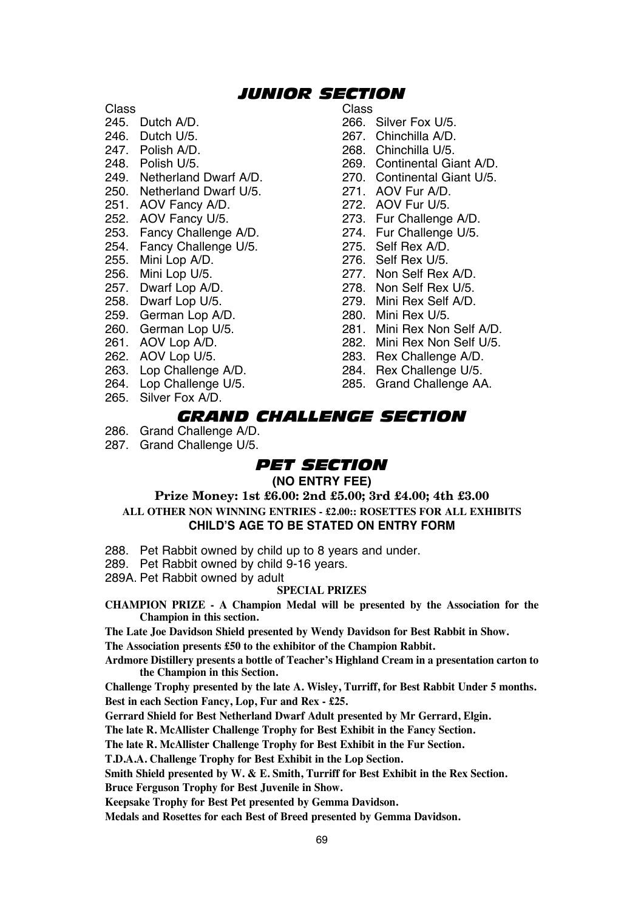## *JUNIOR SECTION*

Class Class

- 
- 
- 
- 
- 249. Netherland Dwarf A/D. 270. Continental Giant Politics Area and U/5.<br>250. Netherland Dwarf U/5. 271. AOV Fur A/D.
- 250. Netherland Dwarf U/5. 271. AOV Fur A/D.<br>251. AOV Fancy A/D. 272. AOV Fur U/5.
- 251. AOV Fancy A/D.<br>252. AOV Fancy U/5.
- 
- 253. Fancy Challenge A/D. 274. Fur Challenge 254. Fur Challenge 254.
- 254. Fancy Challenge U/5.<br>255. Mini Lop A/D.
- 
- 
- 
- 
- 259. German Lop A/D.<br>260. German Lop U/5.
- 
- 
- 
- 
- 263. Lop Challenge A/D. 284. Rex Challenge U/5.
- 265. Silver Fox A/D.
- 
- 245. Dutch A/D. 266. Silver Fox U/5.
	-
- 246. Dutch U/5. 267. Chinchilla A/D. 247. Polish A/D. 268. Chinchilla U/5.
	-
	- 269. Continental Giant A/D.<br>270. Continental Giant U/5.
	-
	-
	-
	- 273. Fur Challenge A/D.<br>274. Fur Challenge U/5.
		-
		-
- 255. Mini Lop A/D. 276. Self Rex U/5.<br>256. Mini Lop U/5. 277. Non Self Rex 256. Mini Lop U/5. 277. Non Self Rex A/D.
	-
- 257. Dwarf Lop A/D. 278. Non Self Rex U/5. 279. Mini Rex Self A/D.<br>280. Mini Rex U/5.
	-
	-
- 260. German Lop U/5. 281. Mini Rex Non Self A/D.
- 261. AOV Lop A/D. 262. Mini Rex Non Self U/5.<br>262. AOV Lop U/5. 263. Rex Challenge A/D.
- 262. AOV Lop U/5. 263. Rex Challenge A/D.<br>263. Lop Challenge A/D. 284. Rex Challenge U/5.
	- 285. Grand Challenge AA.
	- *GRAND CHALLENGE SECTION*
- 286. Grand Challenge A/D.
- 287. Grand Challenge U/5.

## *PET SECTION*

## **(NO ENTRY FEE)**

## **Prize Money: 1st £6.00: 2nd £5.00; 3rd £4.00; 4th £3.00 ALL OTHER NON WINNING ENTRIES - £2.00:: ROSETTES FOR ALL EXHIBITS CHILD'S AGE TO BE STATED ON ENTRY FORM**

- 288. Pet Rabbit owned by child up to 8 years and under.
- 289. Pet Rabbit owned by child 9-16 years.
- 289A. Pet Rabbit owned by adult

## **SPECIAL PRIZES**

- **CHAMPION PRIZE A Champion Medal will be presented by the Association for the Champion in this section.**
- **The Late Joe Davidson Shield presented by Wendy Davidson for Best Rabbit in Show.**

**The Association presents £50 to the exhibitor of the Champion Rabbit.**

**Ardmore Distillery presents a bottle of Teacher's Highland Cream in a presentation carton to the Champion in this Section.**

**Challenge Trophy presented by the late A. Wisley, Turriff, for Best Rabbit Under 5 months. Best in each Section Fancy, Lop, Fur and Rex - £25.**

**Gerrard Shield for Best Netherland Dwarf Adult presented by Mr Gerrard, Elgin.**

**The late R. McAllister Challenge Trophy for Best Exhibit in the Fancy Section.**

**The late R. McAllister Challenge Trophy for Best Exhibit in the Fur Section.**

**T.D.A.A. Challenge Trophy for Best Exhibit in the Lop Section.**

**Smith Shield presented by W. & E. Smith, Turriff for Best Exhibit in the Rex Section.**

**Bruce Ferguson Trophy for Best Juvenile in Show.**

**Keepsake Trophy for Best Pet presented by Gemma Davidson.**

**Medals and Rosettes for each Best of Breed presented by Gemma Davidson.**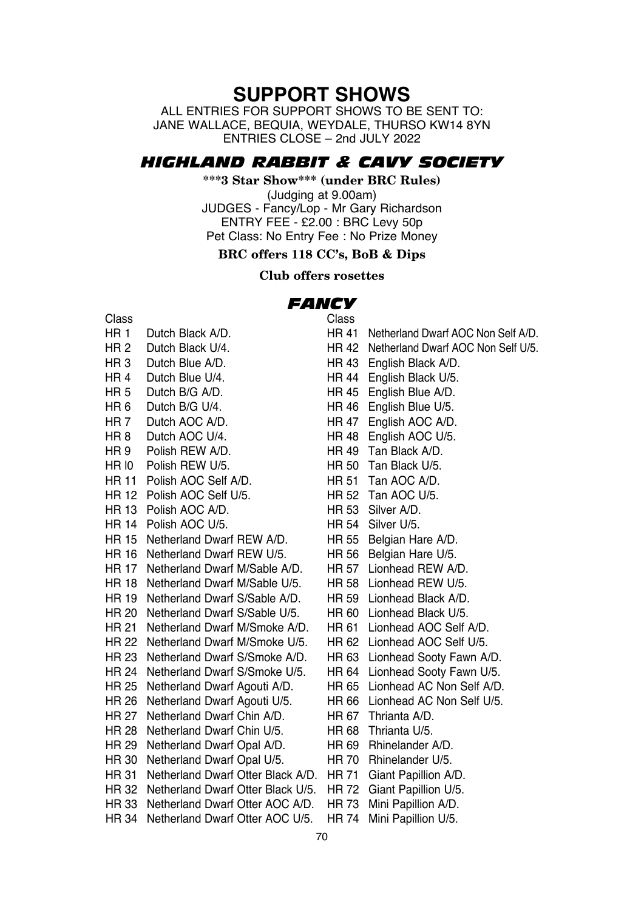## **SUPPORT SHOWS**

ALL ENTRIES FOR SUPPORT SHOWS TO BE SENT TO: JANE WALLACE, BEQUIA, WEYDALE, THURSO KW14 8YN ENTRIES CLOSE – 2nd JULY 2022

## *HIGHLAND RABBIT & CAVY SOCIETY*

**\*\*\*3 Star Show\*\*\* (under BRC Rules)**

(Judging at 9.00am) JUDGES - Fancy/Lop - Mr Gary Richardson ENTRY FEE - £2.00 : BRC Levy 50p Pet Class: No Entry Fee : No Prize Money

## **BRC offers 118 CC's, BoB & Dips**

## **Club offers rosettes**

# *FANCY*

Class Class HR 1 Dutch Black A/D. HR 41 Netherland Dwarf AOC Non Self A/D.<br>HR 2 Dutch Black U/4 HR 42 Netherland Dwarf AOC Non Self U/5 HR 2 Dutch Black U/4. HR 42 Netherland Dwarf AOC Non Self U/5.<br>HR 3 Dutch Blue A/D HR 3 Dutch Blue A/D.<br>
HR 4 Dutch Blue U/4 HR 44 English Black U/5 HR 4 Dutch Blue U/4.<br>
HR 5 Dutch B/G A/D<br>
HR 45 Fnglish Blue A/D HR 5 Dutch B/G A/D.<br>
HR 6 Dutch B/G U/4 HR 46 English Blue U/5 HR 6 Dutch B/G U/4. HR 46 English Blue U/5. HR 7 Dutch AOC A/D. HR 47 English AOC A/D. HR 9 Polish REW A/D. HR 49 Tan Black A/D.<br>HR IO Polish REW U/5 HR 50 Tan Black U/5 HR l0 Polish REW U/5. HR 50 Tan Black U/5. HR 11 Polish AOC Self A/D.<br>HR 12 Polish AOC Self U/5 HR 52 Tan AOC U/5 HR 12 Polish AOC Self U/5. HR 52 Tan AOC U<br>HR 13 Polish AOC A/D HR 53 Silver A/D HR 13 Polish AOC A/D. HR 53 Silver A/D.<br>HR 14 Polish AOC U/5 HR 54 Silver U/5 HR 14 Polish AOC U/5.<br>HR 15 Netherland Dwarf REW A/D. HR 55 Belgian Hare A/D. HR 15 Netherland Dwarf REW A/D. HR 55 Belgian Hare A/D.<br>HR 16 Netherland Dwarf REW U/5. HR 56 Belgian Hare U/5. HR 16 Netherland Dwarf REW U/5. HR 56 Belgian Hare U/5.<br>HR 17 Netherland Dwarf M/Sable A/D HR 57 Lionhead REW A/D HR 17 Netherland Dwarf M/Sable A/D. HR 57 Lionhead REW A/D. HR 18 Netherland Dwarf M/Sable U/5. HR 58 Lionhead REW U/5. HR 19 Netherland Dwarf S/Sable A/D. HR 59 Lionhead Black A/D. HR 20 Netherland Dwarf S/Sable U/5. HR 60 Lionhead Black U/5.<br>HR 21 Netherland Dwarf M/Smoke A/D HR 61 Lionhead AOC Self A/D HR 21 Netherland Dwarf M/Smoke A/D. HR 61 Lionhead AOC Self A/D.<br>HR 22 Netherland Dwarf M/Smoke U/5 HR 62 Lionhead AOC Self U/5 HR 22 Netherland Dwarf M/Smoke U/5.<br>HR 23 Netherland Dwarf S/Smoke A/D HR 24 Netherland Dwarf S/Smoke U/5. HR 64 Lionhead Sooty Fawn U/5.<br>HR 25 Netherland Dwarf Agouti A/D. HR 65 Lionhead AC Non Self A/D. HR 25 Netherland Dwarf Agouti A/D. HR 26 Netherland Dwarf Agouti U/5. HR 66 Lionhead AC Non Self U/5.<br>HR 97 Netherland Dwarf Chin A/D. HR 67 Thrianta A/D. HR 27 Netherland Dwarf Chin A/D. HR 67 Thrianta A/D. HR 28 Netherland Dwarf Chin U/5. HR 68 Thrianta U/5.<br>HR 29 Netherland Dwarf Opal A/D HR 69 Rhinelander A/D HR 29 Netherland Dwarf Opal A/D. HR 69 Rhinelander A/D.<br>HR 30 Netherland Dwarf Opal U/5 HR 70 Rhinelander U/5 HR 30 Netherland Dwarf Opal U/5. HR 31 Netherland Dwarf Otter Black A/D. HR 71 Giant Papillion A/D. HR 32 Netherland Dwarf Otter Black U/5. HR 72 Giant Papillion U/5. HR 33 Netherland Dwarf Otter AOC A/D. HR 73 Mini Papillion A/D. HR 34 Netherland Dwarf Otter AOC U/5. HR 74 Mini Papillion U/5.

HR 48 English AOC U/5.<br>HR 49 Tan Black A/D. HR 63 Lionhead Sooty Fawn A/D.<br>HR 64 Lionhead Sooty Fawn U/5.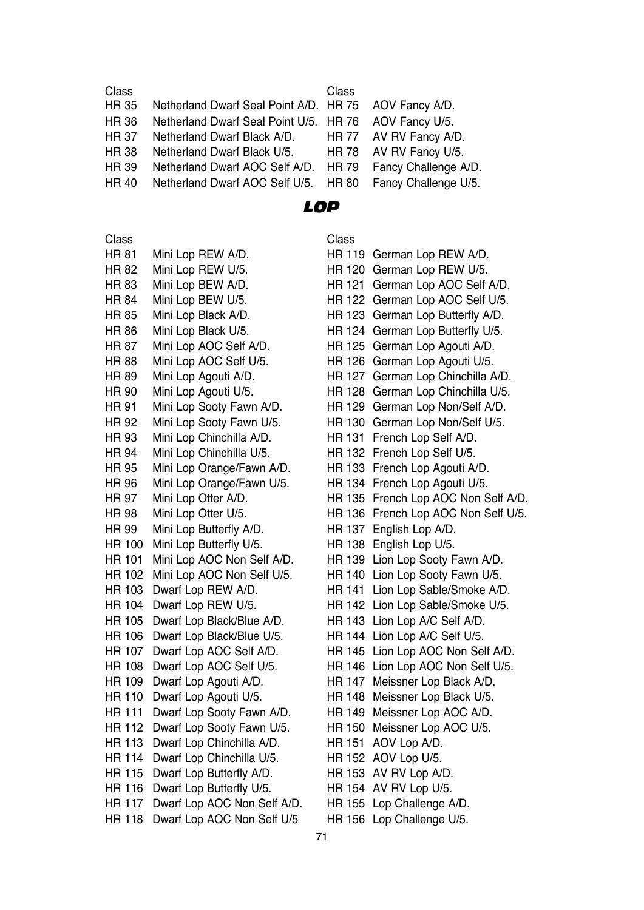| Class       |                                                       | Class |                            |
|-------------|-------------------------------------------------------|-------|----------------------------|
| <b>HR35</b> | Netherland Dwarf Seal Point A/D. HR 75 AOV Fancy A/D. |       |                            |
| HR 36       | Netherland Dwarf Seal Point U/5. HR 76 AOV Fancy U/5. |       |                            |
| HR 37       | Netherland Dwarf Black A/D.                           |       | HR 77 AV RV Fancy A/D.     |
| <b>HR38</b> | Netherland Dwarf Black U/5.                           | HR 78 | AV RV Fancy U/5.           |
| HR 39       | Netherland Dwarf AOC Self A/D.                        |       | HR 79 Fancy Challenge A/D. |
| HR 40       | Netherland Dwarf AOC Self U/5. HR 80                  |       | Fancy Challenge U/5.       |
|             |                                                       |       |                            |

## *LOP*

| Class         |                             | Class          |
|---------------|-----------------------------|----------------|
| <b>HR 81</b>  | Mini Lop REW A/D.           | $HR 1^{\circ}$ |
| HR 82         | Mini Lop REW U/5.           | HR 12          |
| <b>HR 83</b>  | Mini Lop BEW A/D.           | HR 12          |
| <b>HR 84</b>  | Mini Lop BEW U/5.           | HR 12          |
| HR 85         | Mini Lop Black A/D.         | HR 12          |
| <b>HR 86</b>  | Mini Lop Black U/5.         | HR 12          |
| <b>HR 87</b>  | Mini Lop AOC Self A/D.      | HR 12          |
| <b>HR 88</b>  | Mini Lop AOC Self U/5.      | HR 12          |
| <b>HR 89</b>  | Mini Lop Agouti A/D.        | HR 12          |
| <b>HR 90</b>  | Mini Lop Agouti U/5.        | HR 12          |
| <b>HR 91</b>  | Mini Lop Sooty Fawn A/D.    | HR 12          |
| <b>HR 92</b>  | Mini Lop Sooty Fawn U/5.    | HR 13          |
| HR 93         | Mini Lop Chinchilla A/D.    | HR 13          |
| HR 94         | Mini Lop Chinchilla U/5.    | HR 13          |
| HR 95         | Mini Lop Orange/Fawn A/D.   | HR 13          |
| HR 96         | Mini Lop Orange/Fawn U/5.   | HR 1:          |
| <b>HR 97</b>  | Mini Lop Otter A/D.         | HR 13          |
| <b>HR 98</b>  | Mini Lop Otter U/5.         | HR 13          |
| <b>HR 99</b>  | Mini Lop Butterfly A/D.     | HR 13          |
| HR 100        | Mini Lop Butterfly U/5.     | HR 13          |
| <b>HR 101</b> | Mini Lop AOC Non Self A/D.  | HR 13          |
| <b>HR 102</b> | Mini Lop AOC Non Self U/5.  | HR 14          |
| HR 103        | Dwarf Lop REW A/D.          | HR 14          |
| <b>HR 104</b> | Dwarf Lop REW U/5.          | HR 14          |
| <b>HR 105</b> | Dwarf Lop Black/Blue A/D.   | HR 14          |
| <b>HR 106</b> | Dwarf Lop Black/Blue U/5.   | HR 14          |
| <b>HR 107</b> | Dwarf Lop AOC Self A/D.     | HR 14          |
| HR 108        | Dwarf Lop AOC Self U/5.     | HR 14          |
| HR 109        | Dwarf Lop Agouti A/D.       | HR 14          |
| <b>HR 110</b> | Dwarf Lop Agouti U/5.       | HR 14          |
| <b>HR 111</b> | Dwarf Lop Sooty Fawn A/D.   | HR 14          |
| HR 112        | Dwarf Lop Sooty Fawn U/5.   | HR 1           |
| <b>HR 113</b> | Dwarf Lop Chinchilla A/D.   | HR 15          |
| <b>HR 114</b> | Dwarf Lop Chinchilla U/5.   | HR 15          |
| <b>HR 115</b> | Dwarf Lop Butterfly A/D.    | HR 15          |
| HR 116        | Dwarf Lop Butterfly U/5.    | HR 1!          |
| <b>HR 117</b> | Dwarf Lop AOC Non Self A/D. | HR 1!          |
| HR 118        | Dwarf Lop AOC Non Self U/5  | HR 15          |

HR 119 German Lop REW A/D. HR 120 German Lop REW U/5. HR 121 German Lop AOC Self A/D. HR 122 German Lop AOC Self U/5. HR 123 German Lop Butterfly A/D. HR 124 German Lop Butterfly U/5. HR 125 German Lop Agouti A/D. HR 126 German Lop Agouti U/5. HR 127 German Lop Chinchilla A/D. HR 128 German Lop Chinchilla U/5. HR 129 German Lop Non/Self A/D. HR 130 German Lop Non/Self U/5. HR 131 French Lop Self A/D. HR 132 French Lop Self U/5. HR 133 French Lop Agouti A/D. HR 134 French Lop Agouti U/5. HR 135 French Lop AOC Non Self A/D. HR 136 French Lop AOC Non Self U/5. HR 137 English Lop A/D. HR 138 English Lop U/5. HR 139 Lion Lop Sooty Fawn A/D. HR 140 Lion Lop Sooty Fawn U/5. HR 141 Lion Lop Sable/Smoke A/D. HR 142 Lion Lop Sable/Smoke U/5. HR 143 Lion Lop A/C Self A/D. HR 144 Lion Lop A/C Self U/5. HR 145 Lion Lop AOC Non Self A/D. HR 146 Lion Lop AOC Non Self U/5. HR 147 Meissner Lop Black A/D. HR 148 Meissner Lop Black U/5. HR 149 Meissner Lop AOC A/D. HR 150 Meissner Lop AOC U/5. HR 151 AOV Lop A/D. HR 152 AOV Lop U/5.  $HR$  153 AV RV Lop A/D. HR 154 AV RV Lop U/5.

- HR 155 Lop Challenge A/D.
- HR 156 Lop Challenge U/5.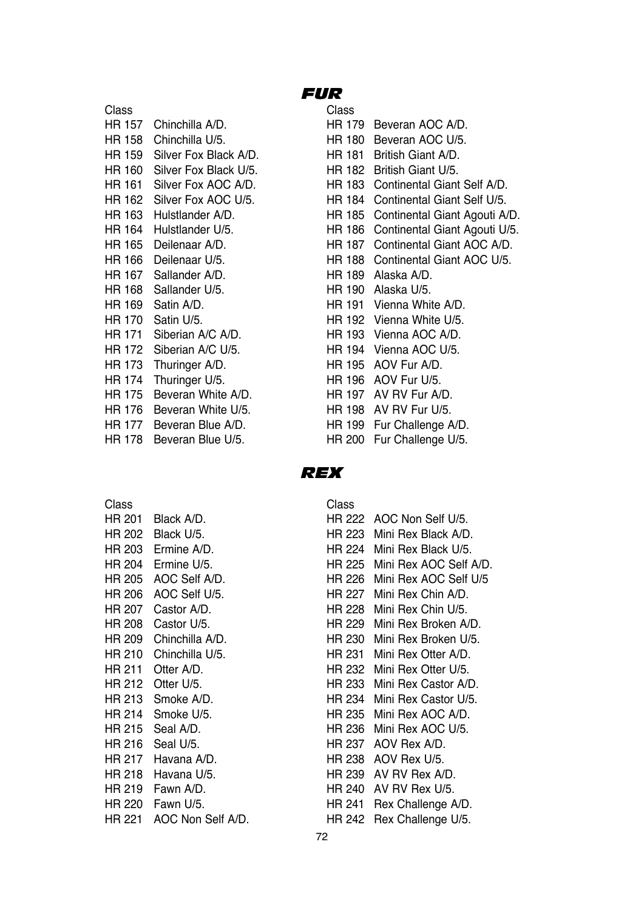| Class  |                       | Class  |                            |
|--------|-----------------------|--------|----------------------------|
| HR 157 | Chinchilla A/D.       | HR 179 | Beveran AOC A/D.           |
| HR 158 | Chinchilla U/5.       | HR 180 | Beveran AOC U/5.           |
| HR 159 | Silver Fox Black A/D. | HR 181 | British Giant A/D.         |
| HR 160 | Silver Fox Black U/5. | HR 182 | British Giant U/5.         |
| HR 161 | Silver Fox AOC A/D.   |        | HR 183 Continental Giant S |
| HR 162 | Silver Fox AOC U/5.   | HR 184 | <b>Continental Giant S</b> |
| HR 163 | Hulstlander A/D.      | HR 185 | Continental Giant A        |
| HR 164 | Hulstlander U/5.      | HR 186 | Continental Giant A        |
| HR 165 | Deilenaar A/D.        | HR 187 | Continental Giant A        |
| HR 166 | Deilenaar U/5.        |        | HR 188 Continental Giant A |
| HR 167 | Sallander A/D.        | HR 189 | Alaska A/D.                |
| HR 168 | Sallander U/5.        |        | HR 190 Alaska U/5.         |
| HR 169 | Satin A/D.            | HR 191 | Vienna White A/D.          |
| HR 170 | Satin U/5.            |        | HR 192 Vienna White U/5.   |
| HR 171 | Siberian A/C A/D.     |        | HR 193 Vienna AOC A/D.     |
| HR 172 | Siberian A/C U/5.     |        | HR 194 Vienna AOC U/5.     |
| HR 173 | Thuringer A/D.        | HR 195 | AOV Fur A/D.               |
| HR 174 | Thuringer U/5.        |        | HR 196 AOV Fur U/5.        |
| HR 175 | Beveran White A/D.    | HR 197 | AV RV Fur A/D.             |
| HR 176 | Beveran White U/5.    |        | HR 198 AV RV Fur U/5.      |
| HR 177 | Beveran Blue A/D.     | HR 199 | Fur Challenge A/D.         |
|        |                       |        |                            |

## *FUR*

| Class  |                              | Class  |                                    |
|--------|------------------------------|--------|------------------------------------|
| HR 157 | Chinchilla A/D.              | HR 179 | Beveran AOC A/D.                   |
| HR 158 | Chinchilla U/5.              | HR 180 | Beveran AOC U/5.                   |
|        | HR 159 Silver Fox Black A/D. | HR 181 | British Giant A/D.                 |
| HR 160 | Silver Fox Black U/5.        | HR 182 | British Giant U/5.                 |
| HR 161 | Silver Fox AOC A/D.          | HR 183 | Continental Giant Self A/D.        |
| HR 162 | Silver Fox AOC U/5.          |        | HR 184 Continental Giant Self U/5. |
| HR 163 | Hulstlander A/D.             | HR 185 | Continental Giant Agouti A/D.      |
| HR 164 | Hulstlander U/5.             | HR 186 | Continental Giant Agouti U/5.      |
| HR 165 | Deilenaar A/D.               | HR 187 | Continental Giant AOC A/D.         |
| HR 166 | Deilenaar U/5.               |        | HR 188 Continental Giant AOC U/5.  |
| HR 167 | Sallander A/D.               |        | HR 189 Alaska A/D.                 |
| HR 168 | Sallander U/5.               | HR 190 | Alaska U/5.                        |
| HR 169 | Satin A/D.                   |        | HR 191 Vienna White A/D.           |
| HR 170 | Satin U/5.                   |        | HR 192 Vienna White U/5.           |
| HR 171 | Siberian A/C A/D.            |        | HR 193 Vienna AOC A/D.             |
| HR 172 | Siberian A/C U/5.            |        | HR 194 Vienna AOC U/5.             |
| HR 173 | Thuringer A/D.               |        | HR 195 AOV Fur A/D.                |
| HR 174 | Thuringer U/5.               |        | HR 196 AOV Fur U/5.                |
| HR 175 | Beveran White A/D.           | HR 197 | AV RV Fur A/D.                     |
| HR 176 | Beveran White U/5.           |        | HR 198 AV RV Fur U/5.              |
| HR 177 | Beveran Blue A/D.            |        | HR 199 Fur Challenge A/D.          |
| HR 178 | Beveran Blue U/5.            | HR 200 | Fur Challenge U/5.                 |

## *REX*

| Class         |                    | Class  |                       |
|---------------|--------------------|--------|-----------------------|
| HR 201        | Black A/D.         |        | HR 222 AOC Non Self   |
| HR 202        | Black U/5.         | HR 223 | Mini Rex Blac         |
|               | HR 203 Ermine A/D. |        | HR 224 Mini Rex Blac  |
| HR 204        | Ermine U/5.        | HR 225 | Mini Rex AOC          |
| HR 205        | AOC Self A/D.      | HR 226 | Mini Rex AOC          |
| HR 206        | AOC Self U/5.      | HR 227 | Mini Rex Chin         |
| <b>HR 207</b> | Castor A/D.        | HR 228 | Mini Rex Chin         |
| HR 208        | Castor U/5.        | HR 229 | Mini Rex Brok         |
| HR 209        | Chinchilla A/D.    | HR 230 | Mini Rex Brok         |
| HR 210        | Chinchilla U/5.    |        | HR 231 Mini Rex Otter |
| HR 211        | Otter A/D.         | HR 232 | Mini Rex Otter        |
| HR 212        | Otter U/5.         | HR 233 | Mini Rex Cast         |
| HR 213        | Smoke A/D.         | HR 234 | Mini Rex Cast         |
| HR 214        | Smoke U/5.         | HR 235 | Mini Rex AOC          |
| HR 215        | Seal A/D.          | HR 236 | Mini Rex AOC          |
| HR 216        | Seal U/5.          |        | HR 237 AOV Rex A/D.   |
| HR 217        | Havana A/D.        |        | HR 238 AOV Rex U/5.   |
| HR 218        | Havana U/5.        |        | HR 239 AV RV Rex A    |
| HR 219        | Fawn A/D.          | HR 240 | AV RV Rex U           |
| HR 220        | Fawn U/5.          |        | HR 241 Rex Challenge  |
| HR 221        | AOC Non Self A/D.  |        | HR 242 Rex Challenge  |

| Class  |                   | Class  |                           |
|--------|-------------------|--------|---------------------------|
| HR 201 | Black A/D.        |        | HR 222 AOC Non Self U/5.  |
| HR 202 | Black U/5.        | HR 223 | Mini Rex Black A/D.       |
| HR 203 | Ermine A/D.       | HR 224 | Mini Rex Black U/5.       |
| HR 204 | Ermine U/5.       | HR 225 | Mini Rex AOC Self A/D.    |
| HR 205 | AOC Self A/D.     | HR 226 | Mini Rex AOC Self U/5     |
| HR 206 | AOC Self U/5.     | HR 227 | Mini Rex Chin A/D.        |
| HR 207 | Castor A/D.       | HR 228 | Mini Rex Chin U/5.        |
| HR 208 | Castor U/5.       | HR 229 | Mini Rex Broken A/D.      |
| HR 209 | Chinchilla A/D.   | HR 230 | Mini Rex Broken U/5.      |
| HR 210 | Chinchilla U/5.   | HR 231 | Mini Rex Otter A/D.       |
| HR 211 | Otter A/D.        | HR 232 | Mini Rex Otter U/5.       |
| HR 212 | Otter U/5.        | HR 233 | Mini Rex Castor A/D.      |
| HR 213 | Smoke A/D.        | HR 234 | Mini Rex Castor U/5.      |
| HR 214 | Smoke U/5.        | HR 235 | Mini Rex AOC A/D.         |
| HR 215 | Seal A/D.         | HR 236 | Mini Rex AOC U/5.         |
| HR 216 | Seal U/5.         | HR 237 | AOV Rex A/D.              |
| HR 217 | Havana A/D.       | HR 238 | AOV Rex U/5.              |
| HR 218 | Havana U/5.       | HR 239 | AV RV Rex A/D.            |
| HR 219 | Fawn A/D.         | HR 240 | AV RV Rex U/5.            |
| HR 220 | Fawn U/5.         | HR 241 | Rex Challenge A/D.        |
| HR 221 | AOC Non Self A/D. |        | HR 242 Rex Challenge U/5. |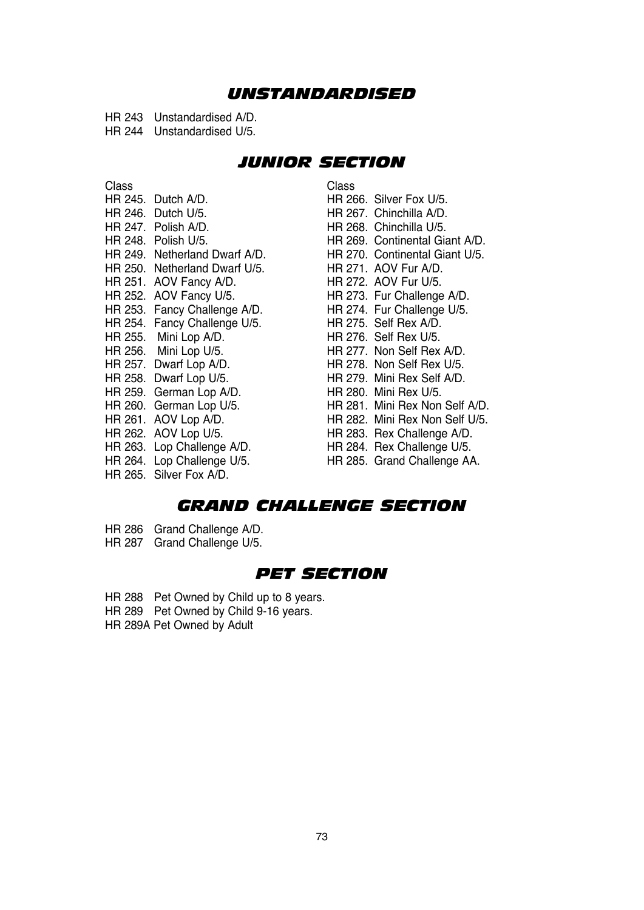## *UNSTANDARDISED*

HR 243 Unstandardised A/D. HR 244 Unstandardised U/5.

## *JUNIOR SECTION*

| Class |                               | Class |
|-------|-------------------------------|-------|
|       | HR 245. Dutch A/D.            | HR 20 |
|       | HR 246. Dutch U/5.            | HR 20 |
|       | HR 247. Polish A/D.           | HR 20 |
|       | HR 248. Polish U/5.           | HR 20 |
|       | HR 249. Netherland Dwarf A/D. | HR 21 |
|       | HR 250. Netherland Dwarf U/5. | HR 21 |
|       | HR 251. AOV Fancy A/D.        | HR 27 |
|       | HR 252. AOV Fancy U/5.        | HR 21 |
|       | HR 253. Fancy Challenge A/D.  | HR 21 |
|       | HR 254. Fancy Challenge U/5.  | HR 21 |
|       | HR 255. Mini Lop A/D.         | HR 21 |
|       | HR 256. Mini Lop U/5.         | HR 21 |
|       | HR 257. Dwarf Lop A/D.        | HR 21 |
|       | HR 258. Dwarf Lop U/5.        | HR 21 |
|       | HR 259. German Lop A/D.       | HR 28 |
|       | HR 260. German Lop U/5.       | HR 28 |
|       | HR 261. AOV Lop A/D.          | HR 28 |
|       | HR 262. AOV Lop U/5.          | HR 28 |
|       | HR 263. Lop Challenge A/D.    | HR 28 |
|       | HR 264. Lop Challenge U/5.    | HR 28 |
|       | HR 265. Silver Fox A/D.       |       |

HR 266. Silver Fox U/5. HR 267. Chinchilla A/D. HR 268. Chinchilla U/5. HR 269. Continental Giant A/D. HR 270. Continental Giant U/5. HR 271. AOV Fur A/D. HR 272. AOV Fur U/5. HR 273. Fur Challenge A/D. HR 274. Fur Challenge U/5. HR 275. Self Rex A/D. HR 276 Self Rex U/5. HR 277. Non Self Rex A/D. HR 278. Non Self Rex U/5. HR 279. Mini Rex Self A/D. HR 280. Mini Rex U/5. HR 281. Mini Rex Non Self A/D. HR 282. Mini Rex Non Self U/5. HR 283. Rex Challenge A/D. HR 284. Rex Challenge U/5. HR 285. Grand Challenge AA.

## *GRAND CHALLENGE SECTION*

- HR 286 Grand Challenge A/D.
- HR 287 Grand Challenge U/5.

## *PET SECTION*

- HR 288 Pet Owned by Child up to 8 years.
- HR 289 Pet Owned by Child 9-16 years.
- HR 289A Pet Owned by Adult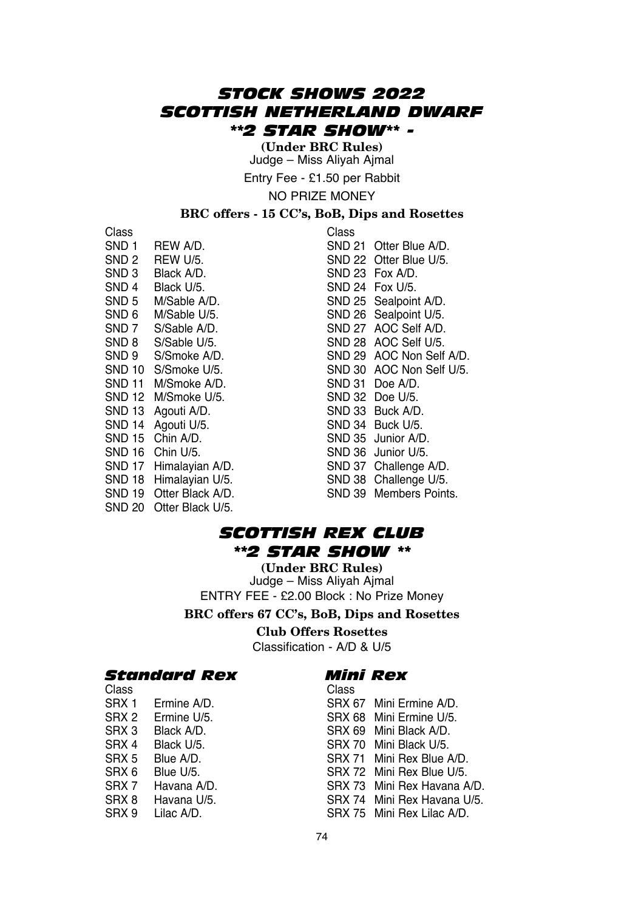## *STOCK SHOWS 2022 SCOTTISH NETHERLAND DWARF \*\*2 STAR SHOW\*\* -*

**(Under BRC Rules)** Judge – Miss Aliyah Ajmal

Entry Fee - £1.50 per Rabbit

NO PRIZE MONEY

## **BRC offers - 15 CC's, BoB, Dips and Rosettes**

Class Class SND 3 Black A/D.<br>SND 4 Black U/5 SND 24 Fox U/5 SND 4 Black U/5.<br>SND 5 M/Sable A/D SND 5 M/Sable A/D. SND 25 Sealpoint A/D.<br>SND 6 M/Sable U/5 SND 26 Sealpoint U/5 SND 6 M/Sable U/5.<br>SND 6 M/Sable U/5.<br>SND 7 S/Sable A/D. SND 27 AOC Self A/D. SND 7 S/Sable A/D. SND 27 AOC Self A/D. SND 8 S/Sable U/5. SND 28 AOC Self U/5. SND 11 M/Smoke A/D. SND 31 Doe A/D. SND 12 M/Smoke U/5. SND 32 Doe U/5. SND 13 Agouti A/D. SND 33 Buck A/D. SND 14 Agouti U/5.<br>
SND 15 Chin A/D.<br>
SND 15 Chin A/D.<br>
SND 35 Junior A/D SND 15 Chin A/D.<br>SND 16 Chin U/5 SND 36 Junior U/5 SND 16 Chin U/5. SND 36 Junior U/5. SND 18 Himalayian U/5. SND 38 Challenge U/5. SND 20 Otter Black U/5

SND 1 REW A/D.<br>SND 2 REW U/5 SND 22 Otter Blue U/5 SND 22 Otter Blue U/5.<br>SND 23 Fox A/D SND 9 S/Smoke A/D. SND 29 AOC Non Self A/D. SND 10 S/Smoke U/5. SND 30 AOC Non Self U/5. SND 17 Himalayian A/D. SND 37 Challenge A/D. SND 19 Otter Black A/D. SND 39 Members Points.

## *SCOTTISH REX CLUB \*\*2 STAR SHOW \*\**

**(Under BRC Rules)** Judge – Miss Aliyah Ajmal ENTRY FEE - £2.00 Block : No Prize Money

**BRC offers 67 CC's, BoB, Dips and Rosettes**

**Club Offers Rosettes** Classification - A/D & U/5

# *Standard Rex Minimes*

| Class |                   | Class |                        |
|-------|-------------------|-------|------------------------|
| SRX 1 | Ermine A/D.       |       | SRX 67 Mini Ermine A/I |
|       | SRX 2 Ermine U/5. |       | SRX 68 Mini Ermine U/  |
| SRX 3 | Black A/D.        |       | SRX 69 Mini Black A/D. |
| SRX 4 | Black U/5.        |       | SRX 70 Mini Black U/5. |
| SRX 5 | Blue A/D.         |       | SRX 71 Mini Rex Blue / |
| SRX 6 | Blue U/5.         |       | SRX 72 Mini Rex Blue I |
| SRX 7 | Havana A/D.       |       | SRX 73 Mini Rex Havar  |
| SRX 8 | Havana U/5.       |       | SRX 74 Mini Rex Havar  |
|       | SRX 9 Lilac A/D.  |       | SRX 75 Mini Rex Lilac  |
|       |                   |       |                        |

| Class |             | Class |                             |
|-------|-------------|-------|-----------------------------|
| SRX 1 | Ermine A/D. |       | SRX 67 Mini Ermine A/D.     |
| SRX 2 | Ermine U/5. |       | SRX 68 Mini Ermine U/5.     |
| SRX 3 | Black A/D.  |       | SRX 69 Mini Black A/D.      |
| SRX 4 | Black U/5.  |       | SRX 70 Mini Black U/5.      |
| SRX 5 | Blue A/D.   |       | SRX 71 Mini Rex Blue A/D.   |
| SRX 6 | Blue U/5.   |       | SRX 72 Mini Rex Blue U/5.   |
| SRX 7 | Havana A/D. |       | SRX 73 Mini Rex Havana A/D. |
| SRX 8 | Havana U/5. |       | SRX 74 Mini Rex Havana U/5. |
| SRX 9 | Lilac A/D.  |       | SRX 75 Mini Rex Lilac A/D.  |
|       |             |       |                             |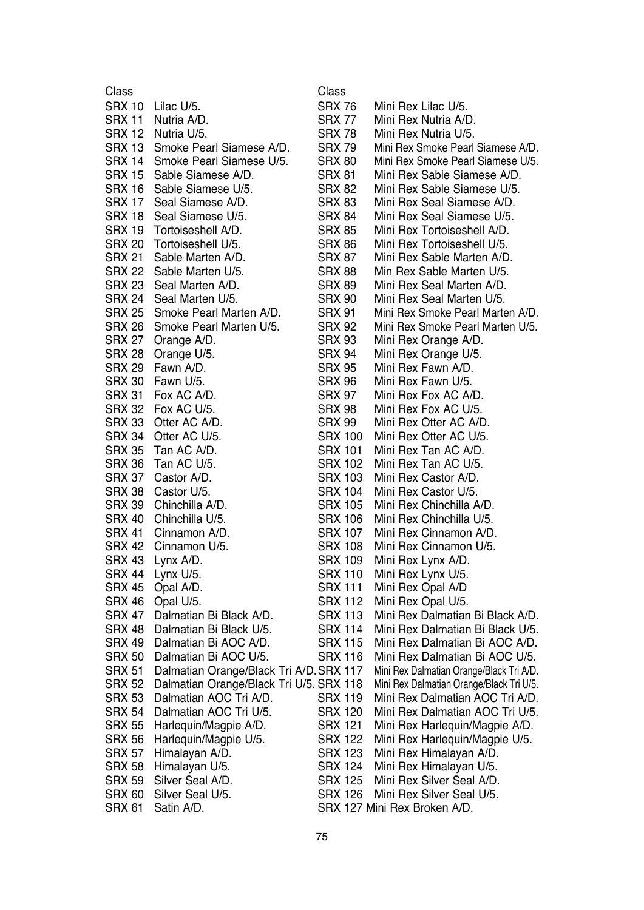| Class         |                                         | Class          |                                          |
|---------------|-----------------------------------------|----------------|------------------------------------------|
| <b>SRX 10</b> | Lilac U/5.                              | <b>SRX 76</b>  | Mini Rex Lilac U/5.                      |
| <b>SRX 11</b> | Nutria A/D.                             | <b>SRX 77</b>  | Mini Rex Nutria A/D.                     |
| <b>SRX 12</b> | Nutria U/5.                             | <b>SRX 78</b>  | Mini Rex Nutria U/5.                     |
| <b>SRX 13</b> | Smoke Pearl Siamese A/D.                | <b>SRX 79</b>  | Mini Rex Smoke Pearl Siamese A/D.        |
| <b>SRX 14</b> | Smoke Pearl Siamese U/5.                | <b>SRX 80</b>  | Mini Rex Smoke Pearl Siamese U/5.        |
| <b>SRX 15</b> | Sable Siamese A/D.                      | <b>SRX 81</b>  | Mini Rex Sable Siamese A/D.              |
| <b>SRX 16</b> | Sable Siamese U/5.                      | <b>SRX 82</b>  | Mini Rex Sable Siamese U/5.              |
| <b>SRX 17</b> | Seal Siamese A/D.                       | <b>SRX 83</b>  | Mini Rex Seal Siamese A/D.               |
| <b>SRX 18</b> | Seal Siamese U/5.                       | <b>SRX 84</b>  | Mini Rex Seal Siamese U/5.               |
| SRX 19        | Tortoiseshell A/D.                      | <b>SRX 85</b>  | Mini Rex Tortoiseshell A/D.              |
| <b>SRX 20</b> | Tortoiseshell U/5.                      | <b>SRX 86</b>  | Mini Rex Tortoiseshell U/5.              |
|               |                                         |                |                                          |
| <b>SRX 21</b> | Sable Marten A/D.                       | <b>SRX 87</b>  | Mini Rex Sable Marten A/D.               |
| SRX 22        | Sable Marten U/5.                       | <b>SRX 88</b>  | Min Rex Sable Marten U/5.                |
| <b>SRX 23</b> | Seal Marten A/D.                        | <b>SRX 89</b>  | Mini Rex Seal Marten A/D.                |
| <b>SRX 24</b> | Seal Marten U/5.                        | <b>SRX 90</b>  | Mini Rex Seal Marten U/5.                |
| <b>SRX 25</b> | Smoke Pearl Marten A/D.                 | <b>SRX 91</b>  | Mini Rex Smoke Pearl Marten A/D.         |
| <b>SRX 26</b> | Smoke Pearl Marten U/5.                 | <b>SRX 92</b>  | Mini Rex Smoke Pearl Marten U/5.         |
| <b>SRX 27</b> | Orange A/D.                             | <b>SRX 93</b>  | Mini Rex Orange A/D.                     |
| <b>SRX 28</b> | Orange U/5.                             | <b>SRX 94</b>  | Mini Rex Orange U/5.                     |
| <b>SRX 29</b> | Fawn A/D.                               | <b>SRX 95</b>  | Mini Rex Fawn A/D.                       |
| <b>SRX 30</b> | Fawn U/5.                               | <b>SRX 96</b>  | Mini Rex Fawn U/5.                       |
| <b>SRX 31</b> | Fox AC A/D.                             | <b>SRX 97</b>  | Mini Rex Fox AC A/D.                     |
| <b>SRX 32</b> | Fox AC U/5.                             | <b>SRX 98</b>  | Mini Rex Fox AC U/5.                     |
| <b>SRX 33</b> | Otter AC A/D.                           | <b>SRX 99</b>  | Mini Rex Otter AC A/D.                   |
| SRX 34        | Otter AC U/5.                           | <b>SRX 100</b> | Mini Rex Otter AC U/5.                   |
| <b>SRX 35</b> | Tan AC A/D.                             | <b>SRX 101</b> | Mini Rex Tan AC A/D.                     |
| <b>SRX 36</b> | Tan AC U/5.                             | <b>SRX 102</b> | Mini Rex Tan AC U/5.                     |
| SRX 37        | Castor A/D.                             | <b>SRX 103</b> | Mini Rex Castor A/D.                     |
| <b>SRX 38</b> | Castor U/5.                             | <b>SRX 104</b> | Mini Rex Castor U/5.                     |
| <b>SRX 39</b> | Chinchilla A/D.                         | <b>SRX 105</b> | Mini Rex Chinchilla A/D.                 |
| <b>SRX 40</b> | Chinchilla U/5.                         | <b>SRX 106</b> | Mini Rex Chinchilla U/5.                 |
| <b>SRX 41</b> | Cinnamon A/D.                           | <b>SRX 107</b> | Mini Rex Cinnamon A/D.                   |
|               |                                         |                |                                          |
| <b>SRX 42</b> | Cinnamon U/5.                           | <b>SRX 108</b> | Mini Rex Cinnamon U/5.                   |
| SRX 43        | Lynx A/D.                               | <b>SRX 109</b> | Mini Rex Lynx A/D.                       |
| <b>SRX 44</b> | Lynx U/5.                               | <b>SRX 110</b> | Mini Rex Lynx U/5.                       |
| <b>SRX 45</b> | Opal A/D.                               | <b>SRX 111</b> | Mini Rex Opal A/D                        |
| <b>SRX 46</b> | Opal U/5.                               | <b>SRX 112</b> | Mini Rex Opal U/5.                       |
| <b>SRX 47</b> | Dalmatian Bi Black A/D.                 | <b>SRX 113</b> | Mini Rex Dalmatian Bi Black A/D.         |
| SRX 48        | Dalmatian Bi Black U/5.                 | <b>SRX 114</b> | Mini Rex Dalmatian Bi Black U/5.         |
| SRX 49        | Dalmatian Bi AOC A/D.                   | <b>SRX 115</b> | Mini Rex Dalmatian Bi AOC A/D.           |
| <b>SRX 50</b> | Dalmatian Bi AOC U/5.                   | <b>SRX 116</b> | Mini Rex Dalmatian Bi AOC U/5.           |
| SRX 51        | Dalmatian Orange/Black Tri A/D. SRX 117 |                | Mini Rex Dalmatian Orange/Black Tri A/D. |
| <b>SRX 52</b> | Dalmatian Orange/Black Tri U/5. SRX 118 |                | Mini Rex Dalmatian Orange/Black Tri U/5. |
| <b>SRX 53</b> | Dalmatian AOC Tri A/D.                  | SRX 119        | Mini Rex Dalmatian AOC Tri A/D.          |
| <b>SRX 54</b> | Dalmatian AOC Tri U/5.                  | <b>SRX 120</b> | Mini Rex Dalmatian AOC Tri U/5.          |
| <b>SRX 55</b> | Harlequin/Magpie A/D.                   | <b>SRX 121</b> | Mini Rex Harlequin/Magpie A/D.           |
| <b>SRX 56</b> | Harlequin/Magpie U/5.                   | <b>SRX 122</b> | Mini Rex Harlequin/Magpie U/5.           |
| SRX 57        | Himalayan A/D.                          | <b>SRX 123</b> | Mini Rex Himalayan A/D.                  |
| <b>SRX 58</b> | Himalayan U/5.                          | <b>SRX 124</b> | Mini Rex Himalayan U/5.                  |
| <b>SRX 59</b> | Silver Seal A/D.                        | <b>SRX 125</b> | Mini Rex Silver Seal A/D.                |
| SRX 60        | Silver Seal U/5.                        | SRX 126        | Mini Rex Silver Seal U/5.                |
| <b>SRX 61</b> | Satin A/D.                              |                | SRX 127 Mini Rex Broken A/D.             |
|               |                                         |                |                                          |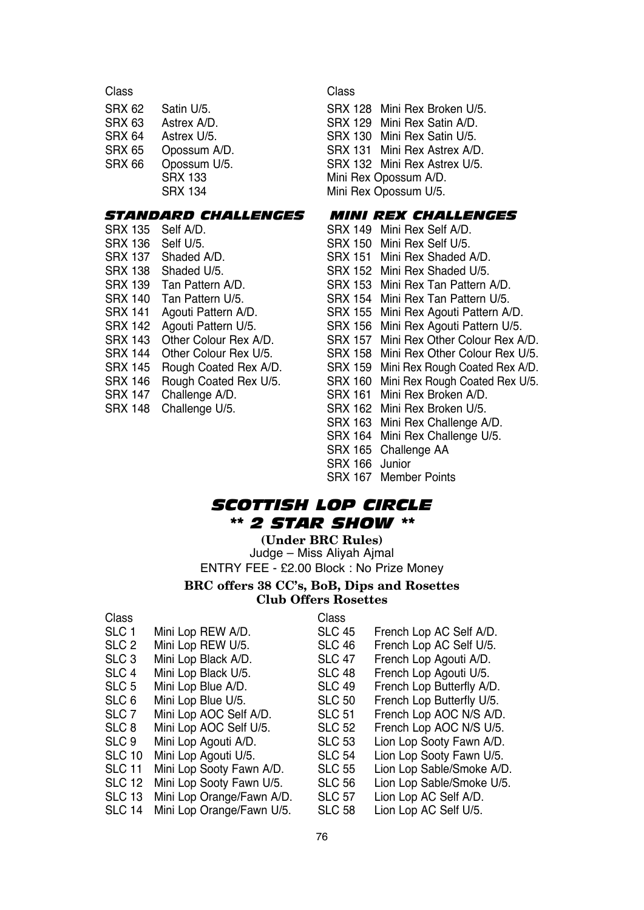| Class  |                | Class      |
|--------|----------------|------------|
| SRX 62 | Satin U/5.     | <b>SRX</b> |
| SRX 63 | Astrex A/D.    | <b>SRX</b> |
| SRX 64 | Astrex U/5.    | <b>SRX</b> |
| SRX 65 | Opossum A/D.   | <b>SRX</b> |
| SRX 66 | Opossum U/5.   | <b>SRX</b> |
|        | <b>SRX 133</b> | Mini F     |
|        | <b>SRX 134</b> | Mini F     |
|        |                |            |

## *STANDARD CHALLENGES MINI REX CHALLENGES*

| <b>SRX 135</b> | Self A/D.             | SRX 149 Mini Rex Self A/D.               |
|----------------|-----------------------|------------------------------------------|
| SRX 136        | Self U/5.             | SRX 150 Mini Rex Self U/5.               |
| <b>SRX 137</b> | Shaded A/D.           | SRX 151 Mini Rex Shaded A/D.             |
| <b>SRX 138</b> | Shaded U/5.           | SRX 152 Mini Rex Shaded U/5.             |
| SRX 139        | Tan Pattern A/D.      | SRX 153 Mini Rex Tan Pattern             |
| <b>SRX 140</b> | Tan Pattern U/5.      | SRX 154 Mini Rex Tan Pattern             |
| <b>SRX 141</b> | Agouti Pattern A/D.   | SRX 155 Mini Rex Agouti Patter           |
| SRX 142        | Agouti Pattern U/5.   | SRX 156 Mini Rex Agouti Patter           |
| <b>SRX 143</b> | Other Colour Rex A/D. | SRX 157 Mini Rex Other Colour            |
| <b>SRX 144</b> | Other Colour Rex U/5. | SRX 158 Mini Rex Other Colour            |
| SRX 145        | Rough Coated Rex A/D. | SRX 159 Mini Rex Rough Coated            |
| SRX 146        | Rough Coated Rex U/5. | SRX 160 Mini Rex Rough Coated            |
| SRX 147        | Challenge A/D.        | SRX 161 Mini Rex Broken A/D.             |
| <b>SRX 148</b> | Challenge U/5.        | SRX 162 Mini Rex Broken U/5.             |
|                |                       | $\cdots$ $\sim$ $\sim$ $\cdots$ $\cdots$ |

SRX 128 Mini Rex Broken U/5. SRX 129 Mini Rex Satin A/D. SRX 130 Mini Rex Satin U/5. SRX 131 Mini Rex Astrex A/D. SRX 132 Mini Rex Astrex U/5. Mini Rex Opossum A/D. Mini Rex Opossum U/5.

| SRX 135 | Self A/D.                |                | SRX 149 Mini Rex Self A/D.             |
|---------|--------------------------|----------------|----------------------------------------|
| SRX 136 | Self U/5.                |                | SRX 150 Mini Rex Self U/5.             |
| SRX 137 | Shaded A/D.              |                | SRX 151 Mini Rex Shaded A/D.           |
| SRX 138 | Shaded U/5.              |                | SRX 152 Mini Rex Shaded U/5.           |
|         | SRX 139 Tan Pattern A/D. |                | SRX 153 Mini Rex Tan Pattern A/D.      |
|         | SRX 140 Tan Pattern U/5. |                | SRX 154 Mini Rex Tan Pattern U/5.      |
| SRX 141 | Agouti Pattern A/D.      |                | SRX 155 Mini Rex Agouti Pattern A/D.   |
| SRX 142 | Agouti Pattern U/5.      |                | SRX 156 Mini Rex Agouti Pattern U/5.   |
| SRX 143 | Other Colour Rex A/D.    |                | SRX 157 Mini Rex Other Colour Rex A/D. |
| SRX 144 | Other Colour Rex U/5.    |                | SRX 158 Mini Rex Other Colour Rex U/5. |
| SRX 145 | Rough Coated Rex A/D.    |                | SRX 159 Mini Rex Rough Coated Rex A/D. |
| SRX 146 | Rough Coated Rex U/5.    |                | SRX 160 Mini Rex Rough Coated Rex U/5. |
| SRX 147 | Challenge A/D.           |                | SRX 161 Mini Rex Broken A/D.           |
| SRX 148 | Challenge U/5.           |                | SRX 162 Mini Rex Broken U/5.           |
|         |                          |                | SRX 163 Mini Rex Challenge A/D.        |
|         |                          |                | SRX 164 Mini Rex Challenge U/5.        |
|         |                          |                | SRX 165 Challenge AA                   |
|         |                          | SRX 166 Junior |                                        |
|         |                          |                | SRX 167 Member Points                  |

## *SCOTTISH LOP CIRCLE \*\* 2 STAR SHOW \*\**

**(Under BRC Rules)** Judge – Miss Aliyah Ajmal ENTRY FEE - £2.00 Block : No Prize Money

### **BRC offers 38 CC's, BoB, Dips and Rosettes Club Offers Rosettes**

| Class            |                           | Class         |                           |
|------------------|---------------------------|---------------|---------------------------|
| SLC 1            | Mini Lop REW A/D.         | <b>SLC 45</b> | French Lop AC Self A/D.   |
| SLC <sub>2</sub> | Mini Lop REW U/5.         | SLC 46        | French Lop AC Self U/5.   |
| SLC <sub>3</sub> | Mini Lop Black A/D.       | <b>SLC 47</b> | French Lop Agouti A/D.    |
| SLC 4            | Mini Lop Black U/5.       | SLC 48        | French Lop Agouti U/5.    |
| SLC 5            | Mini Lop Blue A/D.        | <b>SLC 49</b> | French Lop Butterfly A/D. |
| SLC 6            | Mini Lop Blue U/5.        | <b>SLC 50</b> | French Lop Butterfly U/5. |
| SLC 7            | Mini Lop AOC Self A/D.    | <b>SLC 51</b> | French Lop AOC N/S A/D.   |
| SLC 8            | Mini Lop AOC Self U/5.    | <b>SLC 52</b> | French Lop AOC N/S U/5.   |
| SLC 9            | Mini Lop Agouti A/D.      | <b>SLC 53</b> | Lion Lop Sooty Fawn A/D.  |
| SLC 10           | Mini Lop Agouti U/5.      | <b>SLC 54</b> | Lion Lop Sooty Fawn U/5.  |
| <b>SLC 11</b>    | Mini Lop Sooty Fawn A/D.  | <b>SLC 55</b> | Lion Lop Sable/Smoke A/D. |
| SLC 12           | Mini Lop Sooty Fawn U/5.  | SLC 56        | Lion Lop Sable/Smoke U/5. |
| SLC 13           | Mini Lop Orange/Fawn A/D. | <b>SLC 57</b> | Lion Lop AC Self A/D.     |
| SLC 14           | Mini Lop Orange/Fawn U/5. | <b>SLC 58</b> | Lion Lop AC Self U/5.     |
|                  |                           |               |                           |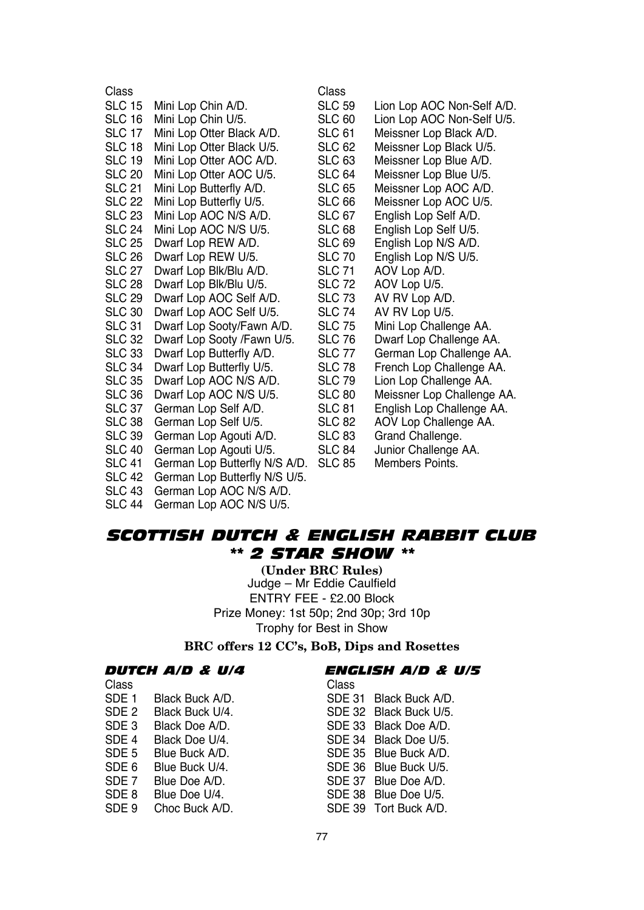| Class         |                               | Class         |                            |
|---------------|-------------------------------|---------------|----------------------------|
| <b>SLC 15</b> | Mini Lop Chin A/D.            | <b>SLC 59</b> | Lion Lop AOC Non-Self A/D. |
| <b>SLC 16</b> | Mini Lop Chin U/5.            | <b>SLC 60</b> | Lion Lop AOC Non-Self U/5. |
| <b>SLC 17</b> | Mini Lop Otter Black A/D.     | <b>SLC 61</b> | Meissner Lop Black A/D.    |
| <b>SLC 18</b> | Mini Lop Otter Black U/5.     | <b>SLC 62</b> | Meissner Lop Black U/5.    |
| <b>SLC 19</b> | Mini Lop Otter AOC A/D.       | <b>SLC 63</b> | Meissner Lop Blue A/D.     |
| <b>SLC 20</b> | Mini Lop Otter AOC U/5.       | <b>SLC 64</b> | Meissner Lop Blue U/5.     |
| <b>SLC 21</b> | Mini Lop Butterfly A/D.       | <b>SLC 65</b> | Meissner Lop AOC A/D.      |
| <b>SLC 22</b> | Mini Lop Butterfly U/5.       | <b>SLC 66</b> | Meissner Lop AOC U/5.      |
| <b>SLC 23</b> | Mini Lop AOC N/S A/D.         | <b>SLC 67</b> | English Lop Self A/D.      |
| <b>SLC 24</b> | Mini Lop AOC N/S U/5.         | SLC 68        | English Lop Self U/5.      |
| <b>SLC 25</b> | Dwarf Lop REW A/D.            | SLC 69        | English Lop N/S A/D.       |
| <b>SLC 26</b> | Dwarf Lop REW U/5.            | <b>SLC 70</b> | English Lop N/S U/5.       |
| <b>SLC 27</b> | Dwarf Lop Blk/Blu A/D.        | <b>SLC 71</b> | AOV Lop A/D.               |
| SLC 28        | Dwarf Lop Blk/Blu U/5.        | <b>SLC 72</b> | AOV Lop U/5.               |
| <b>SLC 29</b> | Dwarf Lop AOC Self A/D.       | <b>SLC 73</b> | AV RV Lop A/D.             |
| <b>SLC 30</b> | Dwarf Lop AOC Self U/5.       | <b>SLC 74</b> | AV RV Lop U/5.             |
| <b>SLC 31</b> | Dwarf Lop Sooty/Fawn A/D.     | <b>SLC 75</b> | Mini Lop Challenge AA.     |
| <b>SLC 32</b> | Dwarf Lop Sooty /Fawn U/5.    | <b>SLC 76</b> | Dwarf Lop Challenge AA.    |
| <b>SLC 33</b> | Dwarf Lop Butterfly A/D.      | <b>SLC 77</b> | German Lop Challenge AA.   |
| <b>SLC 34</b> | Dwarf Lop Butterfly U/5.      | <b>SLC 78</b> | French Lop Challenge AA.   |
| <b>SLC 35</b> | Dwarf Lop AOC N/S A/D.        | <b>SLC 79</b> | Lion Lop Challenge AA.     |
| <b>SLC 36</b> | Dwarf Lop AOC N/S U/5.        | <b>SLC 80</b> | Meissner Lop Challenge AA. |
| <b>SLC 37</b> | German Lop Self A/D.          | <b>SLC 81</b> | English Lop Challenge AA.  |
| <b>SLC 38</b> | German Lop Self U/5.          | <b>SLC 82</b> | AOV Lop Challenge AA.      |
| <b>SLC 39</b> | German Lop Agouti A/D.        | <b>SLC 83</b> | Grand Challenge.           |
| <b>SLC 40</b> | German Lop Agouti U/5.        | <b>SLC 84</b> | Junior Challenge AA.       |
| <b>SLC 41</b> | German Lop Butterfly N/S A/D. | <b>SLC 85</b> | Members Points.            |
| <b>SLC 42</b> | German Lop Butterfly N/S U/5. |               |                            |

*SCOTTISH DUTCH & ENGLISH RABBIT CLUB \*\* 2 STAR SHOW \*\**

> **(Under BRC Rules)** Judge – Mr Eddie Caulfield ENTRY FEE - £2.00 Block Prize Money: 1st 50p; 2nd 30p; 3rd 10p Trophy for Best in Show

**BRC offers 12 CC's, BoB, Dips and Rosettes**

| <i>Dutch A/D &amp; U/4</i> |  |  |  |  |
|----------------------------|--|--|--|--|
|----------------------------|--|--|--|--|

SLC 43 German Lop AOC N/S A/D. SLC 44 German Lop AOC N/S U/5.

| DUTCH A/D & U/4 |  | ENGLISH A/D & U/5 |  |  |
|-----------------|--|-------------------|--|--|
|                 |  |                   |  |  |

SDE 36 Blue Buck U/5.<br>SDE 37 Blue Doe A/D.

SDE 38 Blue Doe U/5.<br>SDE 39 Tort Buck A/D.

Class Class SDE 1 Black Buck A/D.<br>SDE 2 Black Buck U/4. SDE 32 Black Buck U/5. SDE 2 Black Buck U/4. SDE 32 Black Buck U/5.<br>SDE 3 Black Doe A/D. SDE 33 Black Doe A/D. SDE 3 Black Doe A/D.<br>SDE 4 Black Doe U/4. SDE 34 Black Doe U/5. SDE 4 Black Doe U/4. SDE 34 Black Doe U/5. SDE 5 Blue Buck A/D.<br>SDE 6 Blue Buck U/4. SDE 36 Blue Buck U/5. SDE 7 Blue Doe A/D.<br>SDE 8 Blue Doe U/4. SDE 9 Choc Buck A/D.

77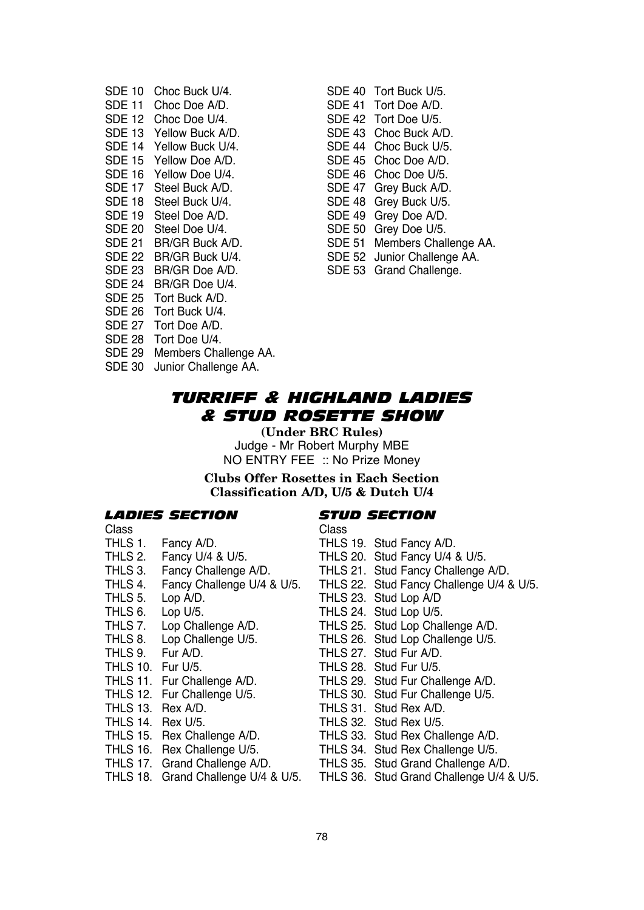| SDE 10        | Choc Buck U/4.        |
|---------------|-----------------------|
| <b>SDE 11</b> | Choc Doe A/D.         |
| <b>SDE 12</b> | Choc Doe U/4.         |
| SDE 13        | Yellow Buck A/D.      |
| <b>SDE 14</b> | Yellow Buck U/4.      |
| <b>SDE 15</b> | Yellow Doe A/D.       |
| SDE 16        | Yellow Doe U/4.       |
| <b>SDE 17</b> | Steel Buck A/D.       |
| SDE 18        | Steel Buck U/4.       |
| SDE 19        | Steel Doe A/D.        |
| <b>SDE 20</b> | Steel Doe U/4.        |
| SDE 21        | BR/GR Buck A/D.       |
| SDE 22        | BR/GR Buck U/4.       |
| SDE 23        | BR/GR Doe A/D.        |
| SDE 24        | BR/GR Doe U/4.        |
| <b>SDE 25</b> | Tort Buck A/D.        |
| SDE 26        | Tort Buck U/4.        |
| <b>SDE 27</b> | Tort Doe A/D.         |
| SDE 28        | Tort Doe U/4.         |
| <b>SDE 29</b> | Members Challenge AA. |
| SDE 30        | Junior Challenge AA.  |

SDE 40 Tort Buck U/5. SDE 41 Tort Doe A/D. SDE 42 Tort Doe U/5. SDE 43 Choc Buck A/D. SDE 44 Choc Buck U/5. SDE 45 Choc Doe A/D. SDE 46 Choc Doe U/5. SDE 47 Grey Buck A/D. SDE 48 Grey Buck U/5. SDE 49 Grey Doe A/D. SDE 50 Grey Doe U/5. SDE 51 Members Challenge AA. SDE 52 Junior Challenge AA. SDE 53 Grand Challenge.

*TURRIFF & HIGHLAND LADIES & STUD ROSETTE SHOW*

**(Under BRC Rules)** Judge - Mr Robert Murphy MBE NO ENTRY FEE :: No Prize Money

**Clubs Offer Rosettes in Each Section Classification A/D, U/5 & Dutch U/4**

#### *LADIES SECTION STUD SECTION*

Class Class

- 
- THLS 2. Fancy U/4 & U/5. THLS 20. Stud Fancy U/4 & U/5.
- 
- 
- 
- 
- THLS 6. Lop U/5.<br>THLS 7. Lop Challenge A/D. THLS 25. Stud Lop Cha
- THLS 8. Lop Challenge U/5. THLS 26. Stud Lop Challenge U/5.<br>THLS 9. Fur A/D. THLS 27. Stud Fur A/D.
- 
- 
- THLS 10. Fur U/5.<br>THLS 11. Fur Challenge A/D. THLS 29. Stud Fur Cha
- THLS 12. Fur Challenge U/5. THLS 30. Stud Fur Challenge U/5.<br>THLS 13. Rex A/D. THLS 31. Stud Rex A/D.
- 
- 
- THLS 14. Rex U/5.<br>THLS 15. Rex Challenge A/D. THLS 33. Stud Rex Cha
- 
- 
- 

- THLS 1. Fancy A/D. THLS 19. Stud Fancy A/D.<br>THLS 2. Fancy U/4 & U/5. THLS 20. Stud Fancy U/4 & U/5.
	-
- THLS 3. Fancy Challenge A/D. THLS 21. Stud Fancy Challenge A/D.
- THLS 4. Fancy Challenge U/4 & U/5. THLS 22. Stud Fancy Challenge U/4 & U/5.<br>THLS 5. Lop A/D. THLS 23. Stud Lop A/D
	-
- THLS 5. Lop A/D. THLS 23. Stud Lop A/D<br>THLS 6. Lop U/5. THLS 24. Stud Lop U/5.
	-
- THLS 7. Lop Challenge A/D. THLS 25. Stud Lop Challenge A/D.<br>THLS 8. Lop Challenge U/5. THLS 26. Stud Lop Challenge U/5.
	-
- THLS 9. Fur A/D.<br>THLS 10. Fur U/5. THLS 28. Stud Fur U/5.
	-
- THLS 11. Fur Challenge A/D. THLS 29. Stud Fur Challenge A/D.<br>THLS 12. Fur Challenge U/5. THLS 30. Stud Fur Challenge U/5.
	-
- THLS 13. Rex A/D. THLS 31. Stud Rex A/D.<br>THLS 14. Rex U/5. THLS 32. Stud Rex U/5.
	-
- THLS 15. Rex Challenge A/D. THLS 33. Stud Rex Challenge A/D.<br>THLS 16. Rex Challenge U/5. THLS 34. Stud Rex Challenge U/5.
- THLS 16. Rex Challenge U/5. THLS 34. Stud Rex Challenge U/5.<br>THLS 17. Grand Challenge A/D. THLS 35. Stud Grand Challenge A/ THLS 35. Stud Grand Challenge A/D.
- THLS 18. Grand Challenge U/4 & U/5. THLS 36. Stud Grand Challenge U/4 & U/5.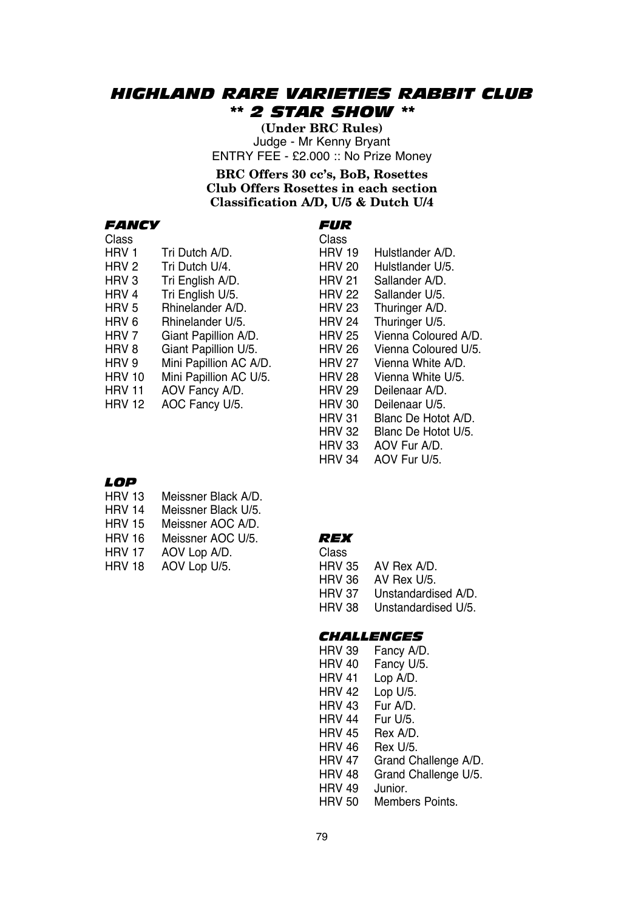## *HIGHLAND RARE VARIETIES RABBIT CLUB \*\* 2 STAR SHOW \*\**

**(Under BRC Rules)** Judge - Mr Kenny Bryant ENTRY FEE - £2.000 :: No Prize Money

**BRC Offers 30 cc's, BoB, Rosettes Club Offers Rosettes in each section Classification A/D, U/5 & Dutch U/4**

#### *FANCY FUR*

| Class         |                        | Class         |                      |
|---------------|------------------------|---------------|----------------------|
| HRV 1         | Tri Dutch A/D.         | <b>HRV 19</b> | Hulstlander A/D.     |
| HRV 2         | Tri Dutch U/4.         | <b>HRV 20</b> | Hulstlander U/5.     |
| HRV 3         | Tri English A/D.       | <b>HRV 21</b> | Sallander A/D.       |
| HRV 4         | Tri English U/5.       | <b>HRV 22</b> | Sallander U/5.       |
| HRV 5         | Rhinelander A/D.       | <b>HRV 23</b> | Thuringer A/D.       |
| HRV 6         | Rhinelander U/5.       | <b>HRV 24</b> | Thuringer U/5.       |
| HRV 7         | Giant Papillion A/D.   | <b>HRV 25</b> | Vienna Coloured A/D. |
| HRV 8         | Giant Papillion U/5.   | <b>HRV 26</b> | Vienna Coloured U/5. |
| HRV 9         | Mini Papillion AC A/D. | <b>HRV 27</b> | Vienna White A/D.    |
| <b>HRV 10</b> | Mini Papillion AC U/5. | <b>HRV 28</b> | Vienna White U/5.    |
| HRV 11        | AOV Fancy A/D.         | <b>HRV 29</b> | Deilenaar A/D.       |
| HRV 12        | AOC Fancy U/5.         | <b>HRV 30</b> | Deilenaar U/5.       |
|               |                        | <b>HRV 31</b> | Blanc De Hotot A/D.  |
|               |                        | <b>HRV 32</b> | Blanc De Hotot U/5.  |
|               |                        | <b>HRV 33</b> | AOV Fur A/D.         |

## *LOP*

- HRV 13 Meissner Black A/D. HRV 14 Meissner Black U/5.
- HRV 15 Meissner AOC A/D.
- 
- HRV 16 Meissner AOC U/5. *REX*
- AOV Lop A/D.
- HRV 18 AOV Lop U/5.

| Uldoo  |                     |
|--------|---------------------|
| HRV 35 | AV Rex A/D.         |
| HRV 36 | AV Rex U/5.         |
| HRV 37 | Unstandardised A/D. |
| HRV 38 | Unstandardised U/5. |
|        |                     |

HRV 34 AOV Fur U/5.

## *CHALLENGES*

| <b>HRV 39</b> | Fancy A/D.           |
|---------------|----------------------|
| <b>HRV 40</b> | Fancy U/5.           |
| HRV 41        | Lop A/D.             |
| <b>HRV 42</b> | Lop U/5.             |
| <b>HRV 43</b> | Fur A/D.             |
| <b>HRV 44</b> | Fur U/5.             |
| <b>HRV 45</b> | Rex A/D.             |
| HRV 46        | Rex U/5.             |
| HRV 47        | Grand Challenge A/D. |
| <b>HRV 48</b> | Grand Challenge U/5. |
| <b>HRV 49</b> | Junior.              |
| <b>HRV 50</b> | Members Points.      |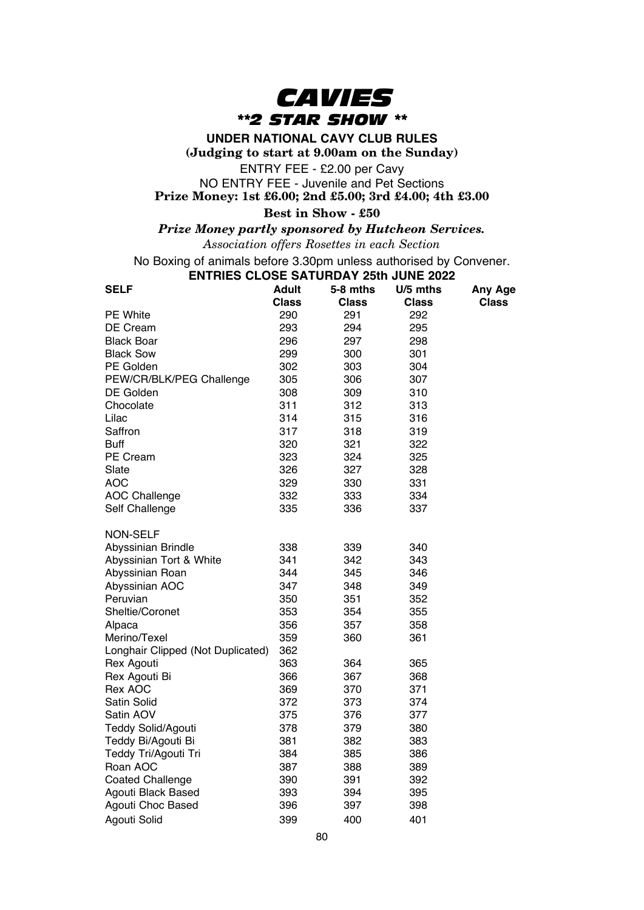

**UNDER NATIONAL CAVY CLUB RULES**

**(Judging to start at 9.00am on the Sunday)**

ENTRY FEE - £2.00 per Cavy

NO ENTRY FEE - Juvenile and Pet Sections **Prize Money: 1st £6.00; 2nd £5.00; 3rd £4.00; 4th £3.00**

## **Best in Show - £50**

*Prize Money partly sponsored by Hutcheon Services.*

*Association offers Rosettes in each Section*

No Boxing of animals before 3.30pm unless authorised by Convener.

## **ENTRIES CLOSE SATURDAY 25th JUNE 2022**

| <b>SELF</b>                       | <b>Adult</b><br><b>Class</b> | 5-8 mths<br><b>Class</b> | U/5 mths<br>Class | Any Age<br><b>Class</b> |
|-----------------------------------|------------------------------|--------------------------|-------------------|-------------------------|
| PE White                          | 290                          | 291                      | 292               |                         |
| DE Cream                          | 293                          | 294                      | 295               |                         |
| Black Boar                        | 296                          | 297                      | 298               |                         |
| <b>Black Sow</b>                  | 299                          | 300                      | 301               |                         |
| PE Golden                         | 302                          | 303                      | 304               |                         |
| PEW/CR/BLK/PEG Challenge          | 305                          | 306                      | 307               |                         |
| DE Golden                         | 308                          | 309                      | 310               |                         |
| Chocolate                         | 311                          | 312                      | 313               |                         |
| Lilac                             | 314                          | 315                      | 316               |                         |
| Saffron                           | 317                          | 318                      | 319               |                         |
| Buff                              | 320                          | 321                      | 322               |                         |
| PE Cream                          | 323                          | 324                      | 325               |                         |
| Slate                             | 326                          | 327                      | 328               |                         |
| <b>AOC</b>                        | 329                          | 330                      | 331               |                         |
| <b>AOC Challenge</b>              | 332                          | 333                      | 334               |                         |
| Self Challenge                    | 335                          | 336                      | 337               |                         |
| <b>NON-SELF</b>                   |                              |                          |                   |                         |
| Abyssinian Brindle                | 338                          | 339                      | 340               |                         |
| Abyssinian Tort & White           | 341                          | 342                      | 343               |                         |
| Abyssinian Roan                   | 344                          | 345                      | 346               |                         |
| Abyssinian AOC                    | 347                          | 348                      | 349               |                         |
| Peruvian                          | 350                          | 351                      | 352               |                         |
| Sheltie/Coronet                   | 353                          | 354                      | 355               |                         |
| Alpaca                            | 356                          | 357                      | 358               |                         |
| Merino/Texel                      | 359                          | 360                      | 361               |                         |
| Longhair Clipped (Not Duplicated) | 362                          |                          |                   |                         |
| Rex Agouti                        | 363                          | 364                      | 365               |                         |
| Rex Agouti Bi                     | 366                          | 367                      | 368               |                         |
| Rex AOC                           | 369                          | 370                      | 371               |                         |
| Satin Solid                       | 372                          | 373                      | 374               |                         |
| Satin AOV                         | 375                          | 376                      | 377               |                         |
| <b>Teddy Solid/Agouti</b>         | 378                          | 379                      | 380               |                         |
| Teddy Bi/Agouti Bi                | 381                          | 382                      | 383               |                         |
| Teddy Tri/Agouti Tri              | 384                          | 385                      | 386               |                         |
| Roan AOC                          | 387                          | 388                      | 389               |                         |
| <b>Coated Challenge</b>           | 390                          | 391                      | 392               |                         |
| Agouti Black Based                | 393                          | 394                      | 395               |                         |
| Agouti Choc Based                 | 396                          | 397                      | 398               |                         |
| Agouti Solid                      | 399                          | 400                      | 401               |                         |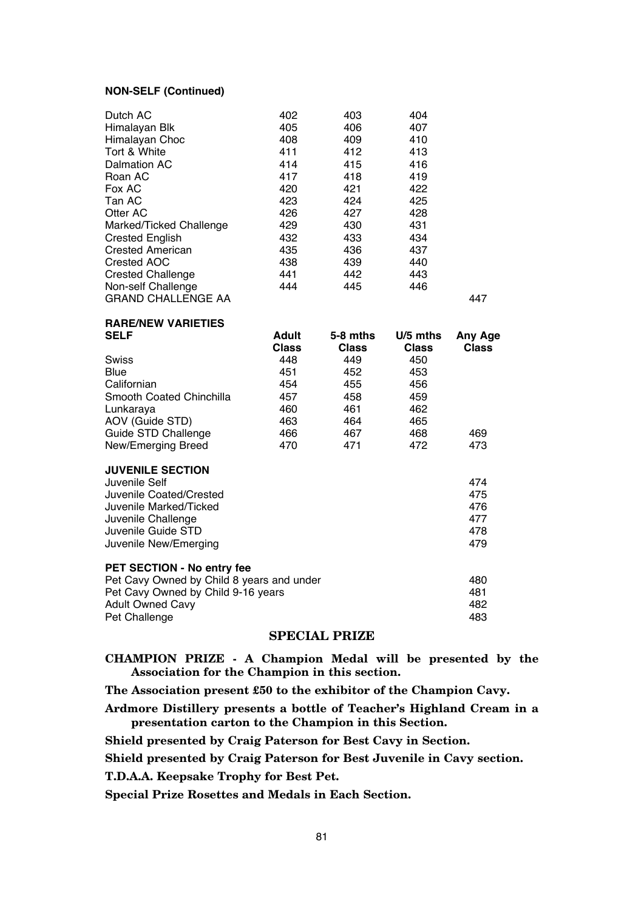#### **NON-SELF (Continued)**

| Dutch AC                  | 402 | 403 | 404 |     |
|---------------------------|-----|-----|-----|-----|
| Himalayan Blk             | 405 | 406 | 407 |     |
| Himalayan Choc            | 408 | 409 | 410 |     |
| Tort & White              | 411 | 412 | 413 |     |
| Dalmation AC              | 414 | 415 | 416 |     |
| Roan AC                   | 417 | 418 | 419 |     |
| Fox AC                    | 420 | 421 | 422 |     |
| Tan AC                    | 423 | 424 | 425 |     |
| Otter AC                  | 426 | 427 | 428 |     |
| Marked/Ticked Challenge   | 429 | 430 | 431 |     |
| <b>Crested English</b>    | 432 | 433 | 434 |     |
| <b>Crested American</b>   | 435 | 436 | 437 |     |
| Crested AOC               | 438 | 439 | 440 |     |
| <b>Crested Challenge</b>  | 441 | 442 | 443 |     |
| Non-self Challenge        | 444 | 445 | 446 |     |
| <b>GRAND CHALLENGE AA</b> |     |     |     | 447 |

**RARE/NEW VARIETIES**

| SELF                                      | Adult | 5-8 mths | U/5 mths     | Any Age |
|-------------------------------------------|-------|----------|--------------|---------|
|                                           | Class | Class    | <b>Class</b> | Class   |
| <b>Swiss</b>                              | 448   | 449      | 450          |         |
| Blue                                      | 451   | 452      | 453          |         |
| Californian                               | 454   | 455      | 456          |         |
| Smooth Coated Chinchilla                  | 457   | 458      | 459          |         |
| Lunkaraya                                 | 460   | 461      | 462          |         |
| AOV (Guide STD)                           | 463   | 464      | 465          |         |
| Guide STD Challenge                       | 466   | 467      | 468          | 469     |
| New/Emerging Breed                        | 470   | 471      | 472          | 473     |
| <b>JUVENILE SECTION</b>                   |       |          |              |         |
| Juvenile Self                             |       |          |              | 474     |
| Juvenile Coated/Crested                   |       |          |              | 475     |
| Juvenile Marked/Ticked                    |       |          |              | 476     |
| Juvenile Challenge                        |       |          |              | 477     |
| Juvenile Guide STD                        |       |          |              | 478     |
| Juvenile New/Emerging                     |       |          |              | 479     |
| PET SECTION - No entry fee                |       |          |              |         |
| Pet Cavy Owned by Child 8 years and under |       |          |              | 480     |
| Pet Cavy Owned by Child 9-16 years        |       |          |              | 481     |
| <b>Adult Owned Cavy</b>                   |       |          |              | 482     |
|                                           |       |          |              |         |

## **SPECIAL PRIZE**

**CHAMPION PRIZE - A Champion Medal will be presented by the Association for the Champion in this section.**

**The Association present £50 to the exhibitor of the Champion Cavy.**

Pet Challenge **483** 

**Ardmore Distillery presents a bottle of Teacher's Highland Cream in a presentation carton to the Champion in this Section.**

**Shield presented by Craig Paterson for Best Cavy in Section.**

**Shield presented by Craig Paterson for Best Juvenile in Cavy section.**

**T.D.A.A. Keepsake Trophy for Best Pet.**

**Special Prize Rosettes and Medals in Each Section.**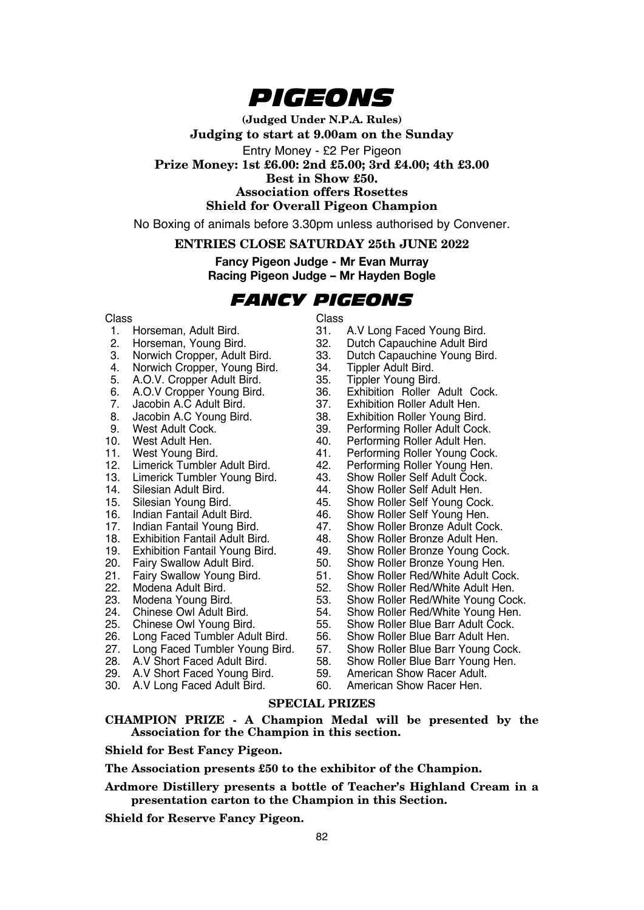

**(Judged Under N.P.A. Rules) Judging to start at 9.00am on the Sunday** Entry Money - £2 Per Pigeon **Prize Money: 1st £6.00: 2nd £5.00; 3rd £4.00; 4th £3.00 Best in Show £50. Association offers Rosettes Shield for Overall Pigeon Champion**

No Boxing of animals before 3.30pm unless authorised by Convener.

## **ENTRIES CLOSE SATURDAY 25th JUNE 2022**

**Fancy Pigeon Judge - Mr Evan Murray Racing Pigeon Judge – Mr Hayden Bogle**

## *FANCY PIGEONS*

- Class Class Class<br>1. Horseman. Adult Bird. (31.)
- 
- 
- 3. Norwich Cropper, Adult Bird. 33. Dutch Capauchine Young Bird. 4. Norwich Cropper, Young Bird. 34. Tippler Adult Bird.<br>5. A.O.V. Cropper Adult Bird. 35. Tippler Young Bird.
- 
- 5. A.O.V. Cropper Adult Bird. 35. Tippler Young Bird.<br>6. A.O.V Cropper Young Bird. 36. Exhibition Roller Adult Cock.
- 
- 8. Jacobin A.C Young Bird. 38.<br>9. West Adult Cock. 39.
- 
- 
- 
- 
- 
- 
- 14. Silesian Adult Bird. <sup>2</sup> 44.<br>15. Silesian Young Bird. 45.
- 
- 16. Indian Fantail Adult Bird. 46.<br>17. Indian Fantail Young Bird. 47.
- 
- 
- 
- 
- 
- 
- 
- 
- 
- 
- 
- 
- 
- 30. A.V Long Faced Adult Bird.
- 
- 1. Horseman, Adult Bird. 31. A.V Long Faced Young Bird.<br>2. Horseman. Young Bird. 32. Dutch Capauchine Adult Bird
- 2. Horseman, Young Bird. 32. Dutch Capauchine Adult Bird
	-
	-
	-
- 6. A.O.V Cropper Young Bird. 36. Exhibition Roller Adult Co.<br>7. Jacobin A.C Adult Bird. 37. Exhibition Roller Adult Hen.
- 7. Jacobin A.C Adult Bird. 37. Exhibition Roller Adult Hen.
	-
- 9. West Adult Cock. 39. Performing Roller Adult Cock.<br>10. West Adult Hen. 39. Performing Roller Adult Hen.
- 10. West Adult Hen. 40. Performing Roller Adult Hen.<br>11. West Young Bird. 41. Performing Roller Young Coo
- 11. West Young Bird. 41. Performing Roller Young Cock.<br>12. Limerick Tumbler Adult Bird. 42. Performing Roller Young Hen.
	- 12. Performing Roller Young Hen.<br>43. Show Roller Self Adult Cock.
- 13. Limerick Tumbler Young Bird. 43. Show Roller Self Adult Čock<br>14. Silesian Adult Bird. 44. Show Roller Self Adult Hen.
	-
	- 45. Show Roller Self Young Cock.<br>46. Show Roller Self Young Hen.
	-
	- 17. Show Roller Bronze Adult Cock.<br>48. Show Roller Bronze Adult Hen.
- 18. Exhibition Fantail Adult Bird. 48. Show Roller Bronze Adult Hen.
- 19. Exhibition Fantail Young Bird. 49. Show Roller Bronze Young Cock.
	-
- 20. Fairy Swallow Adult Bird. 50. Show Roller Bronze Young Hen.<br>21. Fairy Swallow Young Bird. 51. Show Roller Red/White Adult Co<br>22. Modena Adult Bird. 52. Show Roller Red/White Adult He Fairy Swallow Young Bird. 51. Show Roller Red/White Adult Cock.<br>Modena Adult Bird. 52. Show Roller Red/White Adult Hen.
- 22. Modena Adult Bird. 62. Show Roller Red/White Adult Hen.<br>23. Modena Young Bird. 653. Show Roller Red/White Young Cod
- 23. Modena Young Bird. 53. Show Roller Red/White Young Cock.<br>24. Chinese Owl Adult Bird. 54. Show Roller Red/White Young Hen.<br>25. Chinese Owl Young Bird. 55. Show Roller Blue Barr Adult Cock.
	- 24. Chinese Owl Adult Bird. 54. Show Roller Red/White Young Hen.<br>55. Show Roller Blue Barr Adult Cock.
		- 55. Show Roller Blue Barr Adult Cock.<br>56. Show Roller Blue Barr Adult Hen.
- 26. Long Faced Tumbler Adult Bird. 56. Show Roller Blue Barr Adult Hen.<br>27. Long Faced Tumbler Young Bird. 57. Show Roller Blue Barr Young Cock.
- 27. Long Faced Tumbler Young Bird. 57. Show Roller Blue Barr Young Cock.
- 28. A.V Short Faced Adult Bird. 58. Show Roller Blue Barr Young Hen.
- 29. A.V Short Faced Young Bird. 59. American Show Racer Adult.<br>30. A.V Long Faced Adult Bird. 60. American Show Racer Hen.
	-

#### **SPECIAL PRIZES**

**CHAMPION PRIZE - A Champion Medal will be presented by the Association for the Champion in this section.**

### **Shield for Best Fancy Pigeon.**

**The Association presents £50 to the exhibitor of the Champion.**

### **Ardmore Distillery presents a bottle of Teacher's Highland Cream in a presentation carton to the Champion in this Section.**

**Shield for Reserve Fancy Pigeon.**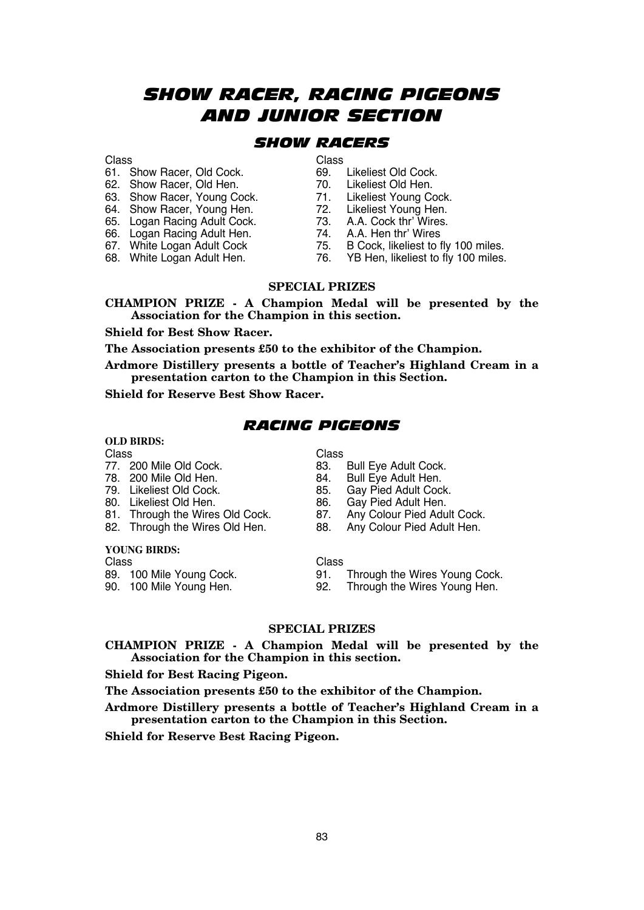## *SHOW RACER, RACING PIGEONS AND JUNIOR SECTION*

## *SHOW RACERS*

- 61. Show Racer, Old Cock. 69. Likeliest Old Cock.
- 62. Show Racer, Old Hen. 70. Likeliest Old Hen.<br>63. Show Racer. Young Cock. 71. Likeliest Young Cock.
- 63. Show Racer, Young Cock. 71. Likeliest Young Cock<br>64. Show Racer. Young Hen. 72. Likeliest Young Hen.
- 64. Show Racer, Young Hen.<br>65. Logan Racing Adult Cock.
- 
- 66. Logan Racing Adult Hen.<br>67. White Logan Adult Cock
- 
- 

- 
- 
- 
- 
- 73. A.A. Cock thr' Wires.<br>74. A.A. Hen thr' Wires.
	-
- 67. White Logan Adult Cock 75. B Cock, likeliest to fly 100 miles.<br>68. White Logan Adult Hen. 76. YB Hen, likeliest to fly 100 miles.
	- 76. YB Hen, likeliest to fly 100 miles.

#### **SPECIAL PRIZES**

**CHAMPION PRIZE - A Champion Medal will be presented by the Association for the Champion in this section.**

#### **Shield for Best Show Racer.**

**The Association presents £50 to the exhibitor of the Champion.**

**Ardmore Distillery presents a bottle of Teacher's Highland Cream in a presentation carton to the Champion in this Section.**

**Shield for Reserve Best Show Racer.**

## *RACING PIGEONS*

# **OLD BIRDS:**

#### Class Class

- 
- 
- 
- 
- 
- 81. Through the Wires Old Cock. 87.<br>82. Through the Wires Old Hen. 88.

# **YOUNG BIRDS:**

Class Class Class Class<br>89. 100 Mile Young Cock. 91.

- 77. 200 Mile Old Cock. 83. Bull Eye Adult Cock.
- 78. 200 Mile Old Hen. 84. Bull Eye Adult Hen.
	- 85. Gay Pied Adult Cock.<br>86. Gay Pied Adult Hen.
	-
- 80. Likeliest Old Hen. 68. Gay Pied Adult Hen.<br>81. Through the Wires Old Cock. 87. Any Colour Pied Adult Cock.
	- Any Colour Pied Adult Hen.

89. 100 Mile Young Cock. 91. Through the Wires Young Cock.<br>90. 100 Mile Young Hen. 92. Through the Wires Young Hen.

92. Through the Wires Young Hen.

### **SPECIAL PRIZES**

#### **CHAMPION PRIZE - A Champion Medal will be presented by the Association for the Champion in this section.**

#### **Shield for Best Racing Pigeon.**

**The Association presents £50 to the exhibitor of the Champion.**

**Ardmore Distillery presents a bottle of Teacher's Highland Cream in a presentation carton to the Champion in this Section.**

**Shield for Reserve Best Racing Pigeon.**

# Class Class